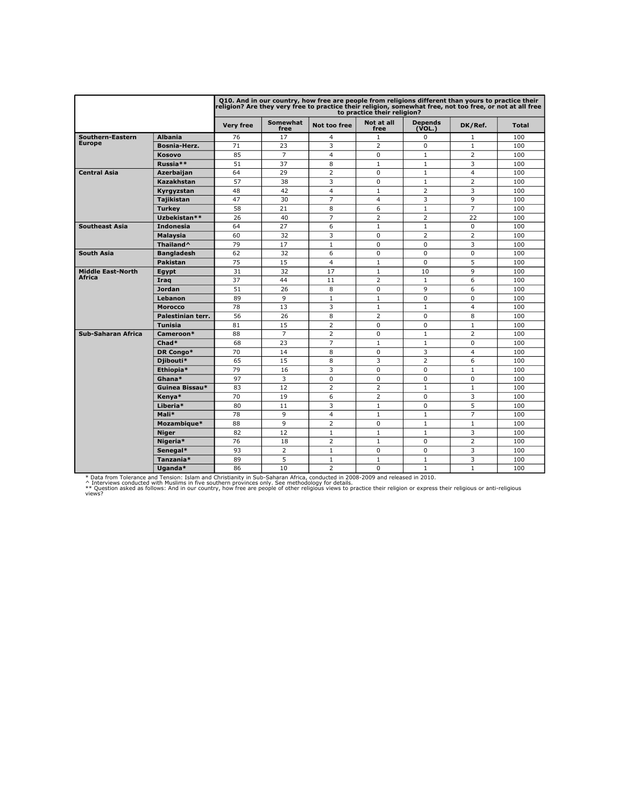|                           |                   |                  |                         | Q10. And in our country, how free are people from religions different than yours to practice their<br>religion? Are they very free to practice their religion, somewhat free, not too free, or not at all free | to practice their religion? |                          |                |              |
|---------------------------|-------------------|------------------|-------------------------|----------------------------------------------------------------------------------------------------------------------------------------------------------------------------------------------------------------|-----------------------------|--------------------------|----------------|--------------|
|                           |                   | <b>Very free</b> | <b>Somewhat</b><br>free | Not too free                                                                                                                                                                                                   | Not at all<br>free          | <b>Depends</b><br>(VOL.) | DK/Ref.        | <b>Total</b> |
| Southern-Eastern          | <b>Albania</b>    | 76               | 17                      | 4                                                                                                                                                                                                              | $\mathbf{1}$                | $\Omega$                 | 1              | 100          |
| <b>Europe</b>             | Bosnia-Herz.      | 71               | 23                      | 3                                                                                                                                                                                                              | $\overline{2}$              | $\Omega$                 | $\mathbf{1}$   | 100          |
|                           | Kosovo            | 85               | $\overline{7}$          | 4                                                                                                                                                                                                              | 0                           | $\mathbf{1}$             | $\overline{2}$ | 100          |
|                           | Russia**          | 51               | 37                      | 8                                                                                                                                                                                                              | $\mathbf{1}$                | $\mathbf{1}$             | 3              | 100          |
| <b>Central Asia</b>       | Azerbaijan        | 64               | 29                      | $\overline{2}$                                                                                                                                                                                                 | 0                           | $\mathbf{1}$             | 4              | 100          |
|                           | Kazakhstan        | 57               | 38                      | 3                                                                                                                                                                                                              | 0                           | $\mathbf{1}$             | $\overline{2}$ | 100          |
|                           | Kvravzstan        | 48               | 42                      | 4                                                                                                                                                                                                              | $\mathbf{1}$                | $\overline{2}$           | 3              | 100          |
|                           | <b>Tajikistan</b> | 47               | 30                      | $\overline{7}$                                                                                                                                                                                                 | 4                           | 3                        | 9              | 100          |
|                           | <b>Turkey</b>     | 58               | 21                      | 8                                                                                                                                                                                                              | 6                           | $\mathbf{1}$             | $\overline{7}$ | 100          |
|                           | Uzbekistan**      | 26               | 40                      | $\overline{7}$                                                                                                                                                                                                 | $\overline{2}$              | $\overline{2}$           | 22             | 100          |
| <b>Southeast Asia</b>     | <b>Indonesia</b>  | 64               | 27                      | 6                                                                                                                                                                                                              | $\mathbf{1}$                | $\mathbf{1}$             | $\mathbf 0$    | 100          |
|                           | Malaysia          | 60               | 32                      | 3                                                                                                                                                                                                              | 0                           | $\overline{2}$           | $\overline{2}$ | 100          |
|                           | Thailand^         | 79               | 17                      | $\mathbf{1}$                                                                                                                                                                                                   | $\Omega$                    | $\Omega$                 | 3              | 100          |
| South Asia                | <b>Bangladesh</b> | 62               | 32                      | 6                                                                                                                                                                                                              | 0                           | $\Omega$                 | $\Omega$       | 100          |
|                           | <b>Pakistan</b>   | 75               | 15                      | 4                                                                                                                                                                                                              | $\mathbf{1}$                | $\Omega$                 | 5              | 100          |
| <b>Middle East-North</b>  | Egypt             | 31               | 32                      | 17                                                                                                                                                                                                             | $\mathbf{1}$                | 10                       | $\mathbf{q}$   | 100          |
| Africa                    | Iraq              | 37               | 44                      | 11                                                                                                                                                                                                             | $\overline{2}$              | $\mathbf{1}$             | 6              | 100          |
|                           | <b>Jordan</b>     | 51               | 26                      | 8                                                                                                                                                                                                              | 0                           | $\mathbf{Q}$             | 6              | 100          |
|                           | Lebanon           | 89               | $\mathbf{Q}$            | $\mathbf{1}$                                                                                                                                                                                                   | $\mathbf{1}$                | $\Omega$                 | $\Omega$       | 100          |
|                           | <b>Morocco</b>    | 78               | 13                      | 3                                                                                                                                                                                                              | $\mathbf{1}$                | $\mathbf{1}$             | $\overline{a}$ | 100          |
|                           | Palestinian terr. | 56               | 26                      | 8                                                                                                                                                                                                              | $\overline{2}$              | $\Omega$                 | 8              | 100          |
|                           | <b>Tunisia</b>    | 81               | 15                      | $\overline{2}$                                                                                                                                                                                                 | 0                           | 0                        | $\mathbf{1}$   | 100          |
| <b>Sub-Saharan Africa</b> | Cameroon*         | 88               | $\overline{7}$          | $\overline{2}$                                                                                                                                                                                                 | 0                           | $\mathbf{1}$             | $\overline{2}$ | 100          |
|                           | Chad*             | 68               | 23                      | $\overline{7}$                                                                                                                                                                                                 | $\mathbf{1}$                | $\mathbf{1}$             | $\mathbf 0$    | 100          |
|                           | DR Congo*         | 70               | 14                      | 8                                                                                                                                                                                                              | $\Omega$                    | 3                        | $\overline{a}$ | 100          |
|                           | Diibouti*         | 65               | 15                      | 8                                                                                                                                                                                                              | 3                           | $\overline{2}$           | 6              | 100          |
|                           | Ethiopia*         | 79               | 16                      | 3                                                                                                                                                                                                              | 0                           | $\mathbf 0$              | $\mathbf{1}$   | 100          |
|                           | Ghana*            | 97               | 3                       | 0                                                                                                                                                                                                              | 0                           | $\mathbf 0$              | $\mathbf 0$    | 100          |
|                           | Guinea Bissau*    | 83               | 12                      | $\overline{2}$                                                                                                                                                                                                 | $\overline{2}$              | $\mathbf{1}$             | $\mathbf{1}$   | 100          |
|                           | Kenya*            | 70               | 19                      | 6                                                                                                                                                                                                              | 2                           | $\Omega$                 | 3              | 100          |
|                           | Liberia*          | 80               | 11                      | 3                                                                                                                                                                                                              | $\mathbf{1}$                | 0                        | 5              | 100          |
|                           | Mali*             | 78               | 9                       | 4                                                                                                                                                                                                              | $\mathbf{1}$                | $\mathbf{1}$             | $\overline{7}$ | 100          |
|                           | Mozambique*       | 88               | $\mathsf{Q}$            | $\overline{2}$                                                                                                                                                                                                 | 0                           | $\mathbf{1}$             | $\mathbf{1}$   | 100          |
|                           | <b>Niger</b>      | 82               | 12                      | $\mathbf{1}$                                                                                                                                                                                                   | $\mathbf{1}$                | $\mathbf{1}$             | 3              | 100          |
|                           | Nigeria*          | 76               | 18                      | $\overline{2}$                                                                                                                                                                                                 | $\mathbf{1}$                | $\Omega$                 | $\overline{2}$ | 100          |
|                           | Senegal*          | 93               | $\overline{2}$          | $\mathbf{1}$                                                                                                                                                                                                   | 0                           | $\Omega$                 | 3              | 100          |
|                           | Tanzania*         | 89               | 5                       | 1                                                                                                                                                                                                              | $\mathbf{1}$                | $\mathbf{1}$             | 3              | 100          |
|                           | Uganda*           | 86               | 10                      | $\overline{2}$                                                                                                                                                                                                 | 0                           | $\mathbf{1}$             | $\mathbf{1}$   | 100          |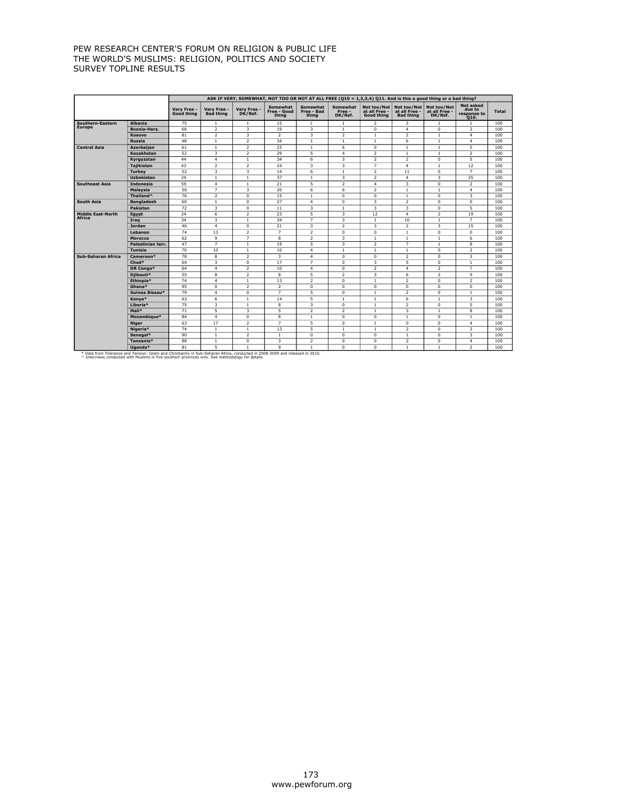|                                                                                                                                                                                                                                    |                   |                           |                                 |                         |                                  |                                        |                               |                                                   |                                                  | ASK IF VERY, SOMEWHAT, NOT TOO OR NOT AT ALL FREE (Q10 = 1,2,3,4) Q11. And is this a good thing or a bad thing? |                                                   |              |
|------------------------------------------------------------------------------------------------------------------------------------------------------------------------------------------------------------------------------------|-------------------|---------------------------|---------------------------------|-------------------------|----------------------------------|----------------------------------------|-------------------------------|---------------------------------------------------|--------------------------------------------------|-----------------------------------------------------------------------------------------------------------------|---------------------------------------------------|--------------|
|                                                                                                                                                                                                                                    |                   | Very Free -<br>Good thing | Very Free -<br><b>Bad thing</b> | Very Free -<br>DK/Ref.  | Somewhat<br>Free - Good<br>thing | <b>Somewhat</b><br>Free - Bad<br>thing | Somewhat<br>Free -<br>DK/Ref. | Not too/Not<br>at all Free -<br><b>Good thing</b> | Not too/Not<br>at all Free -<br><b>Bad thing</b> | Not too/Not<br>at all Free -<br>DK/Ref.                                                                         | <b>Not asked</b><br>due to<br>response to<br>Q10. | <b>Total</b> |
| Southern-Eastern                                                                                                                                                                                                                   | <b>Albania</b>    | 75                        | $\mathbf{1}$                    | $\mathbf{1}$            | 15                               | $\mathbf{1}$                           | 1                             | 2                                                 | 3                                                | $\mathbf{1}$                                                                                                    | $\mathbf{1}$                                      | 100          |
| Europe                                                                                                                                                                                                                             | Bosnia-Herz.      | 66                        | $\overline{2}$                  | 3                       | 19                               | 3                                      | $\mathbf{1}$                  | 0                                                 | $\overline{4}$                                   | 0                                                                                                               | $\overline{2}$                                    | 100          |
|                                                                                                                                                                                                                                    | Kosovo            | 81                        | $\overline{2}$                  | 3                       | $\overline{2}$                   | 3                                      | $\overline{2}$                | $\mathbf{1}$                                      | $\overline{2}$                                   | $\mathbf{1}$                                                                                                    | $\overline{4}$                                    | 100          |
|                                                                                                                                                                                                                                    | <b>Russia</b>     | 48                        | $\mathbf{1}$                    | 2                       | 34                               | $1\,$                                  | $\,1\,$                       | $\mathbf{1}$                                      | 6                                                | $\mathbf{1}$                                                                                                    | $\overline{4}$                                    | 100          |
| <b>Central Asia</b>                                                                                                                                                                                                                | Azerbaijan        | 61                        | $\mathbf{1}$                    | $\overline{2}$          | 23                               | $\mathbf{1}$                           | 6                             | 0                                                 | $\mathbf{1}$                                     | $\mathbf{1}$                                                                                                    | $\overline{5}$                                    | 100          |
|                                                                                                                                                                                                                                    | Kazakhstan        | 52                        | $\overline{\mathbf{3}}$         | $\overline{2}$          | 29                               | 5                                      | $\overline{a}$                | $\overline{2}$                                    | $\mathbf{1}$                                     | $\mathbf{1}$                                                                                                    | $\overline{2}$                                    | 100          |
|                                                                                                                                                                                                                                    | Kyrgyzstan        | 44                        | $\overline{4}$                  | $\mathbf{1}$            | 34                               | 6                                      | 3                             | $\overline{2}$                                    | $\overline{2}$                                   | $\mathbf 0$                                                                                                     | $\overline{5}$                                    | 100          |
|                                                                                                                                                                                                                                    | <b>Tajikistan</b> | 43                        | $\overline{2}$                  | 2                       | 24                               | 3                                      | 3                             | $\overline{7}$                                    | $\overline{4}$                                   | $\mathbf{1}$                                                                                                    | 12                                                | 100          |
|                                                                                                                                                                                                                                    | <b>Turkey</b>     | 52                        | 3                               | 3                       | 14                               | 6                                      | $\mathbf{1}$                  | $\overline{2}$                                    | 11                                               | $\mathbf 0$                                                                                                     | $\overline{7}$                                    | 100          |
|                                                                                                                                                                                                                                    | <b>Uzbekistan</b> | 24                        | $\mathbf{1}$                    | $\mathbf{1}$            | 37                               | $\mathbf{1}$                           | $\overline{\mathbf{3}}$       | $\overline{2}$                                    | $\overline{4}$                                   | 3                                                                                                               | 25                                                | 100          |
| <b>Southeast Asia</b>                                                                                                                                                                                                              | <b>Indonesia</b>  | 59                        | $\overline{4}$                  | $1\,$                   | 21                               | 5                                      | $\overline{2}$                | $\overline{4}$                                    | 3                                                | $\mathbf 0$                                                                                                     | $\overline{2}$                                    | 100          |
|                                                                                                                                                                                                                                    | Malaysia          | 50                        | 7                               | $\overline{\mathbf{3}}$ | 20                               | 6                                      | $\overline{6}$                | $\overline{2}$                                    | $\overline{1}$                                   | $\mathbf{1}$                                                                                                    | $\overline{4}$                                    | 100          |
|                                                                                                                                                                                                                                    | Thailand^         | 76                        | $\overline{2}$                  | $\overline{0}$          | 15                               | $\mathbf{1}$                           | $\mathbf 0$                   | 0                                                 | $\mathbf{1}$                                     | $\mathbf 0$                                                                                                     | $\overline{\mathbf{3}}$                           | 100          |
| South Asia                                                                                                                                                                                                                         | <b>Bangladesh</b> | 60                        | $\mathbf{1}$                    | $\mathbf 0$             | 27                               | $\overline{4}$                         | $\mathbf 0$                   | 3                                                 | $\overline{2}$                                   | $\mathbf 0$                                                                                                     | $\mathbf 0$                                       | 100          |
|                                                                                                                                                                                                                                    | Pakistan          | 72                        | 3                               | 0                       | 11                               | 3                                      | $\mathbf{1}$                  | 3                                                 | 3                                                | $\mathbf 0$                                                                                                     | 5                                                 | 100          |
| <b>Middle East-North</b><br>Africa                                                                                                                                                                                                 | Egypt             | 24                        | 6                               | $\overline{2}$          | 23                               | 5                                      | $\overline{\mathbf{3}}$       | 12                                                | $\overline{4}$                                   | $\overline{2}$                                                                                                  | 19                                                | 100          |
|                                                                                                                                                                                                                                    | Iraq              | 34                        | 3                               | $\mathbf{1}$            | 34                               | $\overline{7}$                         | 3                             | $\mathbf{1}$                                      | 10                                               | $\mathbf{1}$                                                                                                    | $\overline{7}$                                    | 100          |
|                                                                                                                                                                                                                                    | Jordan            | 46                        | $\overline{4}$                  | $^{\circ}$              | 21                               | 3                                      | $\overline{2}$                | 3                                                 | $\overline{2}$                                   | 3                                                                                                               | 15                                                | 100          |
|                                                                                                                                                                                                                                    | Lebanon           | 74                        | 13                              | $\overline{2}$          | $\overline{7}$                   | $\overline{2}$                         | $\overline{0}$                | 0                                                 | $\overline{1}$                                   | 0                                                                                                               | $\overline{0}$                                    | 100          |
|                                                                                                                                                                                                                                    | <b>Morocco</b>    | 62                        | $\overline{9}$                  | $\overline{7}$          | $\overline{\mathbf{8}}$          | $\overline{2}$                         | 3                             | $\mathbf{1}$                                      | $\mathbf{1}$                                     | $\mathbf{1}$                                                                                                    | 6                                                 | 100          |
|                                                                                                                                                                                                                                    | Palestinian terr. | 47                        | $\overline{7}$                  | $1\,$                   | 19                               | $\overline{5}$                         | $\overline{\mathbf{3}}$       | $\overline{2}$                                    | $\overline{7}$                                   | $\mathbf{1}$                                                                                                    | $\overline{\mathbf{8}}$                           | 100          |
|                                                                                                                                                                                                                                    | <b>Tunisia</b>    | 70                        | 10                              | $\mathbf{1}$            | 10                               | $\overline{4}$                         | $\mathbf{1}$                  | $\mathbf{1}$                                      | $\mathbf{1}$                                     | $\mathbf 0$                                                                                                     | $\overline{2}$                                    | 100          |
| Sub-Saharan Africa                                                                                                                                                                                                                 | Cameroon*         | 78                        | 8                               | $\overline{2}$          | 3                                | $\overline{4}$                         | $\Omega$                      | $\Omega$                                          | $\overline{2}$                                   | $\Omega$                                                                                                        | 3                                                 | 100          |
|                                                                                                                                                                                                                                    | Chad*             | 64                        | 3                               | $\mathbf 0$             | 17                               | $\overline{7}$                         | $\mathbf 0$                   | 3                                                 | 5                                                | 0                                                                                                               | $\mathbf{1}$                                      | 100          |
|                                                                                                                                                                                                                                    | DR Congo*         | 64                        | $\overline{4}$                  | 2                       | 10                               | $\overline{4}$                         | $\Omega$                      | 2                                                 | $\overline{4}$                                   | $\overline{2}$                                                                                                  | $\overline{7}$                                    | 100          |
|                                                                                                                                                                                                                                    | Djibouti*         | 55                        | 8                               | $\overline{2}$          | 8                                | 5                                      | $\overline{\phantom{a}}$      | 3                                                 | 6                                                | $\overline{2}$                                                                                                  | 9                                                 | 100          |
|                                                                                                                                                                                                                                    | Ethiopia*         | 74                        | $\overline{4}$                  | $\mathbf{1}$            | 13                               | $\overline{2}$                         | $\Omega$                      | $\mathbf{1}$                                      | $\overline{2}$                                   | $\mathbf 0$                                                                                                     | $\overline{2}$                                    | 100          |
|                                                                                                                                                                                                                                    | Ghana*            | 95                        | $\mathbf 0$                     | $\overline{2}$          | $\overline{2}$                   | $\mathbf 0$                            | $\mathbf{0}$                  | 0                                                 | $\mathbf 0$                                      | $\mathbf 0$                                                                                                     | $\mathbf 0$                                       | 100          |
|                                                                                                                                                                                                                                    | Guinea Bissau*    | 79                        | $\overline{4}$                  | 0                       | $\overline{7}$                   | 5                                      | $\mathbf 0$                   | $\mathbf{1}$                                      | $\overline{2}$                                   | $\mathbf 0$                                                                                                     | $\mathbf{1}$                                      | 100          |
|                                                                                                                                                                                                                                    | Kenya*            | 63                        | 6                               | $\mathbf{1}$            | 14                               | 5                                      | $\mathbf{1}$                  | $\mathbf{1}$                                      | 6                                                | $\mathbf{1}$                                                                                                    | 3                                                 | 100          |
|                                                                                                                                                                                                                                    | Liberia*          | 75                        | 3                               | $\mathbf{1}$            | 8                                | 3                                      | $\mathbf{0}$                  | $\mathbf{1}$                                      | $\overline{2}$                                   | $\mathbf 0$                                                                                                     | $\overline{5}$                                    | 100          |
|                                                                                                                                                                                                                                    | Mali*             | 71                        | 5                               | 3                       | 5                                | 2                                      | $\overline{2}$                | $\mathbf{1}$                                      | 3                                                | $\mathbf{1}$                                                                                                    | 8                                                 | 100          |
|                                                                                                                                                                                                                                    | Mozambique*       | 84                        | $\overline{4}$                  | $\mathbf 0$             | 8                                | $\mathbf{1}$                           | $\mathbf{0}$                  | $\mathbf 0$                                       | $\mathbf{1}$                                     | $\mathbf 0$                                                                                                     | $\mathbf{1}$                                      | 100          |
|                                                                                                                                                                                                                                    | <b>Niger</b>      | 63                        | 17                              | $\overline{2}$          | $\overline{7}$                   | 5                                      | $\mathbf 0$                   | $\mathbf{1}$                                      | $\mathbf 0$                                      | $\mathbf 0$                                                                                                     | $\overline{4}$                                    | 100          |
|                                                                                                                                                                                                                                    | Nigeria*          | 74                        | $\mathbf{1}$                    | $\mathbf{1}$            | 13                               | 5                                      | $\mathbf{1}$                  | $\mathbf{1}$                                      | $\overline{2}$                                   | $\mathbf 0$                                                                                                     | $\overline{2}$                                    | 100          |
|                                                                                                                                                                                                                                    | Senegal*          | 90                        | $\mathbf{1}$                    | 2                       | $\mathbf{1}$                     | $\mathbf 0$                            | $\Omega$                      | $\Omega$                                          | $\mathbf{1}$                                     | $\mathbf 0$                                                                                                     | 3                                                 | 100          |
|                                                                                                                                                                                                                                    | Tanzania*         | 88                        | $\mathbf{1}$                    | $\overline{0}$          | 3                                | $\overline{2}$                         | $\mathbf 0$                   | 0                                                 | $\overline{2}$                                   | $\mathbf 0$                                                                                                     | $\overline{4}$                                    | 100          |
|                                                                                                                                                                                                                                    | Uganda*           | 81                        | 5                               | $\overline{1}$          | 9                                | $\mathbf{1}$                           | $\overline{0}$                | $\overline{0}$                                    | $\mathbf{1}$                                     | $\mathbf{1}$                                                                                                    | $\overline{2}$                                    | 100          |
| * Data from Tolerance and Tension: Islam and Christianity in Sub-Saharan Africa, conducted in 2008-2009 and released in 2010.<br>^ Interviews conducted with Muslims in five southern provinces only. See methodology for details. |                   |                           |                                 |                         |                                  |                                        |                               |                                                   |                                                  |                                                                                                                 |                                                   |              |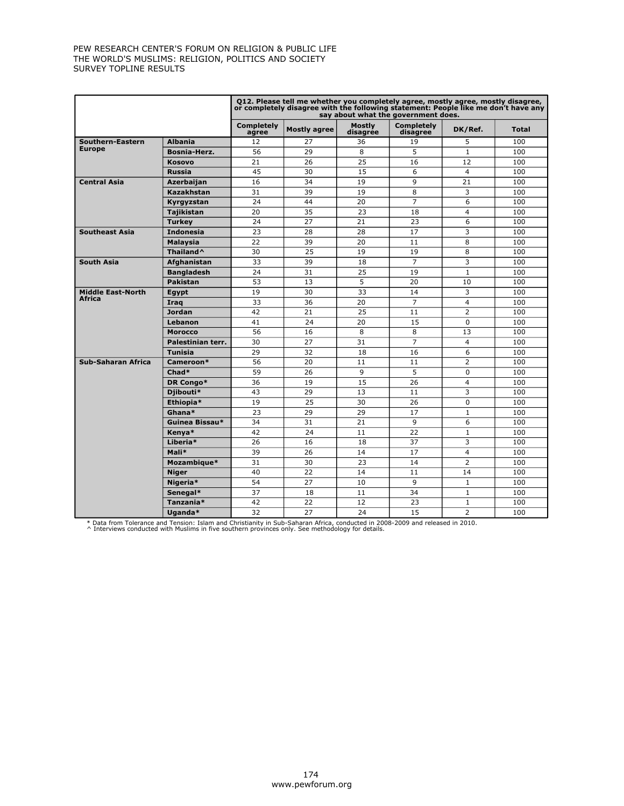|                          |                       |                            | Q12. Please tell me whether you completely agree, mostly agree, mostly disagree,<br>or completely disagree with the following statement: People like me don't have any |                           | say about what the government does. |                |              |
|--------------------------|-----------------------|----------------------------|------------------------------------------------------------------------------------------------------------------------------------------------------------------------|---------------------------|-------------------------------------|----------------|--------------|
|                          |                       | <b>Completely</b><br>agree | <b>Mostly agree</b>                                                                                                                                                    | <b>Mostly</b><br>disagrée | <b>Completely</b><br>disagree       | DK/Ref.        | <b>Total</b> |
| Southern-Eastern         | <b>Albania</b>        | 12                         | 27                                                                                                                                                                     | 36                        | 19                                  | 5              | 100          |
| <b>Europe</b>            | <b>Bosnia-Herz.</b>   | 56                         | 29                                                                                                                                                                     | 8                         | 5                                   | $\mathbf{1}$   | 100          |
|                          | <b>Kosovo</b>         | 21                         | 26                                                                                                                                                                     | 25                        | 16                                  | 12             | 100          |
|                          | <b>Russia</b>         | 45                         | 30                                                                                                                                                                     | 15                        | 6                                   | $\overline{4}$ | 100          |
| <b>Central Asia</b>      | <b>Azerbaijan</b>     | 16                         | 34                                                                                                                                                                     | 19                        | 9                                   | 21             | 100          |
|                          | Kazakhstan            | 31                         | 39                                                                                                                                                                     | 19                        | 8                                   | 3              | 100          |
|                          | Kyrgyzstan            | 24                         | 44                                                                                                                                                                     | 20                        | $\overline{7}$                      | 6              | 100          |
|                          | <b>Tajikistan</b>     | 20                         | 35                                                                                                                                                                     | 23                        | 18                                  | $\overline{4}$ | 100          |
|                          | <b>Turkey</b>         | 24                         | 27                                                                                                                                                                     | 21                        | 23                                  | 6              | 100          |
| <b>Southeast Asia</b>    | <b>Indonesia</b>      | 23                         | 28                                                                                                                                                                     | 28                        | 17                                  | 3              | 100          |
|                          | Malaysia              | 22                         | 39                                                                                                                                                                     | 20                        | 11                                  | 8              | 100          |
|                          | Thailand <sup>^</sup> | 30                         | 25                                                                                                                                                                     | 19                        | 19                                  | 8              | 100          |
| <b>South Asia</b>        | Afghanistan           | 33                         | 39                                                                                                                                                                     | 18                        | $\overline{7}$                      | 3              | 100          |
|                          | <b>Bangladesh</b>     | 24                         | 31                                                                                                                                                                     | 25                        | 19                                  | $\mathbf{1}$   | 100          |
|                          | <b>Pakistan</b>       | 53                         | 13                                                                                                                                                                     | 5                         | 20                                  | 10             | 100          |
| <b>Middle East-North</b> | Egypt                 | 19                         | 30                                                                                                                                                                     | 33                        | 14                                  | 3              | 100          |
| Africa                   | Iraq                  | 33                         | 36                                                                                                                                                                     | 20                        | $\overline{7}$                      | $\overline{4}$ | 100          |
|                          | <b>Jordan</b>         | 42                         | 21                                                                                                                                                                     | 25                        | 11                                  | $\overline{2}$ | 100          |
|                          | Lebanon               | 41                         | 24                                                                                                                                                                     | 20                        | 15                                  | $\mathbf 0$    | 100          |
|                          | <b>Morocco</b>        | 56                         | 16                                                                                                                                                                     | 8                         | 8                                   | 13             | 100          |
|                          | Palestinian terr.     | 30                         | 27                                                                                                                                                                     | 31                        | $\overline{7}$                      | $\overline{4}$ | 100          |
|                          | <b>Tunisia</b>        | 29                         | 32                                                                                                                                                                     | 18                        | 16                                  | 6              | 100          |
| Sub-Saharan Africa       | Cameroon*             | 56                         | 20                                                                                                                                                                     | 11                        | 11                                  | 2              | 100          |
|                          | $Chad*$               | 59                         | 26                                                                                                                                                                     | 9                         | 5                                   | 0              | 100          |
|                          | DR Congo*             | 36                         | 19                                                                                                                                                                     | 15                        | 26                                  | $\overline{4}$ | 100          |
|                          | Djibouti*             | 43                         | 29                                                                                                                                                                     | 13                        | 11                                  | 3              | 100          |
|                          | Ethiopia*             | 19                         | 25                                                                                                                                                                     | 30                        | 26                                  | 0              | 100          |
|                          | Ghana*                | 23                         | 29                                                                                                                                                                     | 29                        | 17                                  | $\mathbf{1}$   | 100          |
|                          | Guinea Bissau*        | 34                         | 31                                                                                                                                                                     | 21                        | 9                                   | 6              | 100          |
|                          | Kenya*                | 42                         | 24                                                                                                                                                                     | 11                        | 22                                  | $\mathbf{1}$   | 100          |
|                          | Liberia*              | 26                         | 16                                                                                                                                                                     | 18                        | 37                                  | 3              | 100          |
|                          | Mali*                 | 39                         | 26                                                                                                                                                                     | 14                        | 17                                  | $\overline{4}$ | 100          |
|                          | Mozambique*           | 31                         | 30                                                                                                                                                                     | 23                        | 14                                  | $\overline{2}$ | 100          |
|                          | <b>Niger</b>          | 40                         | 22                                                                                                                                                                     | 14                        | 11                                  | 14             | 100          |
|                          | Nigeria*              | 54                         | 27                                                                                                                                                                     | 10                        | $\mathsf{Q}$                        | $\mathbf{1}$   | 100          |
|                          | Senegal*              | 37                         | 18                                                                                                                                                                     | 11                        | 34                                  | $\mathbf{1}$   | 100          |
|                          | Tanzania*             | 42                         | 22                                                                                                                                                                     | 12                        | 23                                  | $\mathbf{1}$   | 100          |
|                          | Uganda*               | 32                         | 27                                                                                                                                                                     | 24                        | 15                                  | $\overline{2}$ | 100          |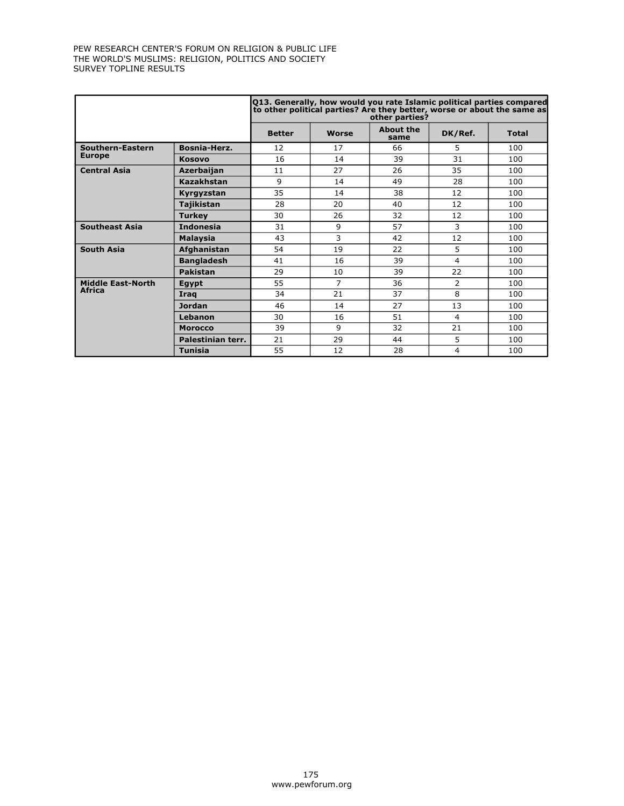|                          |                   | Q13. Generally, how would you rate Islamic political parties compared<br>to other political parties? Are they better, worse or about the same as<br>other parties? |                |                          |                |              |  |  |  |
|--------------------------|-------------------|--------------------------------------------------------------------------------------------------------------------------------------------------------------------|----------------|--------------------------|----------------|--------------|--|--|--|
|                          |                   | <b>Better</b>                                                                                                                                                      | <b>Worse</b>   | <b>About the</b><br>same | DK/Ref.        | <b>Total</b> |  |  |  |
| Southern-Eastern         | Bosnia-Herz.      | 12                                                                                                                                                                 | 17             | 66                       | 5              | 100          |  |  |  |
| <b>Europe</b>            | <b>Kosovo</b>     | 16                                                                                                                                                                 | 14             | 39                       | 31             | 100          |  |  |  |
| <b>Central Asia</b>      | Azerbaijan        | 11                                                                                                                                                                 | 27             | 26                       | 35             | 100          |  |  |  |
|                          | <b>Kazakhstan</b> | 9                                                                                                                                                                  | 14             | 49                       | 28             | 100          |  |  |  |
|                          | Kyrgyzstan        | 35                                                                                                                                                                 | 14             | 38                       | 12             | 100          |  |  |  |
|                          | Tajikistan        | 28                                                                                                                                                                 | 20             | 40                       | 12             | 100          |  |  |  |
|                          | <b>Turkey</b>     | 30                                                                                                                                                                 | 26             | 32                       | 12             | 100          |  |  |  |
| <b>Southeast Asia</b>    | <b>Indonesia</b>  | 31                                                                                                                                                                 | 9              | 57                       | 3              | 100          |  |  |  |
|                          | <b>Malaysia</b>   | 43                                                                                                                                                                 | 3              | 42                       | 12             | 100          |  |  |  |
| <b>South Asia</b>        | Afghanistan       | 54                                                                                                                                                                 | 19             | 22                       | 5              | 100          |  |  |  |
|                          | <b>Bangladesh</b> | 41                                                                                                                                                                 | 16             | 39                       | 4              | 100          |  |  |  |
|                          | <b>Pakistan</b>   | 29                                                                                                                                                                 | 10             | 39                       | 22             | 100          |  |  |  |
| <b>Middle East-North</b> | <b>Egypt</b>      | 55                                                                                                                                                                 | $\overline{7}$ | 36                       | $\overline{2}$ | 100          |  |  |  |
| <b>Africa</b>            | Irag              | 34                                                                                                                                                                 | 21             | 37                       | 8              | 100          |  |  |  |
|                          | <b>Jordan</b>     | 46                                                                                                                                                                 | 14             | 27                       | 13             | 100          |  |  |  |
|                          | Lebanon           | 30                                                                                                                                                                 | 16             | 51                       | $\overline{4}$ | 100          |  |  |  |
|                          | <b>Morocco</b>    | 39                                                                                                                                                                 | 9              | 32                       | 21             | 100          |  |  |  |
|                          | Palestinian terr. | 21                                                                                                                                                                 | 29             | 44                       | 5              | 100          |  |  |  |
|                          | <b>Tunisia</b>    | 55                                                                                                                                                                 | 12             | 28                       | 4              | 100          |  |  |  |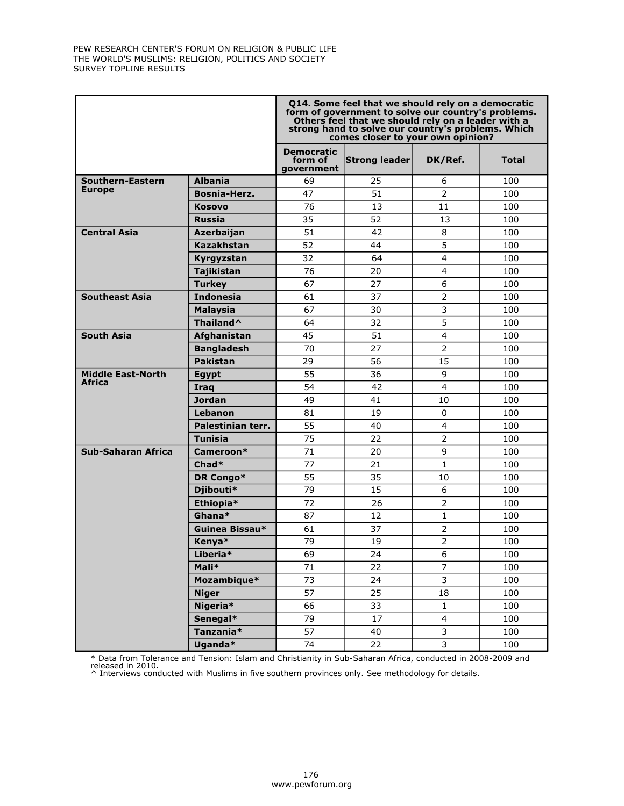|                          |                   | 014. Some feel that we should rely on a democratic<br>form of government to solve our country's problems.<br>Others feel that we should rely on a leader with a<br>strong hand to solve our country's problems. Which<br>comes closer to your own opinion? |               |                         |              |  |  |  |
|--------------------------|-------------------|------------------------------------------------------------------------------------------------------------------------------------------------------------------------------------------------------------------------------------------------------------|---------------|-------------------------|--------------|--|--|--|
|                          |                   | <b>Democratic</b><br>form of<br>government                                                                                                                                                                                                                 | Strong leader | DK/Ref.                 | <b>Total</b> |  |  |  |
| Southern-Eastern         | <b>Albania</b>    | 69                                                                                                                                                                                                                                                         | 25            | 6                       | 100          |  |  |  |
| <b>Europe</b>            | Bosnia-Herz.      | 47                                                                                                                                                                                                                                                         | 51            | $\overline{2}$          | 100          |  |  |  |
|                          | <b>Kosovo</b>     | 76                                                                                                                                                                                                                                                         | 13            | 11                      | 100          |  |  |  |
|                          | <b>Russia</b>     | 35                                                                                                                                                                                                                                                         | 52            | 13                      | 100          |  |  |  |
| <b>Central Asia</b>      | Azerbaijan        | 51                                                                                                                                                                                                                                                         | 42            | 8                       | 100          |  |  |  |
|                          | Kazakhstan        | 52                                                                                                                                                                                                                                                         | 44            | $\overline{5}$          | 100          |  |  |  |
|                          | Kyrgyzstan        | 32                                                                                                                                                                                                                                                         | 64            | $\overline{\mathbf{4}}$ | 100          |  |  |  |
|                          | <b>Tajikistan</b> | 76                                                                                                                                                                                                                                                         | 20            | $\overline{4}$          | 100          |  |  |  |
|                          | <b>Turkey</b>     | 67                                                                                                                                                                                                                                                         | 27            | 6                       | 100          |  |  |  |
| <b>Southeast Asia</b>    | <b>Indonesia</b>  | 61                                                                                                                                                                                                                                                         | 37            | $\overline{2}$          | 100          |  |  |  |
|                          | <b>Malaysia</b>   | 67                                                                                                                                                                                                                                                         | 30            | 3                       | 100          |  |  |  |
|                          | Thailand^         | 64                                                                                                                                                                                                                                                         | 32            | 5                       | 100          |  |  |  |
| <b>South Asia</b>        | Afghanistan       | 45                                                                                                                                                                                                                                                         | 51            | $\overline{4}$          | 100          |  |  |  |
|                          | <b>Bangladesh</b> | 70                                                                                                                                                                                                                                                         | 27            | $\overline{2}$          | 100          |  |  |  |
|                          | <b>Pakistan</b>   | 29                                                                                                                                                                                                                                                         | 56            | 15                      | 100          |  |  |  |
| <b>Middle East-North</b> | <b>Egypt</b>      | 55                                                                                                                                                                                                                                                         | 36            | 9                       | 100          |  |  |  |
| <b>Africa</b>            | Iraq              | 54                                                                                                                                                                                                                                                         | 42            | $\overline{4}$          | 100          |  |  |  |
|                          | Jordan            | 49                                                                                                                                                                                                                                                         | 41            | 10                      | 100          |  |  |  |
|                          | Lebanon           | 81                                                                                                                                                                                                                                                         | 19            | $\Omega$                | 100          |  |  |  |
|                          | Palestinian terr. | 55                                                                                                                                                                                                                                                         | 40            | 4                       | 100          |  |  |  |
|                          | Tunisia           | 75                                                                                                                                                                                                                                                         | 22            | $\overline{2}$          | 100          |  |  |  |
| Sub-Saharan Africa       | Cameroon*         | 71                                                                                                                                                                                                                                                         | 20            | 9                       | 100          |  |  |  |
|                          | $Chad*$           | 77                                                                                                                                                                                                                                                         | 21            | $\mathbf{1}$            | 100          |  |  |  |
|                          | DR Congo*         | 55                                                                                                                                                                                                                                                         | 35            | 10                      | 100          |  |  |  |
|                          | Djibouti*         | 79                                                                                                                                                                                                                                                         | 15            | 6                       | 100          |  |  |  |
|                          | Ethiopia*         | 72                                                                                                                                                                                                                                                         | 26            | $\overline{2}$          | 100          |  |  |  |
|                          | Ghana*            | 87                                                                                                                                                                                                                                                         | 12            | $\mathbf{1}$            | 100          |  |  |  |
|                          | Guinea Bissau*    | 61                                                                                                                                                                                                                                                         | 37            | $\overline{2}$          | 100          |  |  |  |
|                          | Kenya*            | 79                                                                                                                                                                                                                                                         | 19            | $\overline{2}$          | 100          |  |  |  |
|                          | Liberia*          | 69                                                                                                                                                                                                                                                         | 24            | 6                       | 100          |  |  |  |
|                          | Mali*             | 71                                                                                                                                                                                                                                                         | 22            | $\overline{7}$          | 100          |  |  |  |
|                          | Mozambique*       | 73                                                                                                                                                                                                                                                         | 24            | $\overline{3}$          | 100          |  |  |  |
|                          | <b>Niger</b>      | 57                                                                                                                                                                                                                                                         | 25            | 18                      | 100          |  |  |  |
|                          | Nigeria*          | 66                                                                                                                                                                                                                                                         | 33            | $\mathbf 1$             | 100          |  |  |  |
|                          | Senegal*          | 79                                                                                                                                                                                                                                                         | 17            | $\overline{4}$          | 100          |  |  |  |
|                          | Tanzania*         | 57                                                                                                                                                                                                                                                         | 40            | 3                       | 100          |  |  |  |
|                          | Uganda*           | 74                                                                                                                                                                                                                                                         | 22            | 3                       | 100          |  |  |  |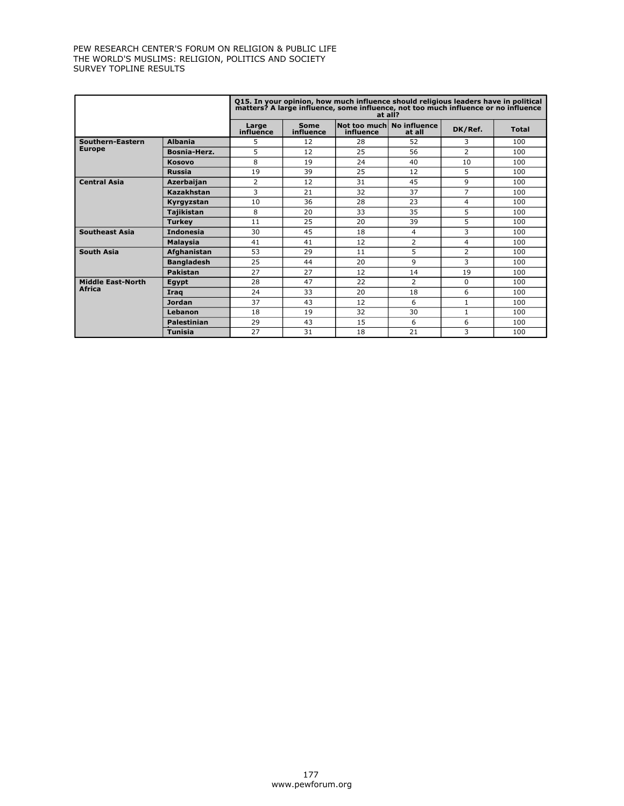|                          |                    |                    |                          | 015. In your opinion, how much influence should religious leaders have in political<br>matters? A large influence, some influence, not too much influence or no influence<br>at all? |                        |                |              |
|--------------------------|--------------------|--------------------|--------------------------|--------------------------------------------------------------------------------------------------------------------------------------------------------------------------------------|------------------------|----------------|--------------|
|                          |                    | Large<br>influence | <b>Some</b><br>influence | Not too much<br>influence                                                                                                                                                            | No influence<br>at all | DK/Ref.        | <b>Total</b> |
| Southern-Eastern         | <b>Albania</b>     | 5                  | 12                       | 28                                                                                                                                                                                   | 52                     | 3              | 100          |
| <b>Europe</b>            | Bosnia-Herz.       | 5                  | 12                       | 25                                                                                                                                                                                   | 56                     | $\overline{2}$ | 100          |
|                          | <b>Kosovo</b>      | 8                  | 19                       | 24                                                                                                                                                                                   | 40                     | 10             | 100          |
|                          | <b>Russia</b>      | 19                 | 39                       | 25                                                                                                                                                                                   | 12                     | 5              | 100          |
| <b>Central Asia</b>      | <b>Azerbaijan</b>  | 2                  | 12                       | 31                                                                                                                                                                                   | 45                     | 9              | 100          |
|                          | Kazakhstan         | 3                  | 21                       | 32                                                                                                                                                                                   | 37                     | 7              | 100          |
|                          | Kyrgyzstan         | 10                 | 36                       | 28                                                                                                                                                                                   | 23                     | 4              | 100          |
|                          | <b>Tajikistan</b>  | 8                  | 20                       | 33                                                                                                                                                                                   | 35                     | 5              | 100          |
|                          | <b>Turkey</b>      | 11                 | 25                       | 20                                                                                                                                                                                   | 39                     | 5              | 100          |
| <b>Southeast Asia</b>    | <b>Indonesia</b>   | 30                 | 45                       | 18                                                                                                                                                                                   | 4                      | 3              | 100          |
|                          | <b>Malaysia</b>    | 41                 | 41                       | 12                                                                                                                                                                                   | 2                      | 4              | 100          |
| <b>South Asia</b>        | Afghanistan        | 53                 | 29                       | 11                                                                                                                                                                                   | 5                      | $\overline{2}$ | 100          |
|                          | <b>Bangladesh</b>  | 25                 | 44                       | 20                                                                                                                                                                                   | 9                      | 3              | 100          |
|                          | <b>Pakistan</b>    | 27                 | 27                       | 12                                                                                                                                                                                   | 14                     | 19             | 100          |
| <b>Middle East-North</b> | Eqypt              | 28                 | 47                       | 22                                                                                                                                                                                   | $\overline{2}$         | 0              | 100          |
| <b>Africa</b>            | Iraq               | 24                 | 33                       | 20                                                                                                                                                                                   | 18                     | 6              | 100          |
|                          | <b>Jordan</b>      | 37                 | 43                       | 12                                                                                                                                                                                   | 6                      | 1              | 100          |
|                          | Lebanon            | 18                 | 19                       | 32                                                                                                                                                                                   | 30                     | $\mathbf{1}$   | 100          |
|                          | <b>Palestinian</b> | 29                 | 43                       | 15                                                                                                                                                                                   | 6                      | 6              | 100          |
|                          | <b>Tunisia</b>     | 27                 | 31                       | 18                                                                                                                                                                                   | 21                     | 3              | 100          |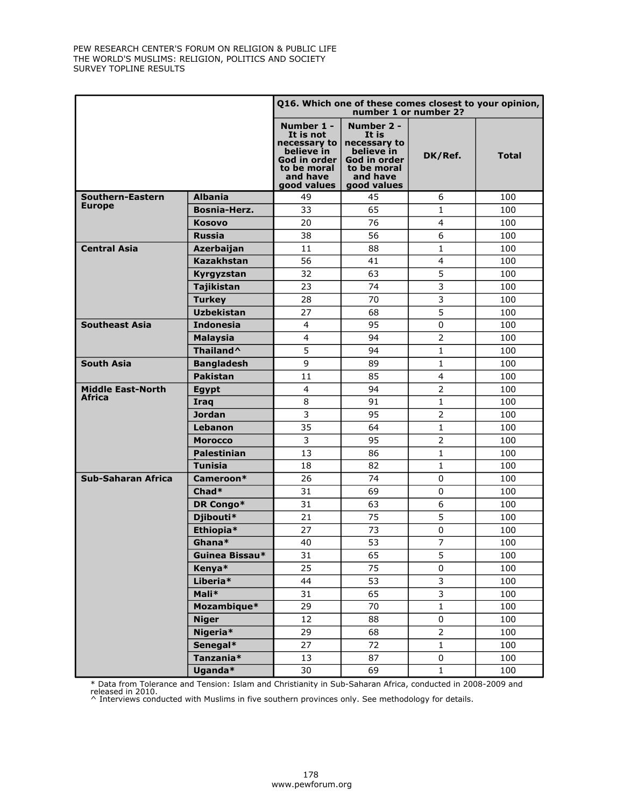|                           |                     | Q16. Which one of these comes closest to your opinion,<br>number 1 or number 2?                   |                                                                                                                              |                         |              |  |  |  |
|---------------------------|---------------------|---------------------------------------------------------------------------------------------------|------------------------------------------------------------------------------------------------------------------------------|-------------------------|--------------|--|--|--|
|                           |                     | Number 1 -<br>It is not<br>believe in<br>God in order  <br>to be moral<br>and have<br>good values | Number 2 -<br>It is<br>necessary to $ $ necessary to<br>believe in<br>God in order<br>to be moral<br>and have<br>good values | DK/Ref.                 | <b>Total</b> |  |  |  |
| Southern-Eastern          | <b>Albania</b>      | 49                                                                                                | 45                                                                                                                           | 6                       | 100          |  |  |  |
| <b>Europe</b>             | <b>Bosnia-Herz.</b> | 33                                                                                                | 65                                                                                                                           | $\mathbf{1}$            | 100          |  |  |  |
|                           | Kosovo              | 20                                                                                                | 76                                                                                                                           | $\overline{4}$          | 100          |  |  |  |
|                           | <b>Russia</b>       | 38                                                                                                | 56                                                                                                                           | 6                       | 100          |  |  |  |
| <b>Central Asia</b>       | Azerbaijan          | 11                                                                                                | 88                                                                                                                           | $\mathbf{1}$            | 100          |  |  |  |
|                           | <b>Kazakhstan</b>   | 56                                                                                                | 41                                                                                                                           | $\overline{\mathbf{4}}$ | 100          |  |  |  |
|                           | Kyrgyzstan          | 32                                                                                                | 63                                                                                                                           | 5                       | 100          |  |  |  |
|                           | Tajikistan          | 23                                                                                                | 74                                                                                                                           | 3                       | 100          |  |  |  |
|                           | <b>Turkey</b>       | 28                                                                                                | 70                                                                                                                           | 3                       | 100          |  |  |  |
|                           | <b>Uzbekistan</b>   | 27                                                                                                | 68                                                                                                                           | $\overline{5}$          | 100          |  |  |  |
| <b>Southeast Asia</b>     | <b>Indonesia</b>    | 4                                                                                                 | 95                                                                                                                           | $\mathbf 0$             | 100          |  |  |  |
|                           | <b>Malaysia</b>     | $\overline{\mathbf{4}}$                                                                           | 94                                                                                                                           | $\overline{2}$          | 100          |  |  |  |
|                           | Thailand^           | 5                                                                                                 | 94                                                                                                                           | $\mathbf{1}$            | 100          |  |  |  |
| <b>South Asia</b>         | <b>Bangladesh</b>   | 9                                                                                                 | 89                                                                                                                           | $\mathbf{1}$            | 100          |  |  |  |
|                           | <b>Pakistan</b>     | 11                                                                                                | 85                                                                                                                           | $\overline{4}$          | 100          |  |  |  |
| <b>Middle East-North</b>  | <b>Egypt</b>        | $\overline{4}$                                                                                    | 94                                                                                                                           | $\overline{2}$          | 100          |  |  |  |
| <b>Africa</b>             | Iraq                | 8                                                                                                 | 91                                                                                                                           | $1\,$                   | 100          |  |  |  |
|                           | <b>Jordan</b>       | 3                                                                                                 | 95                                                                                                                           | $\overline{2}$          | 100          |  |  |  |
|                           | Lebanon             | 35                                                                                                | 64                                                                                                                           | $\mathbf 1$             | 100          |  |  |  |
|                           | <b>Morocco</b>      | 3                                                                                                 | 95                                                                                                                           | $\overline{2}$          | 100          |  |  |  |
|                           | <b>Palestinian</b>  | 13                                                                                                | 86                                                                                                                           | $\mathbf{1}$            | 100          |  |  |  |
|                           | <b>Tunisia</b>      | 18                                                                                                | 82                                                                                                                           | $\mathbf{1}$            | 100          |  |  |  |
| <b>Sub-Saharan Africa</b> | Cameroon*           | 26                                                                                                | 74                                                                                                                           | $\mathbf 0$             | 100          |  |  |  |
|                           | $Chad*$             | 31                                                                                                | 69                                                                                                                           | $\mathbf 0$             | 100          |  |  |  |
|                           | DR Congo*           | 31                                                                                                | 63                                                                                                                           | 6                       | 100          |  |  |  |
|                           | Djibouti*           | 21                                                                                                | 75                                                                                                                           | 5                       | 100          |  |  |  |
|                           | Ethiopia*           | 27                                                                                                | 73                                                                                                                           | $\pmb{0}$               | 100          |  |  |  |
|                           | Ghana*              | 40                                                                                                | 53                                                                                                                           | $\overline{7}$          | 100          |  |  |  |
|                           | Guinea Bissau*      | 31                                                                                                | 65                                                                                                                           | 5                       | 100          |  |  |  |
|                           | Kenya*              | 25                                                                                                | 75                                                                                                                           | $\pmb{0}$               | 100          |  |  |  |
|                           | Liberia*            | 44                                                                                                | 53                                                                                                                           | $\overline{3}$          | 100          |  |  |  |
|                           | Mali*               | 31                                                                                                | 65                                                                                                                           | $\overline{3}$          | 100          |  |  |  |
|                           | Mozambique*         | 29                                                                                                | 70                                                                                                                           | $\mathbf 1$             | 100          |  |  |  |
|                           | <b>Niger</b>        | 12                                                                                                | 88                                                                                                                           | 0                       | 100          |  |  |  |
|                           | Nigeria*            | 29                                                                                                | 68                                                                                                                           | $\overline{2}$          | 100          |  |  |  |
|                           | Senegal*            | 27                                                                                                | 72                                                                                                                           | $\mathbf 1$             | 100          |  |  |  |
|                           | Tanzania*           | 13                                                                                                | 87                                                                                                                           | 0                       | 100          |  |  |  |
|                           | Uganda*             | 30                                                                                                | 69                                                                                                                           | $\mathbf{1}$            | 100          |  |  |  |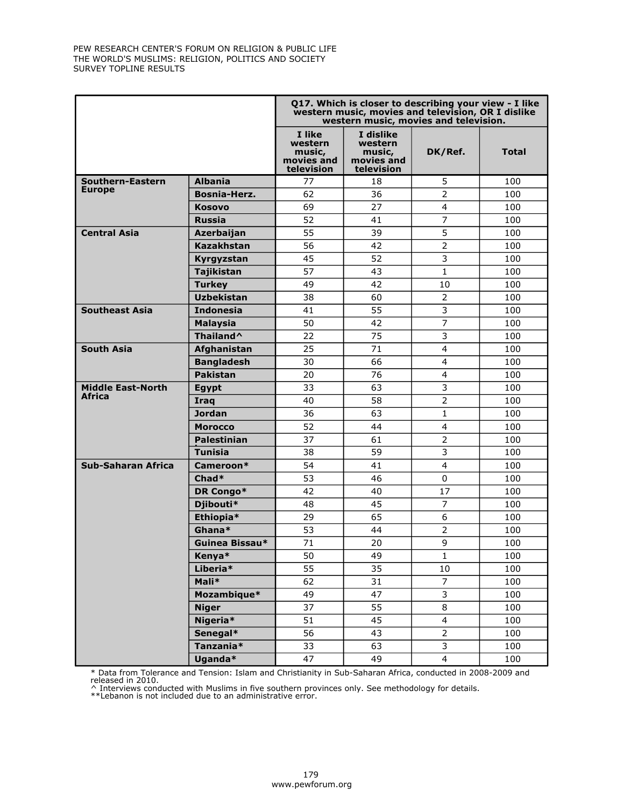|                           |                    | Q17. Which is closer to describing your view - I like<br>western music, movies and television, OR I dislike<br>western music, movies and television. |                                                            |                |       |  |  |  |
|---------------------------|--------------------|------------------------------------------------------------------------------------------------------------------------------------------------------|------------------------------------------------------------|----------------|-------|--|--|--|
|                           |                    | I like<br>western<br>music,<br>movies and<br>television                                                                                              | I dislike<br>western<br>music,<br>movies and<br>television | DK/Ref.        | Total |  |  |  |
| Southern-Eastern          | <b>Albania</b>     | 77                                                                                                                                                   | 18                                                         | 5              | 100   |  |  |  |
| <b>Europe</b>             | Bosnia-Herz.       | 62                                                                                                                                                   | 36                                                         | $\overline{2}$ | 100   |  |  |  |
|                           | <b>Kosovo</b>      | 69                                                                                                                                                   | 27                                                         | $\overline{4}$ | 100   |  |  |  |
|                           | <b>Russia</b>      | 52                                                                                                                                                   | 41                                                         | $\overline{7}$ | 100   |  |  |  |
| <b>Central Asia</b>       | Azerbaijan         | 55                                                                                                                                                   | 39                                                         | 5              | 100   |  |  |  |
|                           | <b>Kazakhstan</b>  | 56                                                                                                                                                   | 42                                                         | $\overline{2}$ | 100   |  |  |  |
|                           | Kyrgyzstan         | 45                                                                                                                                                   | 52                                                         | 3              | 100   |  |  |  |
|                           | Tajikistan         | 57                                                                                                                                                   | 43                                                         | $\mathbf{1}$   | 100   |  |  |  |
|                           | <b>Turkey</b>      | 49                                                                                                                                                   | 42                                                         | 10             | 100   |  |  |  |
|                           | <b>Uzbekistan</b>  | 38                                                                                                                                                   | 60                                                         | $\overline{2}$ | 100   |  |  |  |
| <b>Southeast Asia</b>     | <b>Indonesia</b>   | 41                                                                                                                                                   | 55                                                         | 3              | 100   |  |  |  |
|                           | <b>Malaysia</b>    | 50                                                                                                                                                   | 42                                                         | $\overline{7}$ | 100   |  |  |  |
|                           | Thailand^          | 22                                                                                                                                                   | 75                                                         | 3              | 100   |  |  |  |
| <b>South Asia</b>         | Afghanistan        | 25                                                                                                                                                   | 71                                                         | $\overline{4}$ | 100   |  |  |  |
|                           | <b>Bangladesh</b>  | 30                                                                                                                                                   | 66                                                         | 4              | 100   |  |  |  |
|                           | <b>Pakistan</b>    | 20                                                                                                                                                   | 76                                                         | $\overline{4}$ | 100   |  |  |  |
| <b>Middle East-North</b>  | <b>Egypt</b>       | 33                                                                                                                                                   | 63                                                         | 3              | 100   |  |  |  |
| Africa                    | Iraq               | 40                                                                                                                                                   | 58                                                         | $\overline{2}$ | 100   |  |  |  |
|                           | <b>Jordan</b>      | 36                                                                                                                                                   | 63                                                         | $\mathbf{1}$   | 100   |  |  |  |
|                           | <b>Morocco</b>     | 52                                                                                                                                                   | 44                                                         | $\overline{4}$ | 100   |  |  |  |
|                           | <b>Palestinian</b> | 37                                                                                                                                                   | 61                                                         | $\overline{2}$ | 100   |  |  |  |
|                           | <b>Tunisia</b>     | 38                                                                                                                                                   | 59                                                         | 3              | 100   |  |  |  |
| <b>Sub-Saharan Africa</b> | Cameroon*          | 54                                                                                                                                                   | 41                                                         | $\overline{4}$ | 100   |  |  |  |
|                           | $Chad*$            | 53                                                                                                                                                   | 46                                                         | 0              | 100   |  |  |  |
|                           | DR Congo*          | 42                                                                                                                                                   | 40                                                         | 17             | 100   |  |  |  |
|                           | Djibouti*          | 48                                                                                                                                                   | 45                                                         | $\overline{7}$ | 100   |  |  |  |
|                           | Ethiopia*          | 29                                                                                                                                                   | 65                                                         | 6              | 100   |  |  |  |
|                           | Ghana*             | 53                                                                                                                                                   | 44                                                         | $\overline{2}$ | 100   |  |  |  |
|                           | Guinea Bissau*     | 71                                                                                                                                                   | 20                                                         | 9              | 100   |  |  |  |
|                           | Kenya*             | 50                                                                                                                                                   | 49                                                         | 1              | 100   |  |  |  |
|                           | Liberia*           | 55                                                                                                                                                   | 35                                                         | 10             | 100   |  |  |  |
|                           | Mali*              | 62                                                                                                                                                   | 31                                                         | $\overline{7}$ | 100   |  |  |  |
|                           | Mozambique*        | 49                                                                                                                                                   | 47                                                         | 3              | 100   |  |  |  |
|                           | <b>Niger</b>       | 37                                                                                                                                                   | 55                                                         | 8              | 100   |  |  |  |
|                           | Nigeria*           | 51                                                                                                                                                   | 45                                                         | $\overline{4}$ | 100   |  |  |  |
|                           | Senegal*           | 56                                                                                                                                                   | 43                                                         | $\overline{2}$ | 100   |  |  |  |
|                           | Tanzania*          | 33                                                                                                                                                   | 63                                                         | 3              | 100   |  |  |  |
|                           | Uganda*            | 47                                                                                                                                                   | 49                                                         | $\overline{4}$ | 100   |  |  |  |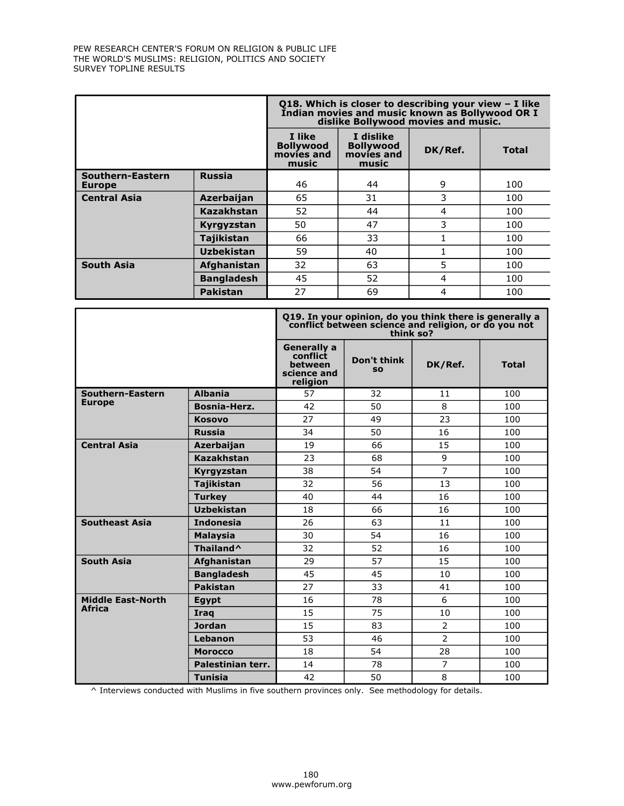|                                   | Q18. Which is closer to describing your view - I like<br>Indian movies and music known as Bollywood OR I<br>dislike Bollywood movies and music. |                                                   |                                                      |         |              |  |
|-----------------------------------|-------------------------------------------------------------------------------------------------------------------------------------------------|---------------------------------------------------|------------------------------------------------------|---------|--------------|--|
|                                   |                                                                                                                                                 | I like<br><b>Bollywood</b><br>movies and<br>music | I dislike<br><b>Bollywood</b><br>movies and<br>music | DK/Ref. | <b>Total</b> |  |
| Southern-Eastern<br><b>Europe</b> | <b>Russia</b>                                                                                                                                   | 46                                                | 44                                                   | 9       | 100          |  |
| <b>Central Asia</b>               | <b>Azerbaijan</b>                                                                                                                               | 65                                                | 31                                                   | 3       | 100          |  |
|                                   | <b>Kazakhstan</b>                                                                                                                               | 52                                                | 44                                                   | 4       | 100          |  |
|                                   | Kyrgyzstan                                                                                                                                      | 50                                                | 47                                                   | 3       | 100          |  |
|                                   | <b>Tajikistan</b>                                                                                                                               | 66                                                | 33                                                   |         | 100          |  |
|                                   | <b>Uzbekistan</b>                                                                                                                               | 59                                                | 40                                                   |         | 100          |  |
| <b>South Asia</b>                 | Afghanistan                                                                                                                                     | 32                                                | 63                                                   | 5       | 100          |  |
|                                   | <b>Bangladesh</b>                                                                                                                               | 45                                                | 52                                                   | 4       | 100          |  |
|                                   | <b>Pakistan</b>                                                                                                                                 | 27                                                | 69                                                   | 4       | 100          |  |

|                          |                       |                                                                      | Q19. In your opinion, do you think there is generally a<br>conflict between science and religion, or do you not<br>think so? |                |              |
|--------------------------|-----------------------|----------------------------------------------------------------------|------------------------------------------------------------------------------------------------------------------------------|----------------|--------------|
|                          |                       | <b>Generally a</b><br>conflict<br>between<br>science and<br>religion | Don't think<br><b>SO</b>                                                                                                     | DK/Ref.        | <b>Total</b> |
| Southern-Eastern         | <b>Albania</b>        | 57                                                                   | 32                                                                                                                           | 11             | 100          |
| <b>Europe</b>            | Bosnia-Herz.          | 42                                                                   | 50                                                                                                                           | 8              | 100          |
|                          | <b>Kosovo</b>         | 27                                                                   | 49                                                                                                                           | 23             | 100          |
|                          | <b>Russia</b>         | 34                                                                   | 50                                                                                                                           | 16             | 100          |
| <b>Central Asia</b>      | Azerbaijan            | 19                                                                   | 66                                                                                                                           | 15             | 100          |
|                          | <b>Kazakhstan</b>     | 23                                                                   | 68                                                                                                                           | 9              | 100          |
|                          | Kyrgyzstan            | 38                                                                   | 54                                                                                                                           | $\overline{7}$ | 100          |
|                          | <b>Tajikistan</b>     | 32                                                                   | 56                                                                                                                           | 13             | 100          |
|                          | <b>Turkey</b>         | 40                                                                   | 44                                                                                                                           | 16             | 100          |
|                          | <b>Uzbekistan</b>     | 18                                                                   | 66                                                                                                                           | 16             | 100          |
| <b>Southeast Asia</b>    | <b>Indonesia</b>      | 26                                                                   | 63                                                                                                                           | 11             | 100          |
|                          | <b>Malaysia</b>       | 30                                                                   | 54                                                                                                                           | 16             | 100          |
|                          | Thailand <sup>^</sup> | 32                                                                   | 52                                                                                                                           | 16             | 100          |
| <b>South Asia</b>        | Afghanistan           | 29                                                                   | 57                                                                                                                           | 15             | 100          |
|                          | <b>Bangladesh</b>     | 45                                                                   | 45                                                                                                                           | 10             | 100          |
|                          | <b>Pakistan</b>       | 27                                                                   | 33                                                                                                                           | 41             | 100          |
| <b>Middle East-North</b> | <b>Egypt</b>          | 16                                                                   | 78                                                                                                                           | 6              | 100          |
| <b>Africa</b>            | Iraq                  | 15                                                                   | 75                                                                                                                           | 10             | 100          |
|                          | <b>Jordan</b>         | 15                                                                   | 83                                                                                                                           | $\overline{2}$ | 100          |
|                          | Lebanon               | 53                                                                   | 46                                                                                                                           | 2              | 100          |
|                          | <b>Morocco</b>        | 18                                                                   | 54                                                                                                                           | 28             | 100          |
|                          | Palestinian terr.     | 14                                                                   | 78                                                                                                                           | $\overline{7}$ | 100          |
|                          | <b>Tunisia</b>        | 42                                                                   | 50                                                                                                                           | 8              | 100          |

 $\wedge$  Interviews conducted with Muslims in five southern provinces only. See methodology for details.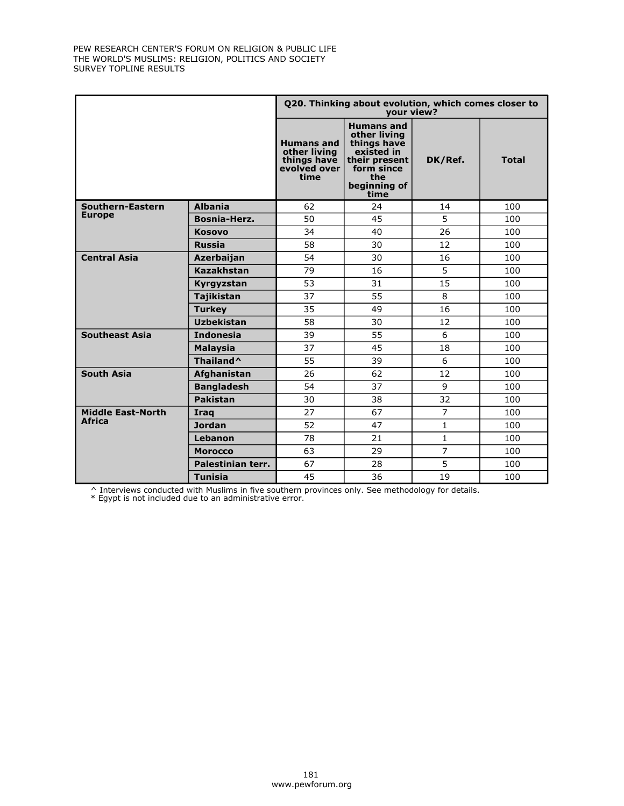|                          |                       |                                                                          | Q20. Thinking about evolution, which comes closer to<br>your view?                                                           |                |              |
|--------------------------|-----------------------|--------------------------------------------------------------------------|------------------------------------------------------------------------------------------------------------------------------|----------------|--------------|
|                          |                       | <b>Humans and</b><br>other living<br>things have<br>evolved over<br>time | <b>Humans and</b><br>other living<br>things have<br>existed in<br>their present<br>form since<br>the<br>beginning of<br>time | DK/Ref.        | <b>Total</b> |
| Southern-Eastern         | <b>Albania</b>        | 62                                                                       | 24                                                                                                                           | 14             | 100          |
| <b>Europe</b>            | Bosnia-Herz.          | 50                                                                       | 45                                                                                                                           | 5              | 100          |
|                          | <b>Kosovo</b>         | 34                                                                       | 40                                                                                                                           | 26             | 100          |
|                          | <b>Russia</b>         | 58                                                                       | 30                                                                                                                           | 12             | 100          |
| <b>Central Asia</b>      | Azerbaijan            | 54                                                                       | 30                                                                                                                           | 16             | 100          |
|                          | <b>Kazakhstan</b>     | 79                                                                       | 16                                                                                                                           | 5              | 100          |
|                          | Kyrgyzstan            | 53                                                                       | 31                                                                                                                           | 15             | 100          |
|                          | <b>Tajikistan</b>     | 37                                                                       | 55                                                                                                                           | 8              | 100          |
|                          | <b>Turkey</b>         | 35                                                                       | 49                                                                                                                           | 16             | 100          |
|                          | <b>Uzbekistan</b>     | 58                                                                       | 30                                                                                                                           | 12             | 100          |
| <b>Southeast Asia</b>    | <b>Indonesia</b>      | 39                                                                       | 55                                                                                                                           | 6              | 100          |
|                          | <b>Malaysia</b>       | 37                                                                       | 45                                                                                                                           | 18             | 100          |
|                          | Thailand <sup>^</sup> | 55                                                                       | 39                                                                                                                           | 6              | 100          |
| <b>South Asia</b>        | Afghanistan           | 26                                                                       | 62                                                                                                                           | 12             | 100          |
|                          | <b>Bangladesh</b>     | 54                                                                       | 37                                                                                                                           | 9              | 100          |
|                          | <b>Pakistan</b>       | 30                                                                       | 38                                                                                                                           | 32             | 100          |
| <b>Middle East-North</b> | Iraq                  | 27                                                                       | 67                                                                                                                           | 7              | 100          |
| <b>Africa</b>            | <b>Jordan</b>         | 52                                                                       | 47                                                                                                                           | $\mathbf{1}$   | 100          |
|                          | Lebanon               | 78                                                                       | 21                                                                                                                           | $\mathbf{1}$   | 100          |
|                          | <b>Morocco</b>        | 63                                                                       | 29                                                                                                                           | $\overline{7}$ | 100          |
|                          | Palestinian terr.     | 67                                                                       | 28                                                                                                                           | 5              | 100          |
|                          | <b>Tunisia</b>        | 45                                                                       | 36                                                                                                                           | 19             | 100          |

^ Interviews conducted with Muslims in five southern provinces only. See methodology for details. \* Egypt is not included due to an administrative error.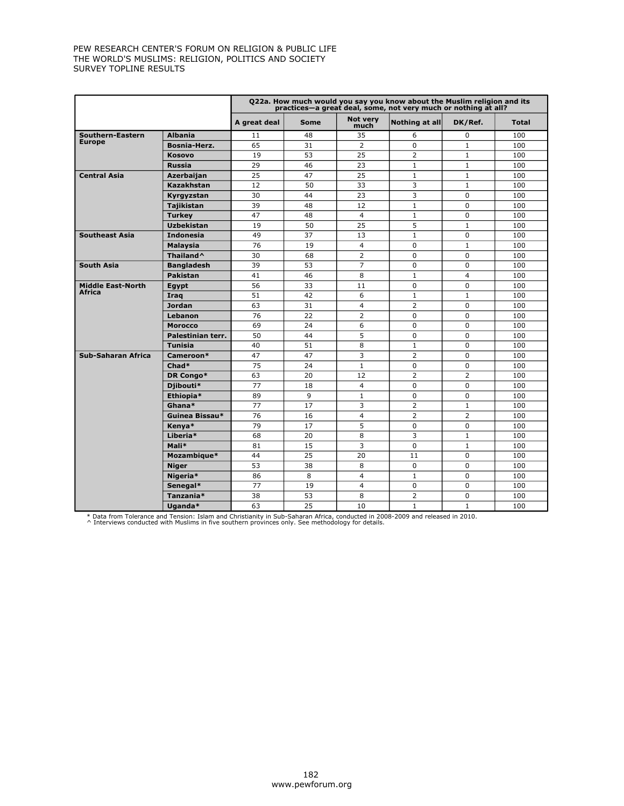|                           |                       |              |      |                         | Q22a. How much would you say you know about the Muslim religion and its<br>practices-a great deal, some, not very much or nothing at all? |                |              |
|---------------------------|-----------------------|--------------|------|-------------------------|-------------------------------------------------------------------------------------------------------------------------------------------|----------------|--------------|
|                           |                       | A great deal | Some | <b>Not verv</b><br>much | Nothing at all                                                                                                                            | DK/Ref.        | <b>Total</b> |
| Southern-Eastern          | <b>Albania</b>        | 11           | 48   | 35                      | 6                                                                                                                                         | 0              | 100          |
| <b>Europe</b>             | Bosnia-Herz.          | 65           | 31   | $\overline{2}$          | $\Omega$                                                                                                                                  | $\mathbf{1}$   | 100          |
|                           | <b>Kosovo</b>         | 19           | 53   | 25                      | 2                                                                                                                                         | $\mathbf{1}$   | 100          |
|                           | <b>Russia</b>         | 29           | 46   | 23                      | $\mathbf{1}$                                                                                                                              | $\mathbf{1}$   | 100          |
| <b>Central Asia</b>       | Azerbaijan            | 25           | 47   | 25                      | $\mathbf{1}$                                                                                                                              | $\mathbf{1}$   | 100          |
|                           | Kazakhstan            | 12           | 50   | 33                      | 3                                                                                                                                         | $\mathbf{1}$   | 100          |
|                           | Kyrgyzstan            | 30           | 44   | 23                      | 3                                                                                                                                         | 0              | 100          |
|                           | <b>Tajikistan</b>     | 39           | 48   | 12                      | $\mathbf{1}$                                                                                                                              | $\Omega$       | 100          |
|                           | <b>Turkey</b>         | 47           | 48   | $\overline{4}$          | $\mathbf{1}$                                                                                                                              | $\Omega$       | 100          |
|                           | <b>Uzbekistan</b>     | 19           | 50   | 25                      | 5                                                                                                                                         | $\mathbf{1}$   | 100          |
| <b>Southeast Asia</b>     | <b>Indonesia</b>      | 49           | 37   | 13                      | $\mathbf{1}$                                                                                                                              | $\Omega$       | 100          |
|                           | <b>Malaysia</b>       | 76           | 19   | $\overline{4}$          | $\mathbf 0$                                                                                                                               | $\mathbf{1}$   | 100          |
|                           | Thailand <sup>^</sup> | 30           | 68   | 2                       | $\Omega$                                                                                                                                  | $\Omega$       | 100          |
| <b>South Asia</b>         | <b>Bangladesh</b>     | 39           | 53   | $\overline{7}$          | $\Omega$                                                                                                                                  | $\Omega$       | 100          |
|                           | <b>Pakistan</b>       | 41           | 46   | 8                       | $\mathbf{1}$                                                                                                                              | $\overline{4}$ | 100          |
| <b>Middle East-North</b>  | Egypt                 | 56           | 33   | 11                      | $\Omega$                                                                                                                                  | $\Omega$       | 100          |
| Africa                    | Irag                  | 51           | 42   | 6                       | $\mathbf{1}$                                                                                                                              | $\mathbf{1}$   | 100          |
|                           | <b>Jordan</b>         | 63           | 31   | $\overline{4}$          | $\overline{2}$                                                                                                                            | $\Omega$       | 100          |
|                           | Lebanon               | 76           | 22   | 2                       | $\mathbf 0$                                                                                                                               | 0              | 100          |
|                           | <b>Morocco</b>        | 69           | 24   | 6                       | $\Omega$                                                                                                                                  | $\Omega$       | 100          |
|                           | Palestinian terr.     | 50           | 44   | 5                       | $\Omega$                                                                                                                                  | $\Omega$       | 100          |
|                           | <b>Tunisia</b>        | 40           | 51   | 8                       | $\mathbf{1}$                                                                                                                              | $\Omega$       | 100          |
| <b>Sub-Saharan Africa</b> | Cameroon*             | 47           | 47   | 3                       | $\overline{2}$                                                                                                                            | 0              | 100          |
|                           | $Chad*$               | 75           | 24   | $\mathbf{1}$            | $\Omega$                                                                                                                                  | $\Omega$       | 100          |
|                           | DR Congo*             | 63           | 20   | 12                      | $\overline{2}$                                                                                                                            | $\overline{2}$ | 100          |
|                           | Djibouti*             | 77           | 18   | $\overline{4}$          | $\mathbf 0$                                                                                                                               | 0              | 100          |
|                           | Ethiopia*             | 89           | 9    | $\mathbf{1}$            | $\mathbf 0$                                                                                                                               | 0              | 100          |
|                           | Ghana*                | 77           | 17   | 3                       | $\overline{2}$                                                                                                                            | $\mathbf{1}$   | 100          |
|                           | Guinea Bissau*        | 76           | 16   | $\overline{\mathbf{4}}$ | 2                                                                                                                                         | $\overline{2}$ | 100          |
|                           | Kenya*                | 79           | 17   | 5                       | $\mathbf 0$                                                                                                                               | 0              | 100          |
|                           | Liberia*              | 68           | 20   | 8                       | 3                                                                                                                                         | $\mathbf{1}$   | 100          |
|                           | Mali*                 | 81           | 15   | 3                       | $\Omega$                                                                                                                                  | $\mathbf{1}$   | 100          |
|                           | Mozambique*           | 44           | 25   | 20                      | 11                                                                                                                                        | $\Omega$       | 100          |
|                           | <b>Niger</b>          | 53           | 38   | 8                       | $\Omega$                                                                                                                                  | $\Omega$       | 100          |
|                           | Nigeria*              | 86           | 8    | 4                       | $\mathbf{1}$                                                                                                                              | 0              | 100          |
|                           | Senegal*              | 77           | 19   | $\overline{4}$          | $\Omega$                                                                                                                                  | $\Omega$       | 100          |
|                           | Tanzania*             | 38           | 53   | 8                       | $\overline{2}$                                                                                                                            | 0              | 100          |
|                           | Uganda*               | 63           | 25   | 10                      | $\mathbf{1}$                                                                                                                              | $\mathbf{1}$   | 100          |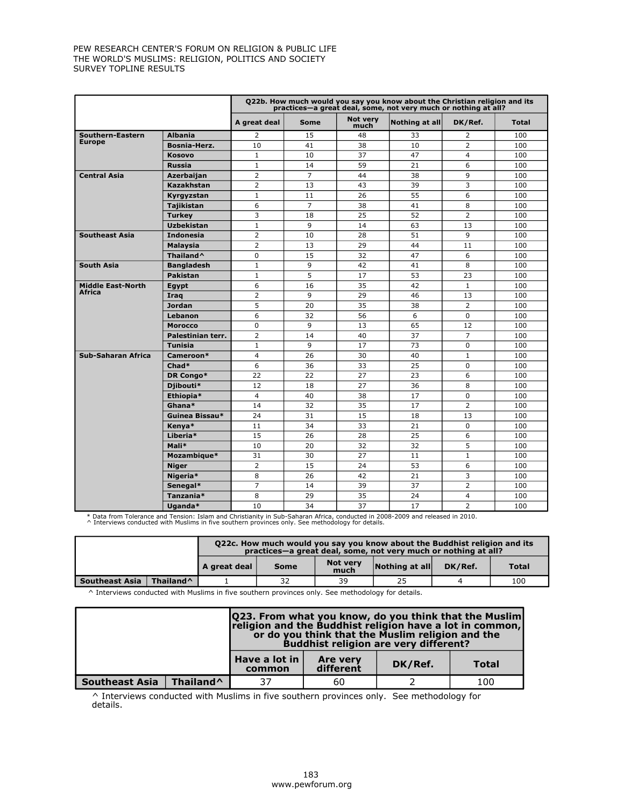|                           |                       |                |                |                         | Q22b. How much would you say you know about the Christian religion and its<br>practices—a great deal, some, not very much or nothing at all? |                |              |
|---------------------------|-----------------------|----------------|----------------|-------------------------|----------------------------------------------------------------------------------------------------------------------------------------------|----------------|--------------|
|                           |                       | A great deal   | <b>Some</b>    | <b>Not verv</b><br>much | Nothing at all                                                                                                                               | DK/Ref.        | <b>Total</b> |
| Southern-Eastern          | <b>Albania</b>        | $\overline{2}$ | 15             | 48                      | 33                                                                                                                                           | $\overline{2}$ | 100          |
| <b>Europe</b>             | Bosnia-Herz.          | 10             | 41             | 38                      | 10                                                                                                                                           | $\overline{2}$ | 100          |
|                           | <b>Kosovo</b>         | $\mathbf{1}$   | 10             | 37                      | 47                                                                                                                                           | $\overline{4}$ | 100          |
|                           | <b>Russia</b>         | $\mathbf{1}$   | 14             | 59                      | 21                                                                                                                                           | 6              | 100          |
| <b>Central Asia</b>       | Azerbaijan            | $\overline{2}$ | $\overline{7}$ | 44                      | 38                                                                                                                                           | 9              | 100          |
|                           | Kazakhstan            | $\overline{2}$ | 13             | 43                      | 39                                                                                                                                           | 3              | 100          |
|                           | Kyrgyzstan            | $\mathbf{1}$   | 11             | 26                      | 55                                                                                                                                           | 6              | 100          |
|                           | <b>Tajikistan</b>     | 6              | $\overline{7}$ | 38                      | 41                                                                                                                                           | 8              | 100          |
|                           | <b>Turkey</b>         | 3              | 18             | 25                      | 52                                                                                                                                           | $\overline{2}$ | 100          |
|                           | <b>Uzbekistan</b>     | $\mathbf{1}$   | 9              | 14                      | 63                                                                                                                                           | 13             | 100          |
| <b>Southeast Asia</b>     | <b>Indonesia</b>      | $\overline{2}$ | 10             | 28                      | 51                                                                                                                                           | 9              | 100          |
|                           | <b>Malaysia</b>       | 2              | 13             | 29                      | 44                                                                                                                                           | 11             | 100          |
|                           | Thailand <sup>^</sup> | $\Omega$       | 15             | 32                      | 47                                                                                                                                           | 6              | 100          |
| <b>South Asia</b>         | <b>Bangladesh</b>     | $\mathbf{1}$   | 9              | 42                      | 41                                                                                                                                           | 8              | 100          |
|                           | <b>Pakistan</b>       | $\mathbf{1}$   | 5              | 17                      | 53                                                                                                                                           | 23             | 100          |
| <b>Middle East-North</b>  | Egypt                 | 6              | 16             | 35                      | 42                                                                                                                                           | $\mathbf{1}$   | 100          |
| Africa                    | Irag                  | 2              | 9              | 29                      | 46                                                                                                                                           | 13             | 100          |
|                           | <b>Jordan</b>         | 5              | 20             | 35                      | 38                                                                                                                                           | $\overline{2}$ | 100          |
|                           | <b>Lebanon</b>        | 6              | 32             | 56                      | 6                                                                                                                                            | 0              | 100          |
|                           | <b>Morocco</b>        | 0              | 9              | 13                      | 65                                                                                                                                           | 12             | 100          |
|                           | Palestinian terr.     | $\overline{2}$ | 14             | 40                      | 37                                                                                                                                           | $\overline{7}$ | 100          |
|                           | <b>Tunisia</b>        | $\mathbf{1}$   | 9              | 17                      | 73                                                                                                                                           | 0              | 100          |
| <b>Sub-Saharan Africa</b> | Cameroon*             | $\overline{4}$ | 26             | 30                      | 40                                                                                                                                           | $\mathbf{1}$   | 100          |
|                           | Chad*                 | 6              | 36             | 33                      | 25                                                                                                                                           | $\Omega$       | 100          |
|                           | DR Congo*             | 22             | 22             | 27                      | 23                                                                                                                                           | 6              | 100          |
|                           | Djibouti*             | 12             | 18             | 27                      | 36                                                                                                                                           | 8              | 100          |
|                           | Ethiopia*             | 4              | 40             | 38                      | 17                                                                                                                                           | 0              | 100          |
|                           | Ghana*                | 14             | 32             | 35                      | 17                                                                                                                                           | $\overline{2}$ | 100          |
|                           | Guinea Bissau*        | 24             | 31             | 15                      | 18                                                                                                                                           | 13             | 100          |
|                           | Kenya*                | 11             | 34             | 33                      | 21                                                                                                                                           | $\Omega$       | 100          |
|                           | Liberia*              | 15             | 26             | 28                      | 25                                                                                                                                           | 6              | 100          |
|                           | Mali*                 | 10             | 20             | 32                      | 32                                                                                                                                           | 5              | 100          |
|                           | Mozambique*           | 31             | 30             | 27                      | 11                                                                                                                                           | $\mathbf{1}$   | 100          |
|                           | <b>Niger</b>          | $\overline{2}$ | 15             | 24                      | 53                                                                                                                                           | 6              | 100          |
|                           | Nigeria*              | 8              | 26             | 42                      | 21                                                                                                                                           | 3              | 100          |
|                           | Senegal*              | $\overline{7}$ | 14             | 39                      | 37                                                                                                                                           | $\overline{2}$ | 100          |
|                           | Tanzania*             | 8              | 29             | 35                      | 24                                                                                                                                           | 4              | 100          |
|                           | Uganda*               | 10             | 34             | 37                      | 17                                                                                                                                           | $\overline{2}$ | 100          |

\* Data from Tolerance and Tension: Islam and Christianity in Sub-Saharan Africa, conducted in 2008-2009 and released in 2010. ^ Interviews conducted with Muslims in five southern provinces only. See methodology for details.

|                                                                         |  | Q22c. How much would you say you know about the Buddhist religion and its<br>practices-a great deal, some, not very much or nothing at all? |             |                         |                                |         |              |  |  |
|-------------------------------------------------------------------------|--|---------------------------------------------------------------------------------------------------------------------------------------------|-------------|-------------------------|--------------------------------|---------|--------------|--|--|
|                                                                         |  | A great deal                                                                                                                                | <b>Some</b> | <b>Not verv</b><br>much | $\vert$ Nothing at all $\vert$ | DK/Ref. | <b>Total</b> |  |  |
| <b>Southeast Asia</b><br>25<br>39<br>Thailand <sup>^</sup><br>32<br>100 |  |                                                                                                                                             |             |                         |                                |         |              |  |  |

 $\wedge$  Interviews conducted with Muslims in five southern provinces only. See methodology for details.

|                       |                       |                         | <b>Q23. From what you know, do you think that the Muslim</b><br>religion and the Buddhist religion have a lot in common,<br>or do you think that the Muslim religion and the<br><b>Buddhist religion are very different?</b> |  |  |  |  |  |  |  |  |
|-----------------------|-----------------------|-------------------------|------------------------------------------------------------------------------------------------------------------------------------------------------------------------------------------------------------------------------|--|--|--|--|--|--|--|--|
|                       |                       | Have a lot in<br>common | <b>Are very</b><br>DK/Ref.<br><b>Total</b><br>different                                                                                                                                                                      |  |  |  |  |  |  |  |  |
| <b>Southeast Asia</b> | Thailand <sup>^</sup> | 37                      | 100<br>60                                                                                                                                                                                                                    |  |  |  |  |  |  |  |  |

^ Interviews conducted with Muslims in five southern provinces only. See methodology for details.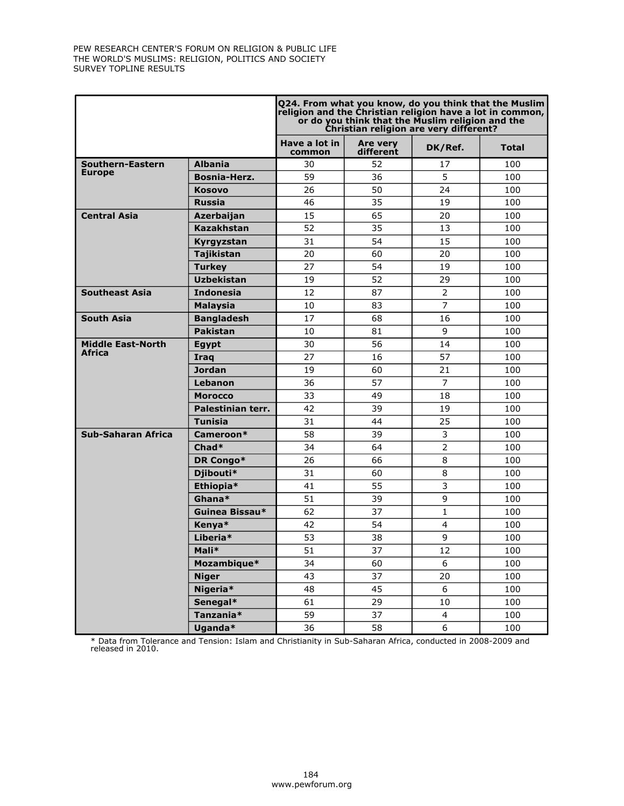|                          |                   | Q24. From what you know, do you think that the Muslim<br>religion and the Christian religion have a lot in common, |                       | or do you think that the Muslim religion and the<br>Christian religion are very different? |              |
|--------------------------|-------------------|--------------------------------------------------------------------------------------------------------------------|-----------------------|--------------------------------------------------------------------------------------------|--------------|
|                          |                   | Have a lot in<br>common                                                                                            | Are very<br>different | DK/Ref.                                                                                    | <b>Total</b> |
| <b>Southern-Eastern</b>  | <b>Albania</b>    | 30                                                                                                                 | 52                    | 17                                                                                         | 100          |
| <b>Europe</b>            | Bosnia-Herz.      | 59                                                                                                                 | 36                    | 5                                                                                          | 100          |
|                          | <b>Kosovo</b>     | 26                                                                                                                 | 50                    | 24                                                                                         | 100          |
|                          | <b>Russia</b>     | 46                                                                                                                 | 35                    | 19                                                                                         | 100          |
| <b>Central Asia</b>      | Azerbaijan        | 15                                                                                                                 | 65                    | 20                                                                                         | 100          |
|                          | Kazakhstan        | 52                                                                                                                 | 35                    | 13                                                                                         | 100          |
|                          | Kyrgyzstan        | 31                                                                                                                 | 54                    | 15                                                                                         | 100          |
|                          | Tajikistan        | 20                                                                                                                 | 60                    | 20                                                                                         | 100          |
|                          | <b>Turkey</b>     | 27                                                                                                                 | 54                    | 19                                                                                         | 100          |
|                          | <b>Uzbekistan</b> | 19                                                                                                                 | 52                    | 29                                                                                         | 100          |
| <b>Southeast Asia</b>    | <b>Indonesia</b>  | 12                                                                                                                 | 87                    | $\overline{2}$                                                                             | 100          |
|                          | <b>Malaysia</b>   | 10                                                                                                                 | 83                    | 7                                                                                          | 100          |
| <b>South Asia</b>        | <b>Bangladesh</b> | 17                                                                                                                 | 68                    | 16                                                                                         | 100          |
|                          | <b>Pakistan</b>   | 10                                                                                                                 | 81                    | 9                                                                                          | 100          |
| <b>Middle East-North</b> | <b>Egypt</b>      | 30                                                                                                                 | 56                    | 14                                                                                         | 100          |
| Africa                   | Iraq              | 27                                                                                                                 | 16                    | 57                                                                                         | 100          |
|                          | <b>Jordan</b>     | 19                                                                                                                 | 60                    | 21                                                                                         | 100          |
|                          | Lebanon           | 36                                                                                                                 | 57                    | $\overline{7}$                                                                             | 100          |
|                          | <b>Morocco</b>    | 33                                                                                                                 | 49                    | 18                                                                                         | 100          |
|                          | Palestinian terr. | 42                                                                                                                 | 39                    | 19                                                                                         | 100          |
|                          | Tunisia           | 31                                                                                                                 | 44                    | 25                                                                                         | 100          |
| Sub-Saharan Africa       | Cameroon*         | 58                                                                                                                 | 39                    | 3                                                                                          | 100          |
|                          | Chad*             | 34                                                                                                                 | 64                    | $\overline{2}$                                                                             | 100          |
|                          | DR Congo*         | 26                                                                                                                 | 66                    | 8                                                                                          | 100          |
|                          | Djibouti*         | 31                                                                                                                 | 60                    | 8                                                                                          | 100          |
|                          | Ethiopia*         | 41                                                                                                                 | 55                    | 3                                                                                          | 100          |
|                          | Ghana*            | 51                                                                                                                 | 39                    | 9                                                                                          | 100          |
|                          | Guinea Bissau*    | 62                                                                                                                 | 37                    | 1                                                                                          | 100          |
|                          | Kenya*            | 42                                                                                                                 | 54                    | 4                                                                                          | 100          |
|                          | Liberia*          | 53                                                                                                                 | 38                    | 9                                                                                          | 100          |
|                          | Mali*             | 51                                                                                                                 | 37                    | 12                                                                                         | 100          |
|                          | Mozambique*       | 34                                                                                                                 | 60                    | 6                                                                                          | 100          |
|                          | <b>Niger</b>      | 43                                                                                                                 | 37                    | 20                                                                                         | 100          |
|                          | Nigeria*          | 48                                                                                                                 | 45                    | 6                                                                                          | 100          |
|                          | Senegal*          | 61                                                                                                                 | 29                    | 10                                                                                         | 100          |
|                          | Tanzania*         | 59                                                                                                                 | 37                    | $\overline{4}$                                                                             | 100          |
|                          | Uganda*           | 36                                                                                                                 | 58                    | 6                                                                                          | 100          |

\* Data from Tolerance and Tension: Islam and Christianity in Sub-Saharan Africa, conducted in 2008-2009 and released in 2010.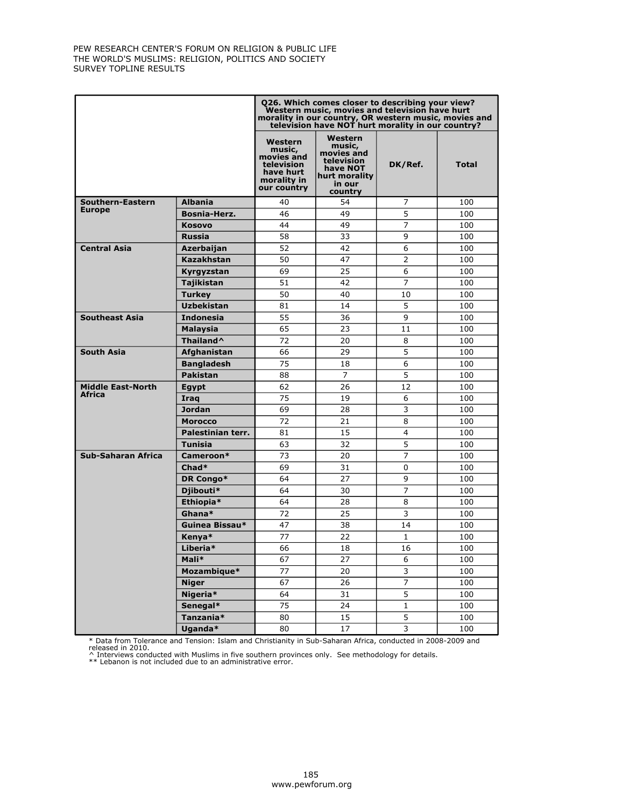|                          |                       |                                                                                          | Q26. Which comes closer to describing your view?<br>Western music, movies and television have hurt<br>morality in our country, OR western music, movies and<br>television have NOT hurt morality in our country? |                         |              |
|--------------------------|-----------------------|------------------------------------------------------------------------------------------|------------------------------------------------------------------------------------------------------------------------------------------------------------------------------------------------------------------|-------------------------|--------------|
|                          |                       | Western<br>music,<br>movies and<br>television<br>have hurt<br>morality in<br>our country | Western<br>music,<br>movies and<br>television<br>have NOT<br>hurt morality<br>in our<br>country                                                                                                                  | DK/Ref.                 | <b>Total</b> |
| Southern-Eastern         | <b>Albania</b>        | 40                                                                                       | 54                                                                                                                                                                                                               | 7                       | 100          |
| <b>Europe</b>            | Bosnia-Herz.          | 46                                                                                       | 49                                                                                                                                                                                                               | 5                       | 100          |
|                          | <b>Kosovo</b>         | 44                                                                                       | 49                                                                                                                                                                                                               | 7                       | 100          |
|                          | <b>Russia</b>         | 58                                                                                       | 33                                                                                                                                                                                                               | 9                       | 100          |
| <b>Central Asia</b>      | Azerbaijan            | 52                                                                                       | 42                                                                                                                                                                                                               | 6                       | 100          |
|                          | <b>Kazakhstan</b>     | 50                                                                                       | 47                                                                                                                                                                                                               | $\overline{2}$          | 100          |
|                          | Kyrgyzstan            | 69                                                                                       | 25                                                                                                                                                                                                               | 6                       | 100          |
|                          | <b>Tajikistan</b>     | 51                                                                                       | 42                                                                                                                                                                                                               | 7                       | 100          |
|                          | <b>Turkey</b>         | 50                                                                                       | 40                                                                                                                                                                                                               | 10                      | 100          |
|                          | <b>Uzbekistan</b>     | 81                                                                                       | 14                                                                                                                                                                                                               | 5                       | 100          |
| <b>Southeast Asia</b>    | <b>Indonesia</b>      | 55                                                                                       | 36                                                                                                                                                                                                               | 9                       | 100          |
|                          | Malaysia              | 65                                                                                       | 23                                                                                                                                                                                                               | 11                      | 100          |
|                          | Thailand <sup>^</sup> | 72                                                                                       | 20                                                                                                                                                                                                               | 8                       | 100          |
| <b>South Asia</b>        | Afghanistan           | 66                                                                                       | 29                                                                                                                                                                                                               | 5                       | 100          |
|                          | <b>Bangladesh</b>     | 75                                                                                       | 18                                                                                                                                                                                                               | 6                       | 100          |
|                          | <b>Pakistan</b>       | 88                                                                                       | $\overline{7}$                                                                                                                                                                                                   | 5                       | 100          |
| <b>Middle East-North</b> | <b>Egypt</b>          | 62                                                                                       | 26                                                                                                                                                                                                               | 12                      | 100          |
| <b>Africa</b>            | Iraq                  | 75                                                                                       | 19                                                                                                                                                                                                               | 6                       | 100          |
|                          | <b>Jordan</b>         | 69                                                                                       | 28                                                                                                                                                                                                               | 3                       | 100          |
|                          | <b>Morocco</b>        | 72                                                                                       | 21                                                                                                                                                                                                               | 8                       | 100          |
|                          | Palestinian terr.     | 81                                                                                       | 15                                                                                                                                                                                                               | 4                       | 100          |
|                          | <b>Tunisia</b>        | 63                                                                                       | 32                                                                                                                                                                                                               | 5                       | 100          |
| Sub-Saharan Africa       | Cameroon*             | 73                                                                                       | 20                                                                                                                                                                                                               | 7                       | 100          |
|                          | $Chad*$               | 69                                                                                       | 31                                                                                                                                                                                                               | 0                       | 100          |
|                          | DR Congo*             | 64                                                                                       | 27                                                                                                                                                                                                               | 9                       | 100          |
|                          | Djibouti*             | 64                                                                                       | 30                                                                                                                                                                                                               | $\overline{7}$          | 100          |
|                          | Ethiopia*             | 64                                                                                       | 28                                                                                                                                                                                                               | 8                       | 100          |
|                          | Ghana*                | 72                                                                                       | 25                                                                                                                                                                                                               | 3                       | 100          |
|                          | Guinea Bissau*        | 47                                                                                       | 38                                                                                                                                                                                                               | 14                      | 100          |
|                          | Kenya*                | 77                                                                                       | 22                                                                                                                                                                                                               | 1                       | 100          |
|                          | Liberia*              | 66                                                                                       | 18                                                                                                                                                                                                               | 16                      | 100          |
|                          | Mali*                 | 67                                                                                       | 27                                                                                                                                                                                                               | 6                       | 100          |
|                          | Mozambique*           | 77                                                                                       | 20                                                                                                                                                                                                               | $\overline{\mathbf{3}}$ | 100          |
|                          | <b>Niger</b>          | 67                                                                                       | 26                                                                                                                                                                                                               | $\overline{7}$          | 100          |
|                          | Nigeria*              | 64                                                                                       | 31                                                                                                                                                                                                               | $\overline{5}$          | 100          |
|                          | Senegal*              | 75                                                                                       | 24                                                                                                                                                                                                               | $\mathbf{1}$            | 100          |
|                          | Tanzania*             | 80                                                                                       | 15                                                                                                                                                                                                               | 5                       | 100          |
|                          | Uganda*               | 80                                                                                       | 17                                                                                                                                                                                                               | $\overline{3}$          | 100          |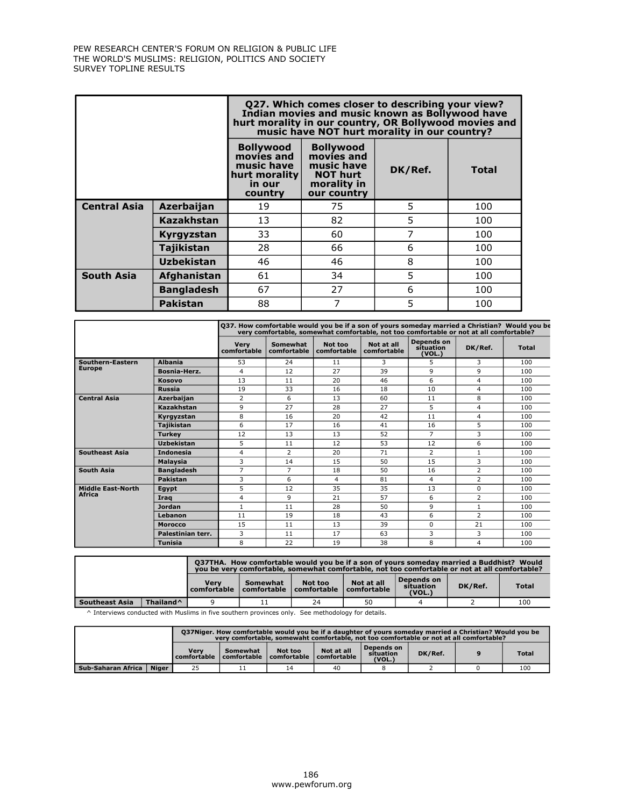|                     |                   |                                                                                    | Q27. Which comes closer to describing your view?<br>Indian movies and music known as Bollywood have<br>hurt morality in our country, OR Bollywood movies and<br>music have NOT hurt morality in our country? |         |              |  |  |  |  |  |  |  |
|---------------------|-------------------|------------------------------------------------------------------------------------|--------------------------------------------------------------------------------------------------------------------------------------------------------------------------------------------------------------|---------|--------------|--|--|--|--|--|--|--|
|                     |                   | <b>Bollywood</b><br>movies and<br>music have<br>hurt morality<br>in our<br>country | <b>Bollywood</b><br>movies and<br>music have<br><b>NOT hurt</b><br>morality in<br>our country                                                                                                                | DK/Ref. | <b>Total</b> |  |  |  |  |  |  |  |
| <b>Central Asia</b> | Azerbaijan        | 19                                                                                 | 75                                                                                                                                                                                                           | 5       | 100          |  |  |  |  |  |  |  |
|                     | Kazakhstan        | 13                                                                                 | 82                                                                                                                                                                                                           | 5       | 100          |  |  |  |  |  |  |  |
|                     | Kyrgyzstan        | 33                                                                                 | 60                                                                                                                                                                                                           | 7       | 100          |  |  |  |  |  |  |  |
|                     | Tajikistan        | 28                                                                                 | 66                                                                                                                                                                                                           | 6       | 100          |  |  |  |  |  |  |  |
|                     | <b>Uzbekistan</b> | 46                                                                                 | 46                                                                                                                                                                                                           | 8       | 100          |  |  |  |  |  |  |  |
| <b>South Asia</b>   | Afghanistan       | 61                                                                                 | 34                                                                                                                                                                                                           | 5       | 100          |  |  |  |  |  |  |  |
|                     | <b>Bangladesh</b> | 67                                                                                 | 27<br>6<br>100                                                                                                                                                                                               |         |              |  |  |  |  |  |  |  |
|                     | <b>Pakistan</b>   | 88                                                                                 | 7                                                                                                                                                                                                            | 5       | 100          |  |  |  |  |  |  |  |

|                          |                   |                            | 037. How comfortable would you be if a son of yours someday married a Christian? Would you be<br>very comfortable, somewhat comfortable, not too comfortable or not at all comfortable? |                        |                           |                                          |                |              |  |  |  |
|--------------------------|-------------------|----------------------------|-----------------------------------------------------------------------------------------------------------------------------------------------------------------------------------------|------------------------|---------------------------|------------------------------------------|----------------|--------------|--|--|--|
|                          |                   | <b>Verv</b><br>comfortable | Somewhat<br>comfortable                                                                                                                                                                 | Not too<br>comfortable | Not at all<br>comfortable | <b>Depends on</b><br>situation<br>(VOL.) | DK/Ref.        | <b>Total</b> |  |  |  |
| Southern-Eastern         | <b>Albania</b>    | 53                         | 24                                                                                                                                                                                      | 11                     | 3                         | 5                                        | 3              | 100          |  |  |  |
| <b>Europe</b>            | Bosnia-Herz.      | 4                          | 12                                                                                                                                                                                      | 27                     | 39                        | 9                                        | 9              | 100          |  |  |  |
|                          | <b>Kosovo</b>     | 13                         | 11                                                                                                                                                                                      | 20                     | 46                        | 6                                        | $\overline{4}$ | 100          |  |  |  |
|                          | <b>Russia</b>     | 19                         | 33                                                                                                                                                                                      | 16                     | 18                        | 10                                       | $\overline{4}$ | 100          |  |  |  |
| <b>Central Asia</b>      | Azerbaijan        | $\overline{2}$             | 6                                                                                                                                                                                       | 13                     | 60                        | 11                                       | 8              | 100          |  |  |  |
|                          | Kazakhstan        | 9                          | 27                                                                                                                                                                                      | 28                     | 27                        | 5                                        | 4              | 100          |  |  |  |
|                          | Kyrgyzstan        | 8                          | 16                                                                                                                                                                                      | 20                     | 42                        | 11                                       | $\overline{4}$ | 100          |  |  |  |
|                          | <b>Tajikistan</b> | 6                          | 17                                                                                                                                                                                      | 16                     | 41                        | 16                                       | 5              | 100          |  |  |  |
|                          | <b>Turkey</b>     | 12                         | 13                                                                                                                                                                                      | 13                     | 52                        | $\overline{7}$                           | 3              | 100          |  |  |  |
|                          | <b>Uzbekistan</b> | 5                          | 11                                                                                                                                                                                      | 12                     | 53                        | 12                                       | 6              | 100          |  |  |  |
| <b>Southeast Asia</b>    | <b>Indonesia</b>  | 4                          | $\overline{2}$                                                                                                                                                                          | 20                     | 71                        | $\overline{2}$                           | $\mathbf{1}$   | 100          |  |  |  |
|                          | <b>Malaysia</b>   | 3                          | 14                                                                                                                                                                                      | 15                     | 50                        | 15                                       | $\mathbf{3}$   | 100          |  |  |  |
| <b>South Asia</b>        | <b>Bangladesh</b> | 7                          | 7                                                                                                                                                                                       | 18                     | 50                        | 16                                       | $\overline{2}$ | 100          |  |  |  |
|                          | Pakistan          | 3                          | 6                                                                                                                                                                                       | 4                      | 81                        | 4                                        | $\overline{2}$ | 100          |  |  |  |
| <b>Middle East-North</b> | Egypt             | 5                          | 12                                                                                                                                                                                      | 35                     | 35                        | 13                                       | $\Omega$       | 100          |  |  |  |
| <b>Africa</b>            | Irag              | 4                          | 9                                                                                                                                                                                       | 21                     | 57                        | 6                                        | $\overline{2}$ | 100          |  |  |  |
|                          | Jordan            | 1                          | 11                                                                                                                                                                                      | 28                     | 50                        | 9                                        |                | 100          |  |  |  |
|                          | Lebanon           | 11                         | 19                                                                                                                                                                                      | 18                     | 43                        | 6                                        | $\overline{2}$ | 100          |  |  |  |
|                          | <b>Morocco</b>    | 15                         | 11                                                                                                                                                                                      | 13                     | 39                        | $\Omega$                                 | 21             | 100          |  |  |  |
|                          | Palestinian terr. | 3                          | 11                                                                                                                                                                                      | 17                     | 63                        | 3                                        | 3              | 100          |  |  |  |
|                          | <b>Tunisia</b>    | 8                          | 22                                                                                                                                                                                      | 19                     | 38                        | 8                                        | $\overline{4}$ | 100          |  |  |  |

|                                                                                                                     |                       | O37THA. How comfortable would you be if a son of yours someday married a Buddhist? Would<br>you be very comfortable, somewhat comfortable, not too comfortable or not at all comfortable? |  |    |    |  |         |              |  |  |  |
|---------------------------------------------------------------------------------------------------------------------|-----------------------|-------------------------------------------------------------------------------------------------------------------------------------------------------------------------------------------|--|----|----|--|---------|--------------|--|--|--|
| Depends on<br>Not at all<br>Not too<br>Verv<br>Somewhat<br>comfortable<br>comfortable<br>comfortable<br>comfortable |                       |                                                                                                                                                                                           |  |    |    |  | DK/Ref. | <b>Total</b> |  |  |  |
| Southeast Asia                                                                                                      | Thailand <sup>^</sup> |                                                                                                                                                                                           |  | 24 | 50 |  |         | 100          |  |  |  |

^ Interviews conducted with Muslims in five southern provinces only. See methodology for details.

| 037Niger. How comfortable would you be if a daughter of yours someday married a Christian? Would you be<br>very comfortable, somewaht comfortable, not too comfortable or not at all comfortable? |       |                                   |                         |                                    |            |                                   |         |  |              |
|---------------------------------------------------------------------------------------------------------------------------------------------------------------------------------------------------|-------|-----------------------------------|-------------------------|------------------------------------|------------|-----------------------------------|---------|--|--------------|
|                                                                                                                                                                                                   |       | <b>Verv</b><br><b>comfortable</b> | Somewhat<br>comfortable | Not too<br>comfortable comfortable | Not at all | Depends on<br>situation<br>(VOL.) | DK/Ref. |  | <b>Total</b> |
| Sub-Saharan Africa                                                                                                                                                                                | Niger | 25                                |                         | 14                                 | 40         |                                   |         |  | 100          |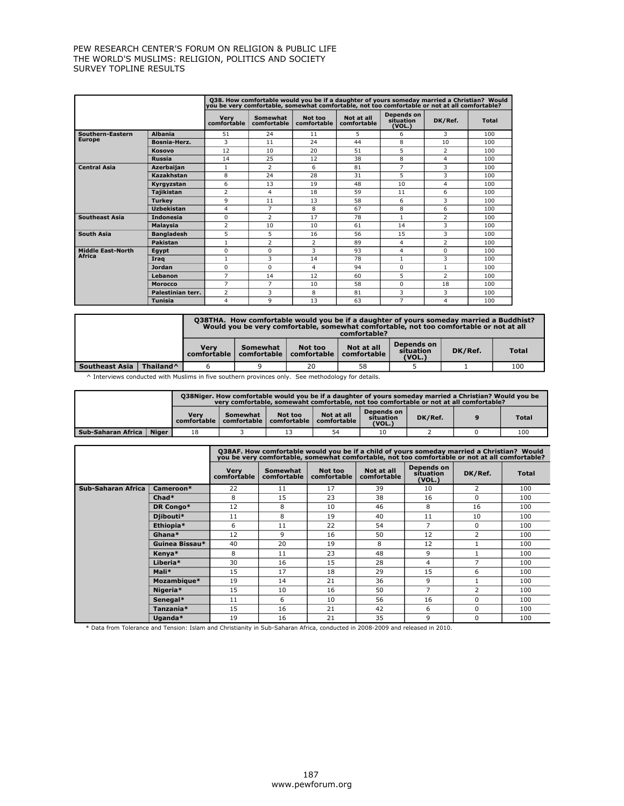|                          |                   |                            |                         |                        | Q38. How comfortable would you be if a daughter of yours someday married a Christian? Would<br>you be very comfortable, somewhat comfortable, not too comfortable or not at all comfortable? |                                   |                |              |
|--------------------------|-------------------|----------------------------|-------------------------|------------------------|----------------------------------------------------------------------------------------------------------------------------------------------------------------------------------------------|-----------------------------------|----------------|--------------|
|                          |                   | <b>Very</b><br>comfortable | Somewhat<br>comfortable | Not too<br>comfortable | Not at all<br>comfortable                                                                                                                                                                    | Depends on<br>situation<br>(VOL.) | DK/Ref.        | <b>Total</b> |
| Southern-Eastern         | <b>Albania</b>    | 51                         | 24                      | 11                     | 5                                                                                                                                                                                            | 6                                 | 3              | 100          |
| <b>Europe</b>            | Bosnia-Herz.      | 3                          | 11                      | 24                     | 44                                                                                                                                                                                           | 8                                 | 10             | 100          |
|                          | <b>Kosovo</b>     | 12                         | 10                      | 20                     | 51                                                                                                                                                                                           | 5                                 | $\overline{2}$ | 100          |
|                          | <b>Russia</b>     | 14                         | 25                      | 12                     | 38                                                                                                                                                                                           | 8                                 | 4              | 100          |
| <b>Central Asia</b>      | <b>Azerbaijan</b> | 1                          | $\overline{2}$          | 6                      | 81                                                                                                                                                                                           | $\overline{7}$                    | 3              | 100          |
|                          | Kazakhstan        | 8                          | 24                      | 28                     | 31                                                                                                                                                                                           | 5                                 | 3              | 100          |
|                          | Kyrgyzstan        | 6                          | 13                      | 19                     | 48                                                                                                                                                                                           | 10                                | 4              | 100          |
|                          | <b>Tajikistan</b> | $\overline{2}$             | 4                       | 18                     | 59                                                                                                                                                                                           | 11                                | 6              | 100          |
|                          | <b>Turkev</b>     | 9                          | 11                      | 13                     | 58                                                                                                                                                                                           | 6                                 | 3              | 100          |
|                          | <b>Uzbekistan</b> | 4                          | $\overline{7}$          | 8                      | 67                                                                                                                                                                                           | 8                                 | 6              | 100          |
| <b>Southeast Asia</b>    | <b>Indonesia</b>  | $\Omega$                   | $\overline{2}$          | 17                     | 78                                                                                                                                                                                           | $\mathbf{1}$                      | $\overline{2}$ | 100          |
|                          | Malaysia          | $\overline{2}$             | 10                      | 10                     | 61                                                                                                                                                                                           | 14                                | 3              | 100          |
| South Asia               | <b>Bangladesh</b> | 5                          | 5                       | 16                     | 56                                                                                                                                                                                           | 15                                | 3              | 100          |
|                          | <b>Pakistan</b>   | $\mathbf{1}$               | $\overline{2}$          | $\overline{2}$         | 89                                                                                                                                                                                           | $\overline{4}$                    | $\overline{2}$ | 100          |
| <b>Middle Fast-North</b> | <b>Egypt</b>      | $\Omega$                   | $\Omega$                | 3                      | 93                                                                                                                                                                                           | $\overline{4}$                    | $\Omega$       | 100          |
| <b>Africa</b>            | Irag              | $\mathbf{1}$               | 3                       | 14                     | 78                                                                                                                                                                                           | $\mathbf{1}$                      | 3              | 100          |
|                          | <b>Jordan</b>     | $\Omega$                   | $\Omega$                | 4                      | 94                                                                                                                                                                                           | $\Omega$                          | $\mathbf{1}$   | 100          |
|                          | Lebanon           | $\overline{7}$             | 14                      | 12                     | 60                                                                                                                                                                                           | 5                                 | $\overline{2}$ | 100          |
|                          | <b>Morocco</b>    | 7                          | 7                       | 10                     | 58                                                                                                                                                                                           | $\Omega$                          | 18             | 100          |
|                          | Palestinian terr. | $\overline{2}$             | 3                       | 8                      | 81                                                                                                                                                                                           | 3                                 | 3              | 100          |
|                          | <b>Tunisia</b>    | 4                          | 9                       | 13                     | 63                                                                                                                                                                                           | $\overline{7}$                    | 4              | 100          |

|                |                       |                     | O38THA. How comfortable would you be if a daughter of yours someday married a Buddhist?<br>Would you be very comfortable, somewhat comfortable, not too comfortable or not at all<br>comfortable? |                                    |                           |                                   |         |              |  |
|----------------|-----------------------|---------------------|---------------------------------------------------------------------------------------------------------------------------------------------------------------------------------------------------|------------------------------------|---------------------------|-----------------------------------|---------|--------------|--|
|                |                       | Verv<br>comfortable | Somewhat                                                                                                                                                                                          | Not too<br>comfortable comfortable | Not at all<br>comfortable | Depends on<br>situation<br>(VOL.) | DK/Ref. | <b>Total</b> |  |
| Southeast Asia | Thailand <sup>^</sup> |                     |                                                                                                                                                                                                   | 20                                 | 58                        |                                   |         | 100          |  |

^ Interviews conducted with Muslims in five southern provinces only. See methodology for details.

|                                                                                                                                                       |  |  | 038Niger, How comfortable would you be if a daughter of yours someday married a Christian? Would you be<br>very comfortable, somewaht comfortable, not too comfortable or not at all comfortable? |  |  |              |  |  |  |
|-------------------------------------------------------------------------------------------------------------------------------------------------------|--|--|---------------------------------------------------------------------------------------------------------------------------------------------------------------------------------------------------|--|--|--------------|--|--|--|
| Depends on<br>Not at all<br>Verv<br>Not too<br>Somewhat<br>DK/Ref.<br>situation<br>comfortable<br>comfortable<br>comfortable<br>comfortable<br>(VOL.) |  |  |                                                                                                                                                                                                   |  |  | <b>Total</b> |  |  |  |
| Niger<br>  Sub-Saharan Africa  <br>100<br>10<br>54<br>18                                                                                              |  |  |                                                                                                                                                                                                   |  |  |              |  |  |  |

|                    |                |                            | 038AF. How comfortable would you be if a child of yours someday married a Christian? Would<br>you be very comfortable, somewhat comfortable, not too comfortable or not at all comfortable? |                        |                           |                                   |                |              |  |  |  |  |
|--------------------|----------------|----------------------------|---------------------------------------------------------------------------------------------------------------------------------------------------------------------------------------------|------------------------|---------------------------|-----------------------------------|----------------|--------------|--|--|--|--|
|                    |                | <b>Very</b><br>comfortable | Somewhat<br>comfortable                                                                                                                                                                     | Not too<br>comfortable | Not at all<br>comfortable | Depends on<br>sítuation<br>(VOL.) | DK/Ref.        | <b>Total</b> |  |  |  |  |
| Sub-Saharan Africa | Cameroon*      | 22                         | 11                                                                                                                                                                                          | 17                     | 39                        | 10                                | $\overline{2}$ | 100          |  |  |  |  |
|                    | $Chad*$        | 8                          | 15                                                                                                                                                                                          | 23                     | 38                        | 16                                | $\Omega$       | 100          |  |  |  |  |
|                    | DR Congo*      | 12                         | 8                                                                                                                                                                                           | 10                     | 46                        | 8                                 | 16             | 100          |  |  |  |  |
|                    | Djibouti*      | 11                         | 8                                                                                                                                                                                           | 19                     | 40                        | 11                                | 10             | 100          |  |  |  |  |
|                    | Ethiopia*      | 6                          | 11                                                                                                                                                                                          | 22                     | 54                        | 7                                 | $\Omega$       | 100          |  |  |  |  |
|                    | Ghana*         | 12                         | 9                                                                                                                                                                                           | 16                     | 50                        | 12                                | $\overline{2}$ | 100          |  |  |  |  |
|                    | Guinea Bissau* | 40                         | 20                                                                                                                                                                                          | 19                     | 8                         | 12                                |                | 100          |  |  |  |  |
|                    | Kenya*         | 8                          | 11                                                                                                                                                                                          | 23                     | 48                        | 9                                 |                | 100          |  |  |  |  |
|                    | Liberia*       | 30                         | 16                                                                                                                                                                                          | 15                     | 28                        | 4                                 | 7              | 100          |  |  |  |  |
|                    | Mali*          | 15                         | 17                                                                                                                                                                                          | 18                     | 29                        | 15                                | 6              | 100          |  |  |  |  |
|                    | Mozambique*    | 19                         | 14                                                                                                                                                                                          | 21                     | 36                        | 9                                 |                | 100          |  |  |  |  |
|                    | Nigeria*       | 15                         | 10                                                                                                                                                                                          | 16                     | 50                        | 7                                 | $\overline{2}$ | 100          |  |  |  |  |
|                    | Senegal*       | 11                         | 6                                                                                                                                                                                           | 10                     | 56                        | 16                                | $\Omega$       | 100          |  |  |  |  |
|                    | Tanzania*      | 15                         | 16                                                                                                                                                                                          | 21                     | 42                        | 6                                 | $\Omega$       | 100          |  |  |  |  |
|                    | Uganda*        | 19                         | 16                                                                                                                                                                                          | 21                     | 35                        | 9                                 | $\Omega$       | 100          |  |  |  |  |

\* Data from Tolerance and Tension: Islam and Christianity in Sub-Saharan Africa, conducted in 2008-2009 and released in 2010.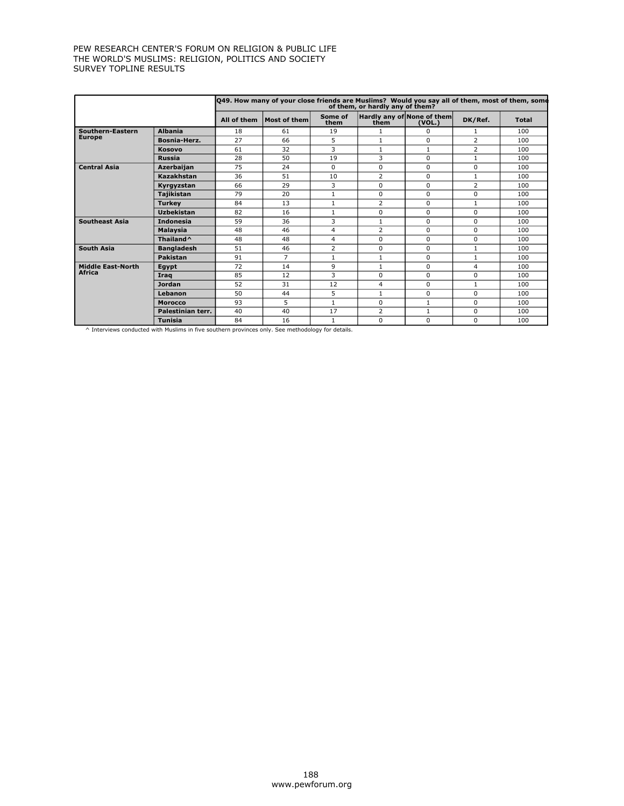|                          |                       |             | 049. How many of your close friends are Muslims? Would you say all of them, most of them, some |                 | of them, or hardly any of them? |                                      |                |              |
|--------------------------|-----------------------|-------------|------------------------------------------------------------------------------------------------|-----------------|---------------------------------|--------------------------------------|----------------|--------------|
|                          |                       | All of them | Most of them                                                                                   | Some of<br>them | them                            | Hardly any of None of them<br>(VOL.) | DK/Ref.        | <b>Total</b> |
| Southern-Eastern         | <b>Albania</b>        | 18          | 61                                                                                             | 19              | 1                               | 0                                    | 1              | 100          |
| <b>Europe</b>            | Bosnia-Herz.          | 27          | 66                                                                                             | 5               | $\mathbf{1}$                    | 0                                    | $\overline{2}$ | 100          |
|                          | <b>Kosovo</b>         | 61          | 32                                                                                             | 3               | $\mathbf{1}$                    | $\mathbf{1}$                         | $\overline{2}$ | 100          |
|                          | <b>Russia</b>         | 28          | 50                                                                                             | 19              | 3                               | $\Omega$                             | $\mathbf{1}$   | 100          |
| <b>Central Asia</b>      | <b>Azerbaiian</b>     | 75          | 24                                                                                             | $\Omega$        | $\Omega$                        | $\Omega$                             | $\Omega$       | 100          |
|                          | Kazakhstan            | 36          | 51                                                                                             | 10              | $\overline{2}$                  | $\Omega$                             | 1              | 100          |
|                          | Kyrgyzstan            | 66          | 29                                                                                             | 3               | 0                               | $\Omega$                             | $\overline{2}$ | 100          |
|                          | <b>Tajikistan</b>     | 79          | 20                                                                                             | $\mathbf{1}$    | 0                               | 0                                    | $\Omega$       | 100          |
|                          | <b>Turkey</b>         | 84          | 13                                                                                             | $\mathbf{1}$    | $\overline{2}$                  | 0                                    | $\mathbf{1}$   | 100          |
|                          | <b>Uzbekistan</b>     | 82          | 16                                                                                             | 1               | 0                               | 0                                    | $\Omega$       | 100          |
| <b>Southeast Asia</b>    | <b>Indonesia</b>      | 59          | 36                                                                                             | 3               | $\mathbf{1}$                    | $\Omega$                             | $\Omega$       | 100          |
|                          | <b>Malaysia</b>       | 48          | 46                                                                                             | 4               | 2                               | 0                                    | $\Omega$       | 100          |
|                          | Thailand <sup>^</sup> | 48          | 48                                                                                             | $\overline{4}$  | 0                               | 0                                    | $\Omega$       | 100          |
| South Asia               | <b>Bangladesh</b>     | 51          | 46                                                                                             | 2               | 0                               | 0                                    | 1              | 100          |
|                          | Pakistan              | 91          | $\overline{7}$                                                                                 | $\mathbf{1}$    | $\mathbf{1}$                    | 0                                    | $\mathbf{1}$   | 100          |
| <b>Middle East-North</b> | Eqypt                 | 72          | 14                                                                                             | 9               | 1                               | $\Omega$                             | 4              | 100          |
| <b>Africa</b>            | Irag                  | 85          | 12                                                                                             | 3               | 0                               | $\Omega$                             | 0              | 100          |
|                          | <b>Jordan</b>         | 52          | 31                                                                                             | 12              | 4                               | $\Omega$                             | $\mathbf{1}$   | 100          |
|                          | Lebanon               | 50          | 44                                                                                             | 5               | $\mathbf{1}$                    | $\Omega$                             | $\Omega$       | 100          |
|                          | <b>Morocco</b>        | 93          | 5                                                                                              | 1               | 0                               | $\mathbf{1}$                         | 0              | 100          |
|                          | Palestinian terr.     | 40          | 40                                                                                             | 17              | $\overline{2}$                  | $\mathbf{1}$                         | 0              | 100          |
|                          | <b>Tunisia</b>        | 84          | 16                                                                                             | 1               | $\Omega$                        | 0                                    | 0              | 100          |

^ Interviews conducted with Muslims in five southern provinces only. See methodology for details.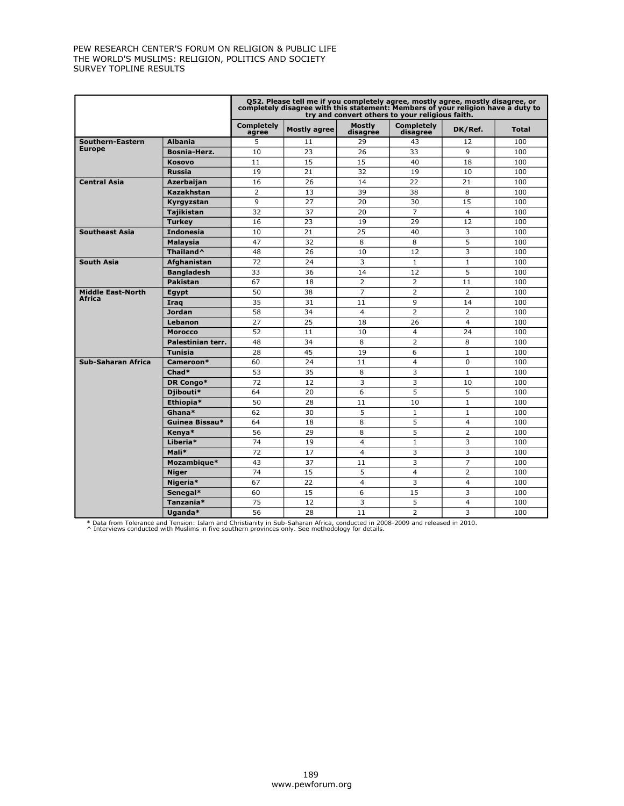|                          |                       | Q52. Please tell me if you completely agree, mostly agree, mostly disagree, or<br>completely disagree with this statement: Members of your religion have a duty to<br>try and convert others to your religious faith. |                     |                           |                               |                |       |
|--------------------------|-----------------------|-----------------------------------------------------------------------------------------------------------------------------------------------------------------------------------------------------------------------|---------------------|---------------------------|-------------------------------|----------------|-------|
|                          |                       | <b>Completely</b><br>agree                                                                                                                                                                                            | <b>Mostly agree</b> | <b>Mostly</b><br>disagree | <b>Completely</b><br>disagree | DK/Ref.        | Total |
| Southern-Eastern         | <b>Albania</b>        | 5                                                                                                                                                                                                                     | 11                  | 29                        | 43                            | 12             | 100   |
| <b>Europe</b>            | Bosnia-Herz.          | 10                                                                                                                                                                                                                    | 23                  | 26                        | 33                            | 9              | 100   |
|                          | <b>Kosovo</b>         | 11                                                                                                                                                                                                                    | 15                  | 15                        | 40                            | 18             | 100   |
|                          | <b>Russia</b>         | 19                                                                                                                                                                                                                    | 21                  | 32                        | 19                            | 10             | 100   |
| <b>Central Asia</b>      | <b>Azerbaijan</b>     | 16                                                                                                                                                                                                                    | 26                  | 14                        | 22                            | 21             | 100   |
|                          | Kazakhstan            | $\overline{2}$                                                                                                                                                                                                        | 13                  | 39                        | 38                            | 8              | 100   |
|                          | Kyrgyzstan            | 9                                                                                                                                                                                                                     | 27                  | 20                        | 30                            | 15             | 100   |
|                          | <b>Tajikistan</b>     | 32                                                                                                                                                                                                                    | 37                  | 20                        | $\overline{7}$                | $\overline{4}$ | 100   |
|                          | <b>Turkey</b>         | 16                                                                                                                                                                                                                    | 23                  | 19                        | 29                            | 12             | 100   |
| <b>Southeast Asia</b>    | <b>Indonesia</b>      | 10                                                                                                                                                                                                                    | 21                  | 25                        | 40                            | 3              | 100   |
|                          | Malaysia              | 47                                                                                                                                                                                                                    | 32                  | 8                         | 8                             | 5              | 100   |
|                          | Thailand <sup>^</sup> | 48                                                                                                                                                                                                                    | 26                  | 10                        | 12                            | 3              | 100   |
| <b>South Asia</b>        | Afghanistan           | 72                                                                                                                                                                                                                    | 24                  | 3                         | $\mathbf{1}$                  | $\mathbf{1}$   | 100   |
|                          | <b>Bangladesh</b>     | 33                                                                                                                                                                                                                    | 36                  | 14                        | 12                            | 5              | 100   |
|                          | <b>Pakistan</b>       | 67                                                                                                                                                                                                                    | 18                  | $\overline{2}$            | 2                             | 11             | 100   |
| <b>Middle East-North</b> | Egypt                 | 50                                                                                                                                                                                                                    | 38                  | $\overline{7}$            | $\overline{2}$                | $\overline{2}$ | 100   |
| Africa                   | Iraq                  | 35                                                                                                                                                                                                                    | 31                  | 11                        | 9                             | 14             | 100   |
|                          | <b>Jordan</b>         | 58                                                                                                                                                                                                                    | 34                  | $\overline{4}$            | $\overline{2}$                | $\overline{2}$ | 100   |
|                          | Lebanon               | 27                                                                                                                                                                                                                    | 25                  | 18                        | 26                            | $\overline{4}$ | 100   |
|                          | <b>Morocco</b>        | 52                                                                                                                                                                                                                    | 11                  | 10                        | $\overline{4}$                | 24             | 100   |
|                          | Palestinian terr.     | 48                                                                                                                                                                                                                    | 34                  | 8                         | $\overline{2}$                | 8              | 100   |
|                          | <b>Tunisia</b>        | 28                                                                                                                                                                                                                    | 45                  | 19                        | 6                             | $\mathbf{1}$   | 100   |
| Sub-Saharan Africa       | Cameroon*             | 60                                                                                                                                                                                                                    | 24                  | 11                        | $\overline{4}$                | 0              | 100   |
|                          | Chad*                 | 53                                                                                                                                                                                                                    | 35                  | 8                         | 3                             | $\mathbf{1}$   | 100   |
|                          | DR Congo*             | 72                                                                                                                                                                                                                    | 12                  | 3                         | 3                             | 10             | 100   |
|                          | Djibouti*             | 64                                                                                                                                                                                                                    | 20                  | 6                         | 5                             | 5              | 100   |
|                          | Ethiopia*             | 50                                                                                                                                                                                                                    | 28                  | 11                        | 10                            | $\mathbf{1}$   | 100   |
|                          | Ghana*                | 62                                                                                                                                                                                                                    | 30                  | 5                         | $\mathbf{1}$                  | $\mathbf{1}$   | 100   |
|                          | Guinea Bissau*        | 64                                                                                                                                                                                                                    | 18                  | 8                         | 5                             | $\overline{4}$ | 100   |
|                          | Kenya*                | 56                                                                                                                                                                                                                    | 29                  | 8                         | 5                             | $\overline{2}$ | 100   |
|                          | Liberia*              | 74                                                                                                                                                                                                                    | 19                  | $\overline{4}$            | $\mathbf{1}$                  | 3              | 100   |
|                          | Mali*                 | 72                                                                                                                                                                                                                    | 17                  | $\overline{a}$            | 3                             | 3              | 100   |
|                          | Mozambique*           | 43                                                                                                                                                                                                                    | 37                  | 11                        | 3                             | $\overline{7}$ | 100   |
|                          | <b>Niger</b>          | 74                                                                                                                                                                                                                    | 15                  | 5                         | $\overline{4}$                | $\overline{2}$ | 100   |
|                          | Nigeria*              | 67                                                                                                                                                                                                                    | 22                  | $\overline{4}$            | 3                             | $\overline{4}$ | 100   |
|                          | Senegal*              | 60                                                                                                                                                                                                                    | 15                  | 6                         | 15                            | 3              | 100   |
|                          | Tanzania*             | 75                                                                                                                                                                                                                    | 12                  | 3                         | 5                             | $\overline{4}$ | 100   |
|                          | Uganda*               | 56                                                                                                                                                                                                                    | 28                  | 11                        | $\overline{2}$                | 3              | 100   |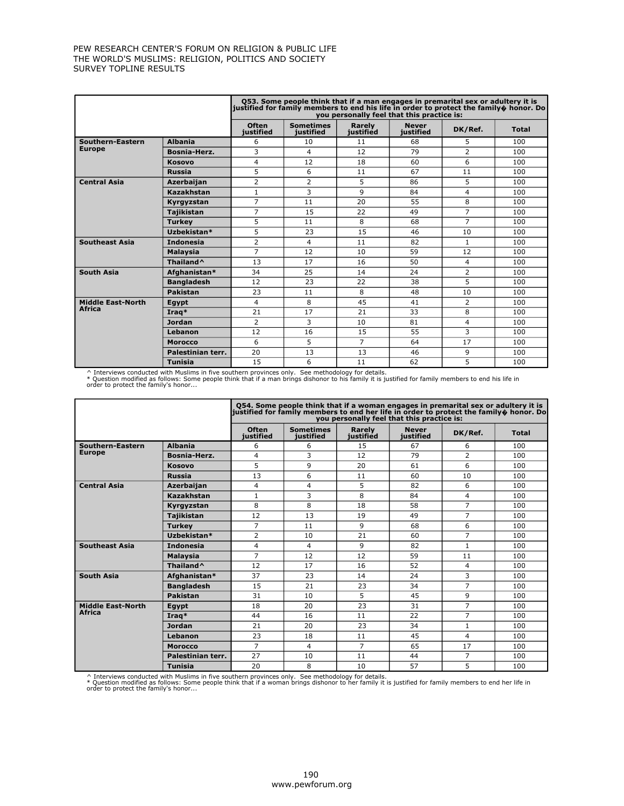|                          |                       |                           | Q53. Some people think that if a man engages in premarital sex or adultery it is<br>justified for family members to end his life in order to protect the family $\phi$ honor. Do | you personally feel that this practice is: |                           |                |              |
|--------------------------|-----------------------|---------------------------|----------------------------------------------------------------------------------------------------------------------------------------------------------------------------------|--------------------------------------------|---------------------------|----------------|--------------|
|                          |                       | <b>Often</b><br>iustified | <b>Sometimes</b><br>iustified                                                                                                                                                    | Rarely<br>justified                        | <b>Never</b><br>iustified | DK/Ref.        | <b>Total</b> |
| Southern-Eastern         | <b>Albania</b>        | 6                         | 10                                                                                                                                                                               | 11                                         | 68                        | 5              | 100          |
| <b>Europe</b>            | <b>Bosnia-Herz.</b>   | 3                         | $\overline{4}$                                                                                                                                                                   | 12                                         | 79                        | 2              | 100          |
|                          | <b>Kosovo</b>         | $\overline{4}$            | 12                                                                                                                                                                               | 18                                         | 60                        | 6              | 100          |
|                          | <b>Russia</b>         | 5                         | 6                                                                                                                                                                                | 11                                         | 67                        | 11             | 100          |
| <b>Central Asia</b>      | Azerbaijan            | 2                         | 2                                                                                                                                                                                | 5                                          | 86                        | 5              | 100          |
|                          | Kazakhstan            | 1                         | 3                                                                                                                                                                                | 9                                          | 84                        | 4              | 100          |
|                          | Kyrgyzstan            | $\overline{7}$            | 11                                                                                                                                                                               | 20                                         | 55                        | 8              | 100          |
|                          | <b>Tajikistan</b>     | 7                         | 15                                                                                                                                                                               | 22                                         | 49                        | $\overline{7}$ | 100          |
|                          | <b>Turkey</b>         | 5                         | 11                                                                                                                                                                               | 8                                          | 68                        | $\overline{7}$ | 100          |
|                          | Uzbekistan*           | 5                         | 23                                                                                                                                                                               | 15                                         | 46                        | 10             | 100          |
| <b>Southeast Asia</b>    | <b>Indonesia</b>      | $\overline{2}$            | 4                                                                                                                                                                                | 11                                         | 82                        | $\mathbf{1}$   | 100          |
|                          | <b>Malaysia</b>       | $\overline{7}$            | 12                                                                                                                                                                               | 10                                         | 59                        | 12             | 100          |
|                          | Thailand <sup>^</sup> | 13                        | 17                                                                                                                                                                               | 16                                         | 50                        | $\overline{4}$ | 100          |
| <b>South Asia</b>        | Afghanistan*          | 34                        | 25                                                                                                                                                                               | 14                                         | 24                        | $\overline{2}$ | 100          |
|                          | <b>Bangladesh</b>     | 12                        | 23                                                                                                                                                                               | 22                                         | 38                        | 5              | 100          |
|                          | Pakistan              | 23                        | 11                                                                                                                                                                               | 8                                          | 48                        | 10             | 100          |
| <b>Middle East-North</b> | Egypt                 | 4                         | 8                                                                                                                                                                                | 45                                         | 41                        | 2              | 100          |
| <b>Africa</b>            | Iraq*                 | 21                        | 17                                                                                                                                                                               | 21                                         | 33                        | 8              | 100          |
|                          | <b>Jordan</b>         | $\overline{2}$            | 3                                                                                                                                                                                | 10                                         | 81                        | 4              | 100          |
|                          | Lebanon               | 12                        | 16                                                                                                                                                                               | 15                                         | 55                        | 3              | 100          |
|                          | <b>Morocco</b>        | 6                         | 5                                                                                                                                                                                | $\overline{7}$                             | 64                        | 17             | 100          |
|                          | Palestinian terr.     | 20                        | 13                                                                                                                                                                               | 13                                         | 46                        | 9              | 100          |
|                          | <b>Tunisia</b>        | 15                        | 6                                                                                                                                                                                | 11                                         | 62                        | 5              | 100          |

^ Interviews conducted with Muslims in five southern provinces only. See methodology for details.<br>\* Question modified as follows: Some people think that if a man brings dishonor to his family it is justified for family me

|                          |                       |                           | Q54. Some people think that if a woman engages in premarital sex or adultery it is<br>justified for family members to end her life in order to protect the family $\hat{\phi}$ honor. Do | you personally feel that this practice is: |                                  |                |              |
|--------------------------|-----------------------|---------------------------|------------------------------------------------------------------------------------------------------------------------------------------------------------------------------------------|--------------------------------------------|----------------------------------|----------------|--------------|
|                          |                       | <b>Often</b><br>iustified | <b>Sometimes</b><br>iustified                                                                                                                                                            | Rarely<br>justified                        | <b>Never</b><br><b>justified</b> | DK/Ref.        | <b>Total</b> |
| Southern-Eastern         | <b>Albania</b>        | 6                         | 6                                                                                                                                                                                        | 15                                         | 67                               | 6              | 100          |
| <b>Europe</b>            | Bosnia-Herz.          | 4                         | 3                                                                                                                                                                                        | 12                                         | 79                               | 2              | 100          |
|                          | <b>Kosovo</b>         | 5                         | 9                                                                                                                                                                                        | 20                                         | 61                               | 6              | 100          |
|                          | <b>Russia</b>         | 13                        | 6                                                                                                                                                                                        | 11                                         | 60                               | 10             | 100          |
| <b>Central Asia</b>      | Azerbaijan            | 4                         | $\overline{4}$                                                                                                                                                                           | 5                                          | 82                               | 6              | 100          |
|                          | Kazakhstan            | $\mathbf{1}$              | 3                                                                                                                                                                                        | 8                                          | 84                               | $\overline{4}$ | 100          |
|                          | Kyrgyzstan            | 8                         | 8                                                                                                                                                                                        | 18                                         | 58                               | 7              | 100          |
|                          | <b>Tajikistan</b>     | 12                        | 13                                                                                                                                                                                       | 19                                         | 49                               | 7              | 100          |
|                          | <b>Turkey</b>         | $\overline{7}$            | 11                                                                                                                                                                                       | 9                                          | 68                               | 6              | 100          |
|                          | Uzbekistan*           | 2                         | 10                                                                                                                                                                                       | 21                                         | 60                               | 7              | 100          |
| <b>Southeast Asia</b>    | <b>Indonesia</b>      | $\overline{4}$            | 4                                                                                                                                                                                        | 9                                          | 82                               | $\mathbf{1}$   | 100          |
|                          | <b>Malaysia</b>       | $\overline{7}$            | 12                                                                                                                                                                                       | 12                                         | 59                               | 11             | 100          |
|                          | Thailand <sup>^</sup> | 12                        | 17                                                                                                                                                                                       | 16                                         | 52                               | 4              | 100          |
| <b>South Asia</b>        | Afghanistan*          | 37                        | 23                                                                                                                                                                                       | 14                                         | 24                               | 3              | 100          |
|                          | <b>Bangladesh</b>     | 15                        | 21                                                                                                                                                                                       | 23                                         | 34                               | $\overline{7}$ | 100          |
|                          | <b>Pakistan</b>       | 31                        | 10                                                                                                                                                                                       | 5                                          | 45                               | 9              | 100          |
| <b>Middle East-North</b> | Eqypt                 | 18                        | 20                                                                                                                                                                                       | 23                                         | 31                               | $\overline{7}$ | 100          |
| <b>Africa</b>            | Iraq*                 | 44                        | 16                                                                                                                                                                                       | 11                                         | 22                               | $\overline{7}$ | 100          |
|                          | <b>Jordan</b>         | 21                        | 20                                                                                                                                                                                       | 23                                         | 34                               | $\mathbf{1}$   | 100          |
|                          | Lebanon               | 23                        | 18                                                                                                                                                                                       | 11                                         | 45                               | 4              | 100          |
|                          | <b>Morocco</b>        | 7                         | $\overline{4}$                                                                                                                                                                           | $\overline{7}$                             | 65                               | 17             | 100          |
|                          | Palestinian terr.     | 27                        | 10                                                                                                                                                                                       | 11                                         | 44                               | 7              | 100          |
|                          | <b>Tunisia</b>        | 20                        | 8                                                                                                                                                                                        | 10                                         | 57                               | 5              | 100          |

^ Interviews conducted with Muslims in five southern provinces only. See methodology for details.<br>\* Question modified as follows: Some people think that if a woman brings dishonor to her family it is justified for family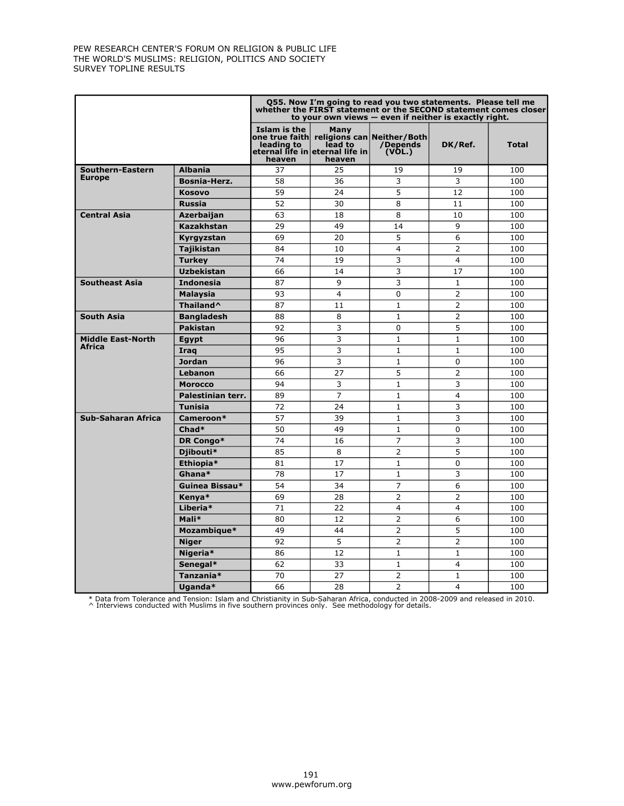|                           |                       |                                      |                                                              | Q55. Now I'm going to read you two statements. Please tell me<br>whether the FIRST statement or the SECOND statement comes closer<br>to your own views $-$ even if neither is exactly right. |                |              |
|---------------------------|-----------------------|--------------------------------------|--------------------------------------------------------------|----------------------------------------------------------------------------------------------------------------------------------------------------------------------------------------------|----------------|--------------|
|                           |                       | Islam is the<br>leading to<br>heaven | Many<br>lead to<br>eternal life in eternal life in<br>heaven | one true faith  religions can Neither/Both <br>/Depends<br>(VOL.)                                                                                                                            | DK/Ref.        | <b>Total</b> |
| Southern-Eastern          | <b>Albania</b>        | 37                                   | 25                                                           | 19                                                                                                                                                                                           | 19             | 100          |
| <b>Europe</b>             | <b>Bosnia-Herz.</b>   | 58                                   | 36                                                           | 3                                                                                                                                                                                            | 3              | 100          |
|                           | <b>Kosovo</b>         | 59                                   | 24                                                           | 5                                                                                                                                                                                            | 12             | 100          |
|                           | <b>Russia</b>         | 52                                   | 30                                                           | 8                                                                                                                                                                                            | 11             | 100          |
| <b>Central Asia</b>       | Azerbaijan            | 63                                   | 18                                                           | 8                                                                                                                                                                                            | 10             | 100          |
|                           | <b>Kazakhstan</b>     | 29                                   | 49                                                           | 14                                                                                                                                                                                           | 9              | 100          |
|                           | Kyrgyzstan            | 69                                   | 20                                                           | 5                                                                                                                                                                                            | 6              | 100          |
|                           | <b>Tajikistan</b>     | 84                                   | 10                                                           | $\overline{4}$                                                                                                                                                                               | $\overline{2}$ | 100          |
|                           | <b>Turkey</b>         | 74                                   | 19                                                           | 3                                                                                                                                                                                            | 4              | 100          |
|                           | <b>Uzbekistan</b>     | 66                                   | 14                                                           | 3                                                                                                                                                                                            | 17             | 100          |
| <b>Southeast Asia</b>     | <b>Indonesia</b>      | 87                                   | 9                                                            | 3                                                                                                                                                                                            | $\mathbf{1}$   | 100          |
|                           | <b>Malaysia</b>       | 93                                   | $\overline{4}$                                               | $\Omega$                                                                                                                                                                                     | $\overline{2}$ | 100          |
|                           | Thailand <sup>^</sup> | 87                                   | 11                                                           | $\mathbf{1}$                                                                                                                                                                                 | $\overline{2}$ | 100          |
| <b>South Asia</b>         | <b>Bangladesh</b>     | 88                                   | 8                                                            | $\mathbf{1}$                                                                                                                                                                                 | 2              | 100          |
|                           | <b>Pakistan</b>       | 92                                   | 3                                                            | $\Omega$                                                                                                                                                                                     | 5              | 100          |
| <b>Middle East-North</b>  | Egypt                 | 96                                   | 3                                                            | $\mathbf{1}$                                                                                                                                                                                 | $\mathbf{1}$   | 100          |
| Africa                    | Iraq                  | 95                                   | 3                                                            | $\mathbf{1}$                                                                                                                                                                                 | $\mathbf{1}$   | 100          |
|                           | <b>Jordan</b>         | 96                                   | 3                                                            | $\mathbf{1}$                                                                                                                                                                                 | 0              | 100          |
|                           | Lebanon               | 66                                   | 27                                                           | 5                                                                                                                                                                                            | $\overline{2}$ | 100          |
|                           | <b>Morocco</b>        | 94                                   | 3                                                            | $\mathbf{1}$                                                                                                                                                                                 | 3              | 100          |
|                           | Palestinian terr.     | 89                                   | $\overline{7}$                                               | $\mathbf{1}$                                                                                                                                                                                 | $\overline{4}$ | 100          |
|                           | <b>Tunisia</b>        | 72                                   | 24                                                           | $\mathbf{1}$                                                                                                                                                                                 | 3              | 100          |
| <b>Sub-Saharan Africa</b> | Cameroon*             | 57                                   | 39                                                           | $\mathbf{1}$                                                                                                                                                                                 | 3              | 100          |
|                           | Chad*                 | 50                                   | 49                                                           | $\mathbf{1}$                                                                                                                                                                                 | $\Omega$       | 100          |
|                           | DR Congo*             | 74                                   | 16                                                           | $\overline{7}$                                                                                                                                                                               | 3              | 100          |
|                           | Djibouti*             | 85                                   | 8                                                            | $\overline{2}$                                                                                                                                                                               | 5              | 100          |
|                           | Ethiopia*             | 81                                   | 17                                                           | $\mathbf{1}$                                                                                                                                                                                 | 0              | 100          |
|                           | Ghana*                | 78                                   | 17                                                           | $\mathbf{1}$                                                                                                                                                                                 | 3              | 100          |
|                           | Guinea Bissau*        | 54                                   | 34                                                           | $\overline{7}$                                                                                                                                                                               | 6              | 100          |
|                           | Kenya*                | 69                                   | 28                                                           | $\overline{2}$                                                                                                                                                                               | 2              | 100          |
|                           | Liberia <sup>*</sup>  | 71                                   | 22                                                           | $\overline{4}$                                                                                                                                                                               | $\overline{4}$ | 100          |
|                           | Mali*                 | 80                                   | 12                                                           | $\overline{2}$                                                                                                                                                                               | 6              | 100          |
|                           | Mozambique*           | 49                                   | 44                                                           | $\overline{2}$                                                                                                                                                                               | 5              | 100          |
|                           | <b>Niger</b>          | 92                                   | 5                                                            | $\overline{2}$                                                                                                                                                                               | $\overline{2}$ | 100          |
|                           | Nigeria*              | 86                                   | 12                                                           | $\mathbf{1}$                                                                                                                                                                                 | $\mathbf{1}$   | 100          |
|                           | Senegal*              | 62                                   | 33                                                           | $\mathbf{1}$                                                                                                                                                                                 | $\overline{4}$ | 100          |
|                           | Tanzania*             | 70                                   | 27                                                           | $\overline{2}$                                                                                                                                                                               | 1              | 100          |
|                           | Uganda*               | 66                                   | 28                                                           | $\overline{2}$                                                                                                                                                                               | 4              | 100          |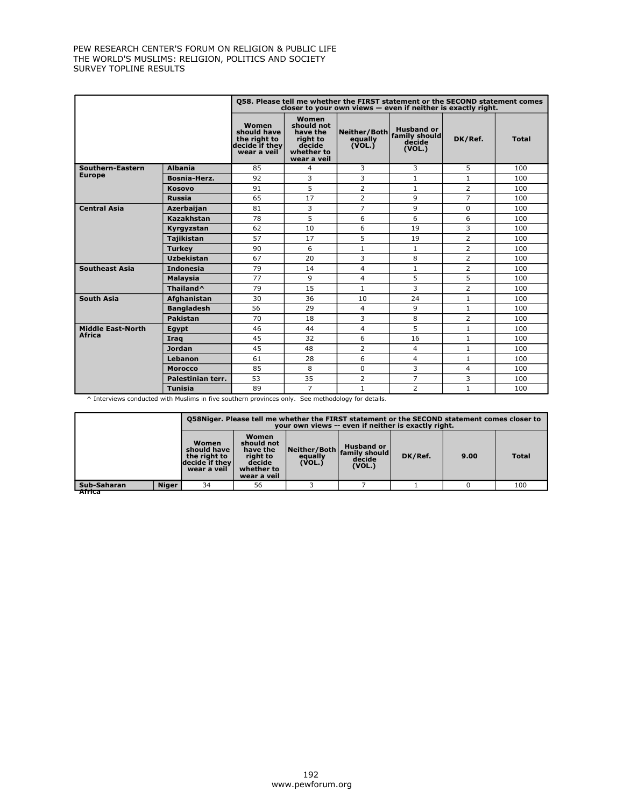|                          |                       |                                                                       |                                                                                    | 058. Please tell me whether the FIRST statement or the SECOND statement comes<br>closer to your own views - even if neither is exactly right. |                  |                |              |
|--------------------------|-----------------------|-----------------------------------------------------------------------|------------------------------------------------------------------------------------|-----------------------------------------------------------------------------------------------------------------------------------------------|------------------|----------------|--------------|
|                          |                       | Women<br>should have<br>the right to<br>decide if they<br>wear a veil | Women<br>should not<br>have the<br>right to<br>decide<br>whether to<br>wear a veil | Neither/Both family should<br>equally<br>(VOL.)                                                                                               | décide<br>(VOL.) | DK/Ref.        | <b>Total</b> |
| Southern-Eastern         | <b>Albania</b>        | 85                                                                    | 4                                                                                  | 3                                                                                                                                             | 3                | 5              | 100          |
| <b>Europe</b>            | <b>Bosnia-Herz.</b>   | 92                                                                    | 3                                                                                  | 3                                                                                                                                             | $\mathbf{1}$     | $\mathbf{1}$   | 100          |
|                          | <b>Kosovo</b>         | 91                                                                    | 5                                                                                  | $\overline{2}$                                                                                                                                | $\mathbf{1}$     | $\overline{2}$ | 100          |
|                          | <b>Russia</b>         | 65                                                                    | 17                                                                                 | $\overline{2}$                                                                                                                                | 9                | $\overline{7}$ | 100          |
| <b>Central Asia</b>      | Azerbaijan            | 81                                                                    | 3                                                                                  | $\overline{7}$                                                                                                                                | 9                | 0              | 100          |
|                          | Kazakhstan            | 78                                                                    | 5                                                                                  | 6                                                                                                                                             | 6                | 6              | 100          |
|                          | Kyrgyzstan            | 62                                                                    | 10                                                                                 | 6                                                                                                                                             | 19               | 3              | 100          |
|                          | <b>Tajikistan</b>     | 57                                                                    | 17                                                                                 | 5                                                                                                                                             | 19               | $\overline{2}$ | 100          |
|                          | <b>Turkey</b>         | 90                                                                    | 6                                                                                  | $\mathbf{1}$                                                                                                                                  | $\mathbf{1}$     | 2              | 100          |
|                          | <b>Uzbekistan</b>     | 67                                                                    | 20                                                                                 | 3                                                                                                                                             | 8                | 2              | 100          |
| <b>Southeast Asia</b>    | <b>Indonesia</b>      | 79                                                                    | 14                                                                                 | $\overline{4}$                                                                                                                                | $\mathbf{1}$     | 2              | 100          |
|                          | <b>Malaysia</b>       | 77                                                                    | 9                                                                                  | $\overline{4}$                                                                                                                                | 5                | 5              | 100          |
|                          | Thailand <sup>^</sup> | 79                                                                    | 15                                                                                 | $\mathbf{1}$                                                                                                                                  | 3                | 2              | 100          |
| <b>South Asia</b>        | Afghanistan           | 30                                                                    | 36                                                                                 | 10                                                                                                                                            | 24               | $\mathbf{1}$   | 100          |
|                          | <b>Bangladesh</b>     | 56                                                                    | 29                                                                                 | $\overline{4}$                                                                                                                                | 9                | $\mathbf{1}$   | 100          |
|                          | <b>Pakistan</b>       | 70                                                                    | 18                                                                                 | 3                                                                                                                                             | 8                | $\overline{2}$ | 100          |
| <b>Middle East-North</b> | Egypt                 | 46                                                                    | 44                                                                                 | $\overline{4}$                                                                                                                                | 5                | $\mathbf{1}$   | 100          |
| <b>Africa</b>            | Iraq                  | 45                                                                    | 32                                                                                 | 6                                                                                                                                             | 16               | $\mathbf{1}$   | 100          |
|                          | <b>Jordan</b>         | 45                                                                    | 48                                                                                 | $\overline{2}$                                                                                                                                | $\overline{4}$   | $\mathbf{1}$   | 100          |
|                          | Lebanon               | 61                                                                    | 28                                                                                 | 6                                                                                                                                             | $\overline{4}$   | $\mathbf{1}$   | 100          |
|                          | <b>Morocco</b>        | 85                                                                    | 8                                                                                  | $\Omega$                                                                                                                                      | 3                | 4              | 100          |
|                          | Palestinian terr.     | 53                                                                    | 35                                                                                 | $\overline{2}$                                                                                                                                | $\overline{7}$   | 3              | 100          |
|                          | <b>Tunisia</b>        | 89                                                                    | $\overline{7}$                                                                     | $\mathbf{1}$                                                                                                                                  | 2                | $\mathbf{1}$   | 100          |

^ Interviews conducted with Muslims in five southern provinces only. See methodology for details.

|             |              |                                                                       | Q58Niger. Please tell me whether the FIRST statement or the SECOND statement comes closer to<br>your own views -- even if neither is exactly right. |                                   |                                                        |         |      |              |  |  |
|-------------|--------------|-----------------------------------------------------------------------|-----------------------------------------------------------------------------------------------------------------------------------------------------|-----------------------------------|--------------------------------------------------------|---------|------|--------------|--|--|
|             |              | Women<br>should have<br>the right to<br>decide if they<br>wear a veil | Women<br>should not<br>have the<br>right to<br>decide<br>whether to<br>wear a veil                                                                  | Neither/Both<br>equally<br>(VOL.) | <b>Husband or</b><br>family should<br>decide<br>(VOL.) | DK/Ref. | 9.00 | <b>Total</b> |  |  |
| Sub-Saharan | <b>Niger</b> | 34                                                                    | 56                                                                                                                                                  |                                   |                                                        |         |      | 100          |  |  |
| र्नाति      |              |                                                                       |                                                                                                                                                     |                                   |                                                        |         |      |              |  |  |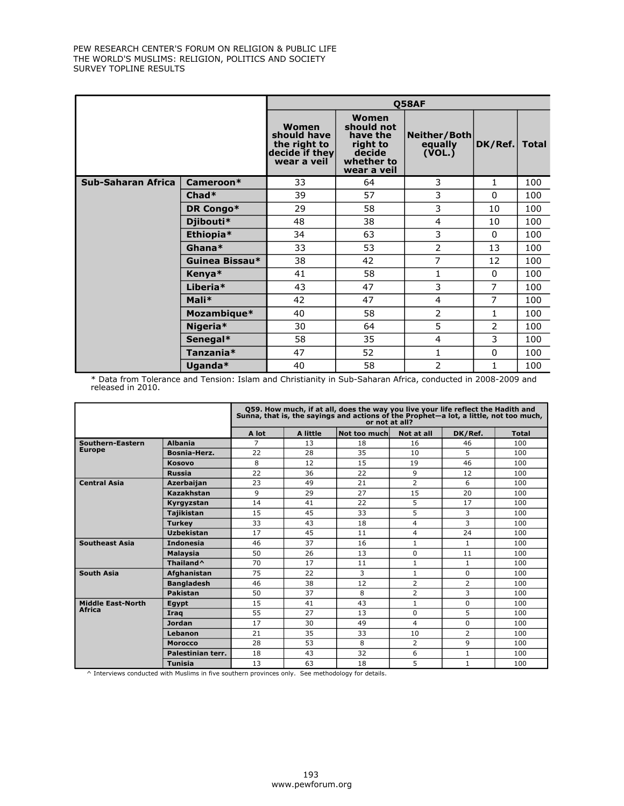|                           |                |                                                                       |                                                                                    | <b>O58AF</b>                      |              |              |
|---------------------------|----------------|-----------------------------------------------------------------------|------------------------------------------------------------------------------------|-----------------------------------|--------------|--------------|
|                           |                | Women<br>should have<br>the right to<br>decide if they<br>wear a veil | Women<br>should not<br>have the<br>right to<br>decide<br>whether to<br>wear a veil | Neither/Both<br>equally<br>(VOL.) | DK/Ref.      | <b>Total</b> |
| <b>Sub-Saharan Africa</b> | Cameroon*      | 33                                                                    | 64                                                                                 | 3                                 | 1            | 100          |
|                           | $Chad*$        | 39                                                                    | 57                                                                                 | 3                                 | 0            | 100          |
|                           | DR Congo*      | 29                                                                    | 58                                                                                 | 3                                 | 10           | 100          |
|                           | Djibouti*      | 48                                                                    | 38                                                                                 | 4                                 | 10           | 100          |
|                           | Ethiopia*      | 34                                                                    | 63                                                                                 | 3                                 | $\Omega$     | 100          |
|                           | Ghana*         | 33                                                                    | 53                                                                                 | 2                                 | 13           | 100          |
|                           | Guinea Bissau* | 38                                                                    | 42                                                                                 | $\overline{7}$                    | 12           | 100          |
|                           | Kenya*         | 41                                                                    | 58                                                                                 | 1                                 | 0            | 100          |
|                           | Liberia*       | 43                                                                    | 47                                                                                 | 3                                 | 7            | 100          |
|                           | Mali*          | 42                                                                    | 47                                                                                 | $\overline{4}$                    | 7            | 100          |
|                           | Mozambique*    | 40                                                                    | 58                                                                                 | 2                                 | $\mathbf{1}$ | 100          |
|                           | Nigeria*       | 30                                                                    | 64                                                                                 | 5                                 | 2            | 100          |
|                           | Senegal*       | 58                                                                    | 35                                                                                 | 4                                 | 3            | 100          |
|                           | Tanzania*      | 47                                                                    | 52                                                                                 | $\mathbf{1}$                      | $\mathbf{0}$ | 100          |
|                           | Uganda*        | 40                                                                    | 58                                                                                 | 2                                 | 1            | 100          |

\* Data from Tolerance and Tension: Islam and Christianity in Sub-Saharan Africa, conducted in 2008-2009 and released in 2010.

|                          |                       |       |          | Q59. How much, if at all, does the way you live your life reflect the Hadith and<br>Sunna, that is, the sayings and actions of the Prophet-a lot, a little, not too much,<br>or not at all? |                |              |              |
|--------------------------|-----------------------|-------|----------|---------------------------------------------------------------------------------------------------------------------------------------------------------------------------------------------|----------------|--------------|--------------|
|                          |                       | A lot | A little | Not too much                                                                                                                                                                                | Not at all     | DK/Ref.      | <b>Total</b> |
| Southern-Eastern         | <b>Albania</b>        | 7     | 13       | 18                                                                                                                                                                                          | 16             | 46           | 100          |
| <b>Europe</b>            | Bosnia-Herz.          | 22    | 28       | 35                                                                                                                                                                                          | 10             | 5.           | 100          |
|                          | <b>Kosovo</b>         | 8     | 12       | 15                                                                                                                                                                                          | 19             | 46           | 100          |
|                          | <b>Russia</b>         | 22    | 36       | 22                                                                                                                                                                                          | 9              | 12           | 100          |
| <b>Central Asia</b>      | <b>Azerbaijan</b>     | 23    | 49       | 21                                                                                                                                                                                          | 2              | 6            | 100          |
|                          | Kazakhstan            | 9     | 29       | 27                                                                                                                                                                                          | 15             | 20           | 100          |
|                          | Kyrgyzstan            | 14    | 41       | 22                                                                                                                                                                                          | 5              | 17           | 100          |
|                          | <b>Tajikistan</b>     | 15    | 45       | 33                                                                                                                                                                                          | 5              | 3            | 100          |
|                          | <b>Turkey</b>         | 33    | 43       | 18                                                                                                                                                                                          | 4              | 3            | 100          |
|                          | Uzbekistan            | 17    | 45       | 11                                                                                                                                                                                          | 4              | 24           | 100          |
| <b>Southeast Asia</b>    | <b>Indonesia</b>      | 46    | 37       | 16                                                                                                                                                                                          | $\mathbf{1}$   | $\mathbf{1}$ | 100          |
|                          | <b>Malaysia</b>       | 50    | 26       | 13                                                                                                                                                                                          | $\Omega$       | 11           | 100          |
|                          | Thailand <sup>^</sup> | 70    | 17       | 11                                                                                                                                                                                          | $\mathbf{1}$   | $\mathbf{1}$ | 100          |
| <b>South Asia</b>        | <b>Afghanistan</b>    | 75    | 22       | 3                                                                                                                                                                                           | $\mathbf{1}$   | 0            | 100          |
|                          | <b>Bangladesh</b>     | 46    | 38       | 12                                                                                                                                                                                          | $\overline{2}$ | 2            | 100          |
|                          | Pakistan              | 50    | 37       | 8                                                                                                                                                                                           | $\overline{2}$ | 3            | 100          |
| <b>Middle East-North</b> | Eqypt                 | 15    | 41       | 43                                                                                                                                                                                          | $\mathbf{1}$   | $\Omega$     | 100          |
| <b>Africa</b>            | <b>Iraq</b>           | 55    | 27       | 13                                                                                                                                                                                          | $\Omega$       | 5            | 100          |
|                          | <b>Jordan</b>         | 17    | 30       | 49                                                                                                                                                                                          | 4              | 0            | 100          |
|                          | Lebanon               | 21    | 35       | 33                                                                                                                                                                                          | 10             | 2            | 100          |
|                          | <b>Morocco</b>        | 28    | 53       | 8                                                                                                                                                                                           | 2              | 9            | 100          |
|                          | Palestinian terr.     | 18    | 43       | 32                                                                                                                                                                                          | 6              | $\mathbf{1}$ | 100          |
|                          | <b>Tunisia</b>        | 13    | 63       | 18                                                                                                                                                                                          | 5              | $\mathbf{1}$ | 100          |

^ Interviews conducted with Muslims in five southern provinces only. See methodology for details.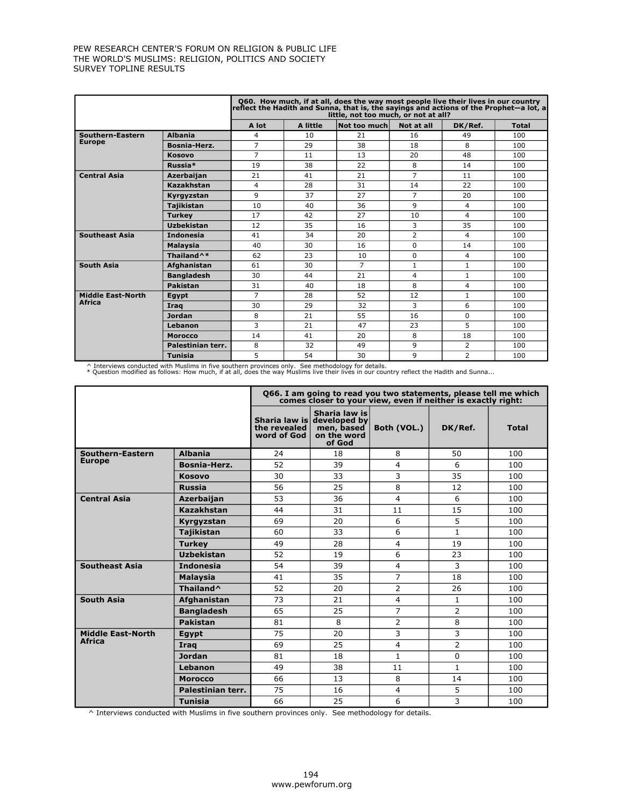|                          |                        |                |          | Q60. How much, if at all, does the way most people live their lives in our country<br>reflect the Hadith and Sunna, that is, the sayings and actions of the Prophet–a lot, a<br>little, not too much, or not at all? |                |                |              |
|--------------------------|------------------------|----------------|----------|----------------------------------------------------------------------------------------------------------------------------------------------------------------------------------------------------------------------|----------------|----------------|--------------|
|                          |                        | A lot          | A little | Not too much                                                                                                                                                                                                         | Not at all     | DK/Ref.        | <b>Total</b> |
| Southern-Eastern         | <b>Albania</b>         | 4              | 10       | 21                                                                                                                                                                                                                   | 16             | 49             | 100          |
| <b>Europe</b>            | Bosnia-Herz.           | $\overline{7}$ | 29       | 38                                                                                                                                                                                                                   | 18             | 8              | 100          |
|                          | <b>Kosovo</b>          | $\overline{7}$ | 11       | 13                                                                                                                                                                                                                   | 20             | 48             | 100          |
|                          | Russia*                | 19             | 38       | 22                                                                                                                                                                                                                   | 8              | 14             | 100          |
| <b>Central Asia</b>      | <b>Azerbaijan</b>      | 21             | 41       | 21                                                                                                                                                                                                                   | $\overline{7}$ | 11             | 100          |
|                          | Kazakhstan             | 4              | 28       | 31                                                                                                                                                                                                                   | 14             | 22             | 100          |
|                          | Kyrgyzstan             | 9              | 37       | 27                                                                                                                                                                                                                   | $\overline{7}$ | 20             | 100          |
|                          | <b>Tajikistan</b>      | 10             | 40       | 36                                                                                                                                                                                                                   | 9              | $\overline{4}$ | 100          |
|                          | <b>Turkey</b>          | 17             | 42       | 27                                                                                                                                                                                                                   | 10             | 4              | 100          |
|                          | <b>Uzbekistan</b>      | 12             | 35       | 16                                                                                                                                                                                                                   | 3              | 35             | 100          |
| <b>Southeast Asia</b>    | <b>Indonesia</b>       | 41             | 34       | 20                                                                                                                                                                                                                   | 2              | 4              | 100          |
|                          | <b>Malaysia</b>        | 40             | 30       | 16                                                                                                                                                                                                                   | $\Omega$       | 14             | 100          |
|                          | Thailand <sup>^*</sup> | 62             | 23       | 10                                                                                                                                                                                                                   | $\Omega$       | 4              | 100          |
| <b>South Asia</b>        | <b>Afghanistan</b>     | 61             | 30       | $\overline{7}$                                                                                                                                                                                                       | $\mathbf{1}$   | $\mathbf{1}$   | 100          |
|                          | <b>Bangladesh</b>      | 30             | 44       | 21                                                                                                                                                                                                                   | 4              | $\mathbf{1}$   | 100          |
|                          | Pakistan               | 31             | 40       | 18                                                                                                                                                                                                                   | 8              | $\overline{4}$ | 100          |
| <b>Middle East-North</b> | Eqypt                  | $\overline{7}$ | 28       | 52                                                                                                                                                                                                                   | 12             | $\mathbf{1}$   | 100          |
| <b>Africa</b>            | Iraq                   | 30             | 29       | 32                                                                                                                                                                                                                   | 3              | 6              | 100          |
|                          | <b>Jordan</b>          | 8              | 21       | 55                                                                                                                                                                                                                   | 16             | $\Omega$       | 100          |
|                          | Lebanon                | 3              | 21       | 47                                                                                                                                                                                                                   | 23             | 5              | 100          |
|                          | <b>Morocco</b>         | 14             | 41       | 20                                                                                                                                                                                                                   | 8              | 18             | 100          |
|                          | Palestinian terr.      | 8              | 32       | 49                                                                                                                                                                                                                   | 9              | 2              | 100          |
|                          | <b>Tunisia</b>         | 5              | 54       | 30                                                                                                                                                                                                                   | 9              | $\overline{2}$ | 100          |

^ Interviews conducted with Muslims in five southern provinces only. See methodology for details.<br>\* Question modified as follows: How much, if at all, does the way Muslims live their lives in our country reflect the Hadit

| Ouestion modified as follows: How much, if at all, does the way Muslims live their lives in our country reflect the Hadith and Sunna |  |
|--------------------------------------------------------------------------------------------------------------------------------------|--|
|--------------------------------------------------------------------------------------------------------------------------------------|--|

|                          |                       |                             | Q66. I am going to read you two statements, please tell me which<br>comes closer to your view, even if neither is exactly right: |                |                |              |
|--------------------------|-----------------------|-----------------------------|----------------------------------------------------------------------------------------------------------------------------------|----------------|----------------|--------------|
|                          |                       | the revealed<br>word of God | Sharia law is<br>Sharia law is developed by<br>men, based<br>on the word<br>of God                                               | Both (VOL.)    | DK/Ref.        | <b>Total</b> |
| Southern-Eastern         | <b>Albania</b>        | 24                          | 18                                                                                                                               | 8              | 50             | 100          |
| <b>Europe</b>            | Bosnia-Herz.          | 52                          | 39                                                                                                                               | 4              | 6              | 100          |
|                          | <b>Kosovo</b>         | 30                          | 33                                                                                                                               | 3              | 35             | 100          |
|                          | <b>Russia</b>         | 56                          | 25                                                                                                                               | 8              | 12             | 100          |
| <b>Central Asia</b>      | Azerbaijan            | 53                          | 36                                                                                                                               | 4              | 6              | 100          |
|                          | <b>Kazakhstan</b>     | 44                          | 31                                                                                                                               | 11             | 15             | 100          |
|                          | Kyrgyzstan            | 69                          | 20                                                                                                                               | 6              | 5              | 100          |
|                          | <b>Tajikistan</b>     | 60                          | 33                                                                                                                               | 6              | $\mathbf{1}$   | 100          |
|                          | <b>Turkey</b>         | 49                          | 28                                                                                                                               | $\overline{4}$ | 19             | 100          |
|                          | <b>Uzbekistan</b>     | 52                          | 19                                                                                                                               | 6              | 23             | 100          |
| <b>Southeast Asia</b>    | <b>Indonesia</b>      | 54                          | 39                                                                                                                               | 4              | 3              | 100          |
|                          | <b>Malaysia</b>       | 41                          | 35                                                                                                                               | $\overline{7}$ | 18             | 100          |
|                          | Thailand <sup>^</sup> | 52                          | 20                                                                                                                               | 2              | 26             | 100          |
| <b>South Asia</b>        | Afghanistan           | 73                          | 21                                                                                                                               | 4              | 1              | 100          |
|                          | <b>Bangladesh</b>     | 65                          | 25                                                                                                                               | $\overline{7}$ | $\overline{2}$ | 100          |
|                          | <b>Pakistan</b>       | 81                          | 8                                                                                                                                | $\overline{2}$ | 8              | 100          |
| <b>Middle East-North</b> | Egypt                 | 75                          | 20                                                                                                                               | 3              | 3              | 100          |
| <b>Africa</b>            | Irag                  | 69                          | 25                                                                                                                               | $\overline{4}$ | $\overline{2}$ | 100          |
|                          | <b>Jordan</b>         | 81                          | 18                                                                                                                               | $\mathbf{1}$   | $\Omega$       | 100          |
|                          | Lebanon               | 49                          | 38                                                                                                                               | 11             | $\mathbf{1}$   | 100          |
|                          | <b>Morocco</b>        | 66                          | 13                                                                                                                               | 8              | 14             | 100          |
|                          | Palestinian terr.     | 75                          | 16                                                                                                                               | $\overline{4}$ | 5              | 100          |
|                          | <b>Tunisia</b>        | 66                          | 25                                                                                                                               | 6              | 3              | 100          |

 $\wedge$  Interviews conducted with Muslims in five southern provinces only. See methodology for details.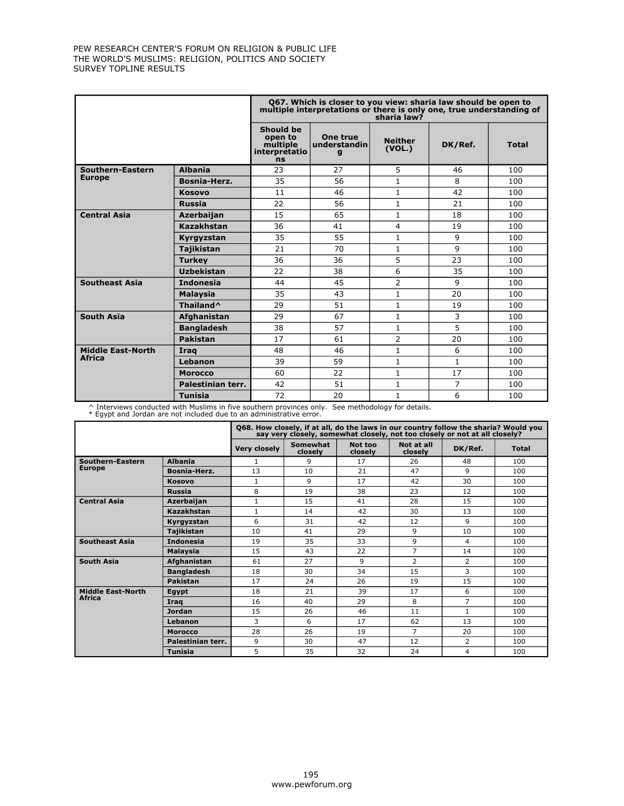|                          |                       | Q67. Which is closer to you view: sharia law should be open to<br>multiple interpretations or there is only one, true understanding of<br>sharia law? |                               |                          |              |              |  |  |  |
|--------------------------|-----------------------|-------------------------------------------------------------------------------------------------------------------------------------------------------|-------------------------------|--------------------------|--------------|--------------|--|--|--|
|                          |                       | <b>Should be</b><br>open to<br>multiple<br>interpretatio<br><b>ns</b>                                                                                 | One true<br>understandin<br>q | <b>Neither</b><br>(VOL.) | DK/Ref.      | <b>Total</b> |  |  |  |
| Southern-Eastern         | <b>Albania</b>        | 23                                                                                                                                                    | 27                            | 5                        | 46           | 100          |  |  |  |
| <b>Europe</b>            | Bosnia-Herz.          | 35                                                                                                                                                    | 56                            | $\mathbf{1}$             | 8            | 100          |  |  |  |
|                          | <b>Kosovo</b>         | 11                                                                                                                                                    | 46                            | $\mathbf{1}$             | 42           | 100          |  |  |  |
|                          | <b>Russia</b>         | 22                                                                                                                                                    | 56                            | 1                        | 21           | 100          |  |  |  |
| <b>Central Asia</b>      | <b>Azerbaijan</b>     | 15                                                                                                                                                    | 65                            | $\mathbf{1}$             | 18           | 100          |  |  |  |
|                          | Kazakhstan            | 36                                                                                                                                                    | 41                            | 4                        | 19           | 100          |  |  |  |
|                          | Kyrgyzstan            | 35                                                                                                                                                    | 55                            | $\mathbf{1}$             | 9            | 100          |  |  |  |
|                          | <b>Tajikistan</b>     | 21                                                                                                                                                    | 70                            | $\mathbf{1}$             | 9            | 100          |  |  |  |
|                          | <b>Turkey</b>         | 36                                                                                                                                                    | 36                            | 5                        | 23           | 100          |  |  |  |
|                          | <b>Uzbekistan</b>     | 22                                                                                                                                                    | 38                            | 6                        | 35           | 100          |  |  |  |
| <b>Southeast Asia</b>    | <b>Indonesia</b>      | 44                                                                                                                                                    | 45                            | $\overline{2}$           | 9            | 100          |  |  |  |
|                          | <b>Malaysia</b>       | 35                                                                                                                                                    | 43                            | $\mathbf{1}$             | 20           | 100          |  |  |  |
|                          | Thailand <sup>^</sup> | 29                                                                                                                                                    | 51                            | $\mathbf{1}$             | 19           | 100          |  |  |  |
| <b>South Asia</b>        | Afghanistan           | 29                                                                                                                                                    | 67                            | $\mathbf{1}$             | 3            | 100          |  |  |  |
|                          | <b>Bangladesh</b>     | 38                                                                                                                                                    | 57                            | $\mathbf{1}$             | 5            | 100          |  |  |  |
|                          | <b>Pakistan</b>       | 17                                                                                                                                                    | 61                            | $\overline{2}$           | 20           | 100          |  |  |  |
| <b>Middle East-North</b> | Iraq                  | 48                                                                                                                                                    | 46                            | $\mathbf{1}$             | 6            | 100          |  |  |  |
| <b>Africa</b>            | Lebanon               | 39                                                                                                                                                    | 59                            | $\mathbf{1}$             | $\mathbf{1}$ | 100          |  |  |  |
|                          | <b>Morocco</b>        | 60                                                                                                                                                    | 22                            | $\mathbf{1}$             | 17           | 100          |  |  |  |
|                          | Palestinian terr.     | 42                                                                                                                                                    | 51                            | $\mathbf{1}$             | 7            | 100          |  |  |  |
|                          | <b>Tunisia</b>        | 72                                                                                                                                                    | 20                            | 1                        | 6            | 100          |  |  |  |

^ Interviews conducted with Muslims in five southern provinces only. See methodology for details. \* Egypt and Jordan are not included due to an administrative error.

|                          |                   |                     |                     |                    |                       | Q68. How closely, if at all, do the laws in our country follow the sharia? Would you<br>say very closely, somewhat closely, not too closely or not at all closely? |              |
|--------------------------|-------------------|---------------------|---------------------|--------------------|-----------------------|--------------------------------------------------------------------------------------------------------------------------------------------------------------------|--------------|
|                          |                   | <b>Very closely</b> | Somewhat<br>closelv | Not too<br>closely | Not at all<br>closely | DK/Ref.                                                                                                                                                            | <b>Total</b> |
| Southern-Eastern         | <b>Albania</b>    | 1                   | q                   | 17                 | 26                    | 48                                                                                                                                                                 | 100          |
| <b>Europe</b>            | Bosnia-Herz.      | 13                  | 10                  | 21                 | 47                    | 9                                                                                                                                                                  | 100          |
|                          | <b>Kosovo</b>     | $\mathbf{1}$        | 9                   | 17                 | 42                    | 30                                                                                                                                                                 | 100          |
|                          | <b>Russia</b>     | 8                   | 19                  | 38                 | 23                    | 12                                                                                                                                                                 | 100          |
| <b>Central Asia</b>      | Azerbaijan        | $\mathbf{1}$        | 15                  | 41                 | 28                    | 15                                                                                                                                                                 | 100          |
|                          | Kazakhstan        | $\mathbf{1}$        | 14                  | 42                 | 30                    | 13                                                                                                                                                                 | 100          |
|                          | Kyrgyzstan        | 6                   | 31                  | 42                 | 12                    | 9                                                                                                                                                                  | 100          |
|                          | Tajikistan        | 10                  | 41                  | 29                 | 9                     | 10                                                                                                                                                                 | 100          |
| <b>Southeast Asia</b>    | <b>Indonesia</b>  | 19                  | 35                  | 33                 | 9                     | 4                                                                                                                                                                  | 100          |
|                          | <b>Malaysia</b>   | 15                  | 43                  | 22                 | $\overline{7}$        | 14                                                                                                                                                                 | 100          |
| <b>South Asia</b>        | Afghanistan       | 61                  | 27                  | 9                  | 2                     | 2                                                                                                                                                                  | 100          |
|                          | <b>Bangladesh</b> | 18                  | 30                  | 34                 | 15                    | 3                                                                                                                                                                  | 100          |
|                          | <b>Pakistan</b>   | 17                  | 24                  | 26                 | 19                    | 15                                                                                                                                                                 | 100          |
| <b>Middle East-North</b> | <b>Egypt</b>      | 18                  | 21                  | 39                 | 17                    | 6                                                                                                                                                                  | 100          |
| <b>Africa</b>            | Irag              | 16                  | 40                  | 29                 | 8                     | 7                                                                                                                                                                  | 100          |
|                          | <b>Jordan</b>     | 15                  | 26                  | 46                 | 11                    | 1                                                                                                                                                                  | 100          |
|                          | Lebanon           | 3                   | 6                   | 17                 | 62                    | 13                                                                                                                                                                 | 100          |
|                          | <b>Morocco</b>    | 28                  | 26                  | 19                 | $\overline{7}$        | 20                                                                                                                                                                 | 100          |
|                          | Palestinian terr. | 9                   | 30                  | 47                 | 12                    | $\overline{2}$                                                                                                                                                     | 100          |
|                          | <b>Tunisia</b>    | 5                   | 35                  | 32                 | 24                    | 4                                                                                                                                                                  | 100          |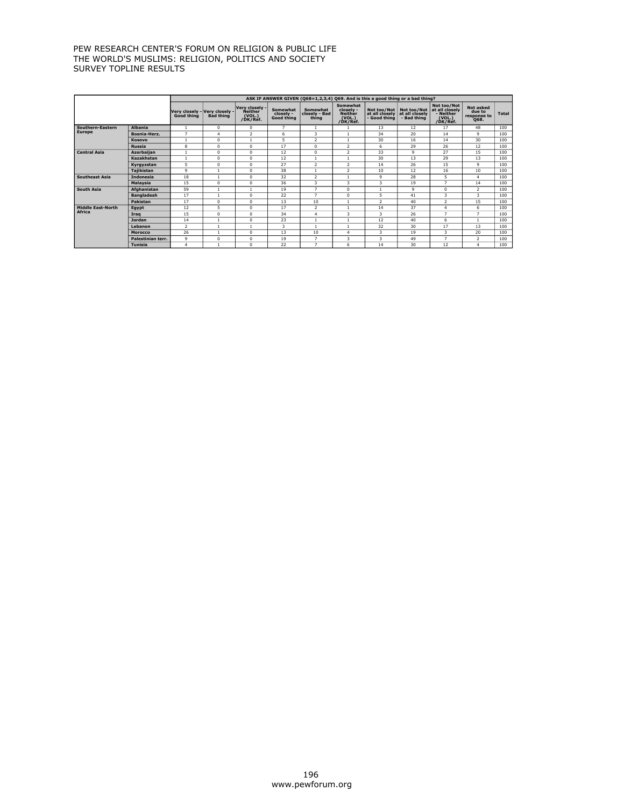|                          |                   |                                             |                  |                                                        |                                     |                                    |                                                                      | ASK IF ANSWER GIVEN (Q68=1,2,3,4) Q69. And is this a good thing or a bad thing? |                                              |                                                                  |                                            |              |
|--------------------------|-------------------|---------------------------------------------|------------------|--------------------------------------------------------|-------------------------------------|------------------------------------|----------------------------------------------------------------------|---------------------------------------------------------------------------------|----------------------------------------------|------------------------------------------------------------------|--------------------------------------------|--------------|
|                          |                   | Very closely - Very closely -<br>Good thing | <b>Bad thing</b> | Verv closelv -<br><b>Neither</b><br>(VOL.)<br>/ĎK/Réf. | Somewhat<br>closely -<br>Good thing | Somewhat<br>closely - Bad<br>thing | <b>Somewhat</b><br>closelv -<br><b>Neither</b><br>(VOL.)<br>/DK/Ref. | Not too/Not<br>at all closely<br>- Good thing                                   | Not too/Not<br>at all closely<br>- Bad thing | Not too/Not<br>at all closely<br>- Neither<br>(VOL.)<br>/DK/Ref. | Not asked<br>due to<br>response to<br>Q68. | <b>Total</b> |
| Southern-Eastern         | <b>Albania</b>    | $\mathbf{1}$                                | $\Omega$         | $^{\circ}$                                             | $\overline{ }$                      | $\mathbf{1}$                       |                                                                      | 13                                                                              | 12                                           | 17                                                               | 48                                         | 100          |
| <b>Europe</b>            | Bosnia-Herz.      | $\overline{7}$                              | $\overline{4}$   | $\overline{2}$                                         | 6                                   | 3                                  | $\overline{1}$                                                       | 34                                                                              | 20                                           | 14                                                               | $\mathbf{Q}$                               | 100          |
|                          | Kosovo            | $\mathbf{1}$                                | $\Omega$         | $\overline{1}$                                         | 5                                   | $\overline{2}$                     | -1                                                                   | 30                                                                              | 16                                           | 14                                                               | 30                                         | 100          |
|                          | <b>Russia</b>     | 8                                           | $\mathbf 0$      | $^{\circ}$                                             | 17                                  | $^{\circ}$                         | 2                                                                    | 6                                                                               | 29                                           | 26                                                               | 12                                         | 100          |
| <b>Central Asia</b>      | Azerbaijan        | $\overline{1}$                              | $\Omega$         | $^{\circ}$                                             | 12                                  | $^{\circ}$                         | 2                                                                    | 33                                                                              | 9                                            | 27                                                               | 15                                         | 100          |
|                          | Kazakhstan        | $\mathbf{1}$                                | $\Omega$         | $^{\circ}$                                             | 12                                  | $\mathbf{1}$                       | $\overline{1}$                                                       | 30                                                                              | 13                                           | 29                                                               | 13                                         | 100          |
|                          | Kvrgyzstan        | $\overline{5}$                              | $\mathbf 0$      | $^{\circ}$                                             | 27                                  | $\overline{2}$                     | $\overline{2}$                                                       | 14                                                                              | 26                                           | 15                                                               | 9                                          | 100          |
|                          | <b>Tajikistan</b> | $\mathbf{Q}$                                | $\overline{1}$   | $^{\circ}$                                             | 38                                  | $\overline{1}$                     | 2                                                                    | 10                                                                              | 12                                           | 16                                                               | 10                                         | 100          |
| <b>Southeast Asia</b>    | Indonesia         | 18                                          | $\mathbf{1}$     | 0                                                      | 32                                  | $\overline{2}$                     |                                                                      | 9                                                                               | 28                                           | 5                                                                | 4                                          | 100          |
|                          | Malaysia          | 15                                          | $\mathbf 0$      | $^{\circ}$                                             | 36                                  | 3                                  | 3                                                                    | 3                                                                               | 19                                           | $\overline{7}$                                                   | 14                                         | 100          |
| <b>South Asia</b>        | Afghanistan       | 59                                          | $\overline{1}$   | $\mathbf{1}$                                           | 19                                  | $\overline{7}$                     | $\Omega$                                                             | $\mathbf{1}$                                                                    | 9                                            | $\Omega$                                                         | $\overline{2}$                             | 100          |
|                          | <b>Bangladesh</b> | 17                                          | $\overline{1}$   | $^{\circ}$                                             | 22                                  | $\overline{7}$                     | $\Omega$                                                             | 5                                                                               | 41                                           | 3                                                                | 3                                          | 100          |
|                          | <b>Pakistan</b>   | 17                                          | $^{\circ}$       | $^{\circ}$                                             | 13                                  | 10                                 | $\overline{1}$                                                       | $\overline{2}$                                                                  | 40                                           | $\overline{2}$                                                   | 15                                         | 100          |
| <b>Middle East-North</b> | Egypt             | 12                                          | 5                | 0                                                      | 17                                  | $\overline{2}$                     |                                                                      | 14                                                                              | 37                                           | 4                                                                | 6                                          | 100          |
| Africa                   | Irag              | 15                                          | $\mathbf 0$      | 0                                                      | 34                                  | $\overline{4}$                     | 3                                                                    | 3                                                                               | 26                                           | 7                                                                | $\overline{ }$                             | 100          |
|                          | <b>Jordan</b>     | 14                                          | $\overline{1}$   | $^{\circ}$                                             | 23                                  | $\mathbf{1}$                       | -1                                                                   | 12                                                                              | 40                                           | 6                                                                | $\overline{1}$                             | 100          |
|                          | Lebanon           | $\overline{2}$                              | $\mathbf{1}$     | $\mathbf{1}$                                           | 3                                   | $\mathbf{1}$                       | 1                                                                    | 32                                                                              | 30                                           | 17                                                               | 13                                         | 100          |
|                          | Morocco           | 26                                          | $\overline{1}$   | $^{\circ}$                                             | 13                                  | 10                                 | $\overline{4}$                                                       | 3                                                                               | 19                                           | 3                                                                | 20                                         | 100          |
|                          | Palestinian terr. | 9                                           | $^{\circ}$       | 0                                                      | 19                                  | $\overline{7}$                     | 3                                                                    | 3                                                                               | 49                                           | $\overline{7}$                                                   | $\overline{2}$                             | 100          |
|                          | <b>Tunisia</b>    | $\overline{4}$                              | $\mathbf{1}$     | 0                                                      | 22                                  | $\overline{7}$                     | 6                                                                    | 14                                                                              | 30                                           | 12                                                               | 4                                          | 100          |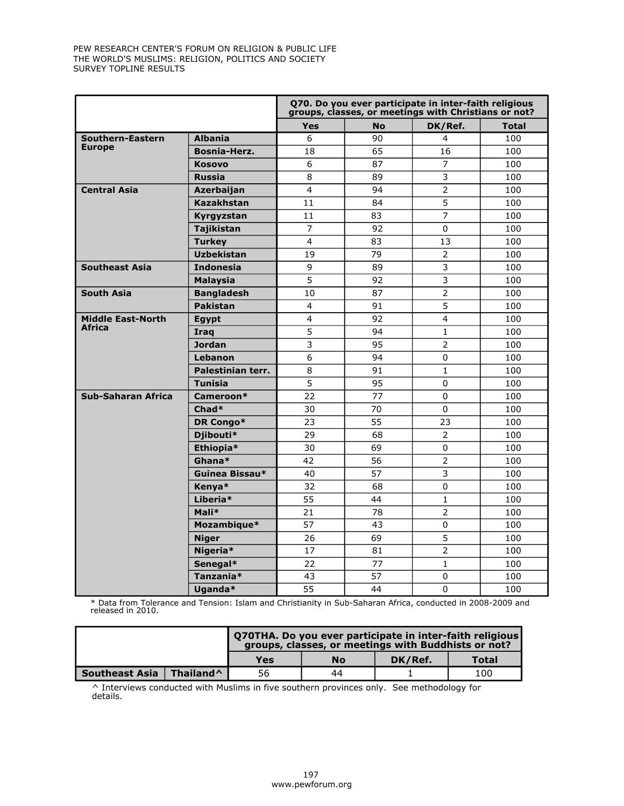|                          |                   |                 | Q70. Do you ever participate in inter-faith religious<br>groups, classes, or meetings with Christians or not? |                |              |
|--------------------------|-------------------|-----------------|---------------------------------------------------------------------------------------------------------------|----------------|--------------|
|                          |                   | <b>Yes</b>      | <b>No</b>                                                                                                     | DK/Ref.        | <b>Total</b> |
| Southern-Eastern         | <b>Albania</b>    | 6               | 90                                                                                                            | 4              | 100          |
| <b>Europe</b>            | Bosnia-Herz.      | 18              | 65                                                                                                            | 16             | 100          |
|                          | <b>Kosovo</b>     | 6               | 87                                                                                                            | $\overline{7}$ | 100          |
|                          | <b>Russia</b>     | 8               | 89                                                                                                            | 3              | 100          |
| <b>Central Asia</b>      | Azerbaijan        | 4               | 94                                                                                                            | $\overline{2}$ | 100          |
|                          | <b>Kazakhstan</b> | 11              | 84                                                                                                            | 5              | 100          |
|                          | Kyrgyzstan        | 11              | 83                                                                                                            | $\overline{7}$ | 100          |
|                          | <b>Tajikistan</b> | $\overline{7}$  | 92                                                                                                            | 0              | 100          |
|                          | <b>Turkey</b>     | $\overline{4}$  | 83                                                                                                            | 13             | 100          |
|                          | <b>Uzbekistan</b> | 19              | 79                                                                                                            | $\overline{2}$ | 100          |
| <b>Southeast Asia</b>    | <b>Indonesia</b>  | 9               | 89                                                                                                            | 3              | 100          |
|                          | <b>Malaysia</b>   | 5               | 92                                                                                                            | 3              | 100          |
| <b>South Asia</b>        | <b>Bangladesh</b> | 10              | 87                                                                                                            | $\overline{2}$ | 100          |
|                          | <b>Pakistan</b>   | 4               | 91                                                                                                            | 5              | 100          |
| <b>Middle East-North</b> | Egypt             | 4               | 92                                                                                                            | 4              | 100          |
| <b>Africa</b>            | Iraq              | 5               | 94                                                                                                            | $\mathbf{1}$   | 100          |
|                          | <b>Jordan</b>     | 3               | 95                                                                                                            | 2              | 100          |
|                          | Lebanon           | 6               | 94                                                                                                            | 0              | 100          |
|                          | Palestinian terr. | 8               | 91                                                                                                            | $\mathbf{1}$   | 100          |
|                          | <b>Tunisia</b>    | 5               | 95                                                                                                            | 0              | 100          |
| Sub-Saharan Africa       | Cameroon*         | $\overline{22}$ | 77                                                                                                            | $\Omega$       | 100          |
|                          | Chad*             | 30              | 70                                                                                                            | 0              | 100          |
|                          | DR Congo*         | 23              | 55                                                                                                            | 23             | 100          |
|                          | Djibouti*         | 29              | 68                                                                                                            | $\overline{2}$ | 100          |
|                          | Ethiopia*         | 30              | 69                                                                                                            | 0              | 100          |
|                          | Ghana*            | 42              | 56                                                                                                            | $\overline{2}$ | 100          |
|                          | Guinea Bissau*    | 40              | 57                                                                                                            | 3              | 100          |
|                          | Kenva*            | 32              | 68                                                                                                            | 0              | 100          |
|                          | Liberia*          | 55              | 44                                                                                                            | $\mathbf{1}$   | 100          |
|                          | Mali*             | 21              | 78                                                                                                            | $\overline{2}$ | 100          |
|                          | Mozambique*       | 57              | 43                                                                                                            | 0              | 100          |
|                          | <b>Niger</b>      | 26              | 69                                                                                                            | 5              | 100          |
|                          | Nigeria*          | 17              | 81                                                                                                            | $\overline{2}$ | 100          |
|                          | Senegal*          | 22              | 77                                                                                                            | $\mathbf{1}$   | 100          |
|                          | Tanzania*         | 43              | 57                                                                                                            | $\pmb{0}$      | 100          |
|                          | Uganda*           | 55              | 44                                                                                                            | $\Omega$       | 100          |

\* Data from Tolerance and Tension: Islam and Christianity in Sub-Saharan Africa, conducted in 2008-2009 and released in 2010.

|                       |                       |     | Q70THA. Do you ever participate in inter-faith religious<br>groups, classes, or meetings with Buddhists or not? |         |       |  |  |  |  |  |  |
|-----------------------|-----------------------|-----|-----------------------------------------------------------------------------------------------------------------|---------|-------|--|--|--|--|--|--|
|                       |                       | Yes | No                                                                                                              | DK/Ref. | Total |  |  |  |  |  |  |
| <b>Southeast Asia</b> | Thailand <sup>^</sup> | 56  | 44                                                                                                              |         | 100   |  |  |  |  |  |  |

^ Interviews conducted with Muslims in five southern provinces only. See methodology for details.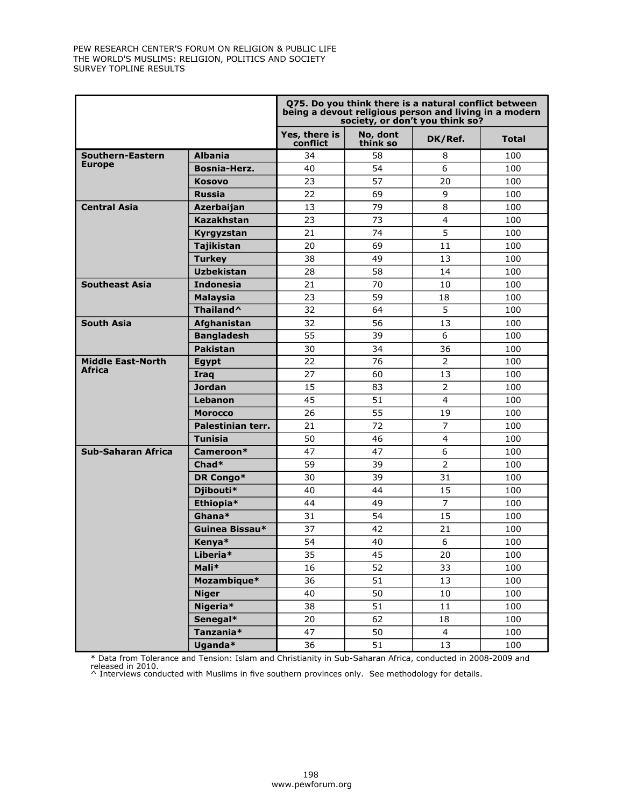|                          |                      |                           |                      | Q75. Do you think there is a natural conflict between<br>being a devout religious person and living in a modern<br>society, or don't you think so? |              |
|--------------------------|----------------------|---------------------------|----------------------|----------------------------------------------------------------------------------------------------------------------------------------------------|--------------|
|                          |                      | Yes, there is<br>conflict | No, dont<br>think so | DK/Ref.                                                                                                                                            | <b>Total</b> |
| Southern-Eastern         | <b>Albania</b>       | 34                        | 58                   | 8                                                                                                                                                  | 100          |
| <b>Europe</b>            | Bosnia-Herz.         | 40                        | 54                   | 6                                                                                                                                                  | 100          |
|                          | <b>Kosovo</b>        | 23                        | 57                   | 20                                                                                                                                                 | 100          |
|                          | <b>Russia</b>        | 22                        | 69                   | 9                                                                                                                                                  | 100          |
| <b>Central Asia</b>      | Azerbaijan           | 13                        | 79                   | 8                                                                                                                                                  | 100          |
|                          | Kazakhstan           | 23                        | 73                   | 4                                                                                                                                                  | 100          |
|                          | Kyrgyzstan           | 21                        | 74                   | 5                                                                                                                                                  | 100          |
|                          | <b>Tajikistan</b>    | 20                        | 69                   | 11                                                                                                                                                 | 100          |
|                          | <b>Turkey</b>        | 38                        | 49                   | 13                                                                                                                                                 | 100          |
|                          | <b>Uzbekistan</b>    | 28                        | 58                   | 14                                                                                                                                                 | 100          |
| <b>Southeast Asia</b>    | <b>Indonesia</b>     | 21                        | 70                   | 10                                                                                                                                                 | 100          |
|                          | <b>Malaysia</b>      | 23                        | 59                   | 18                                                                                                                                                 | 100          |
|                          | Thailand^            | 32                        | 64                   | 5                                                                                                                                                  | 100          |
| <b>South Asia</b>        | Afghanistan          | 32                        | 56                   | 13                                                                                                                                                 | 100          |
|                          | <b>Bangladesh</b>    | 55                        | 39                   | 6                                                                                                                                                  | 100          |
|                          | <b>Pakistan</b>      | 30                        | 34                   | 36                                                                                                                                                 | 100          |
| <b>Middle East-North</b> | <b>Egypt</b>         | 22                        | 76                   | $\overline{2}$                                                                                                                                     | 100          |
| Africa                   | Iraq                 | 27                        | 60                   | 13                                                                                                                                                 | 100          |
|                          | Jordan               | 15                        | 83                   | $\overline{2}$                                                                                                                                     | 100          |
|                          | Lebanon              | 45                        | 51                   | 4                                                                                                                                                  | 100          |
|                          | <b>Morocco</b>       | 26                        | 55                   | 19                                                                                                                                                 | 100          |
|                          | Palestinian terr.    | 21                        | 72                   | $\overline{7}$                                                                                                                                     | 100          |
|                          | <b>Tunisia</b>       | 50                        | 46                   | $\overline{4}$                                                                                                                                     | 100          |
| Sub-Saharan Africa       | Cameroon*            | 47                        | 47                   | 6                                                                                                                                                  | 100          |
|                          | $Chad*$              | 59                        | 39                   | $\overline{2}$                                                                                                                                     | 100          |
|                          | DR Congo*            | 30                        | 39                   | 31                                                                                                                                                 | 100          |
|                          | Djibouti*            | 40                        | 44                   | 15                                                                                                                                                 | 100          |
|                          | Ethiopia*            | 44                        | 49                   | $\overline{7}$                                                                                                                                     | 100          |
|                          | Ghana*               | 31                        | 54                   | 15                                                                                                                                                 | 100          |
|                          | Guinea Bissau*       | 37                        | 42                   | 21                                                                                                                                                 | 100          |
|                          | Kenya*               | 54                        | 40                   | 6                                                                                                                                                  | 100          |
|                          | Liberia <sup>*</sup> | 35                        | 45                   | 20                                                                                                                                                 | 100          |
|                          | Mali*                | 16                        | 52                   | 33                                                                                                                                                 | 100          |
|                          | Mozambique*          | 36                        | 51                   | 13                                                                                                                                                 | 100          |
|                          | <b>Niger</b>         | 40                        | 50                   | 10                                                                                                                                                 | 100          |
|                          | Nigeria*             | 38                        | 51                   | $11\,$                                                                                                                                             | 100          |
|                          | Senegal*             | 20                        | 62                   | 18                                                                                                                                                 | 100          |
|                          | Tanzania*            | 47                        | 50                   | $\overline{4}$                                                                                                                                     | 100          |
|                          | Uganda*              | 36                        | 51                   | 13                                                                                                                                                 | 100          |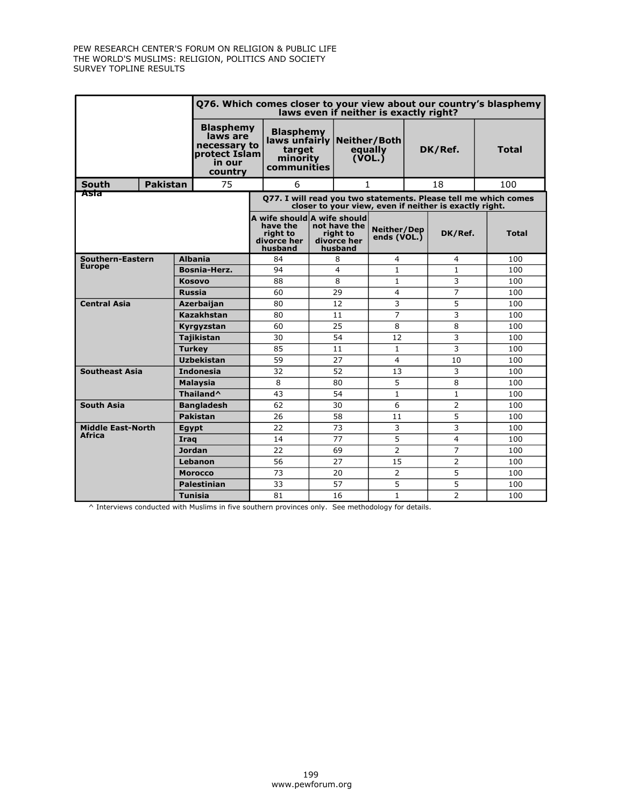|                          |                 |       |                                                                                    | Q76. Which comes closer to your view about our country's blasphemy<br>laws even if neither is exactly right?              |                                                |    |                                                                                                                 |                   |                |                   |              |            |
|--------------------------|-----------------|-------|------------------------------------------------------------------------------------|---------------------------------------------------------------------------------------------------------------------------|------------------------------------------------|----|-----------------------------------------------------------------------------------------------------------------|-------------------|----------------|-------------------|--------------|------------|
|                          |                 |       | <b>Blasphemy</b><br>laws are<br>necessary to<br>protect Islam<br>in our<br>country | <b>Blasphemy</b><br>target<br>minority<br>communities                                                                     |                                                |    | laws unfairly   Neither / Both<br>equally<br>$(\overline{VOL}, \overline{S})$                                   |                   | DK/Ref.        |                   |              | Total      |
| <b>South</b>             | <b>Pakistan</b> |       | 75                                                                                 |                                                                                                                           | 6                                              |    | 1                                                                                                               |                   |                | 18                |              | 100        |
| Asia                     |                 |       |                                                                                    | Q77. I will read you two statements. Please tell me which comes<br>closer to your view, even if neither is exactly right. |                                                |    |                                                                                                                 |                   |                |                   |              |            |
|                          |                 |       |                                                                                    |                                                                                                                           | have the<br>right to<br>divorce her<br>husband |    | A wife should A wife should<br>not have the<br>Neither/Dep<br>riaht to<br>ends (VOL.)<br>divorce her<br>husband |                   | DK/Ref.        |                   | <b>Total</b> |            |
| Southern-Eastern         |                 |       | <b>Albania</b>                                                                     |                                                                                                                           | 84                                             |    | 8                                                                                                               | 4                 |                | 4                 |              | 100        |
| <b>Europe</b>            |                 |       | Bosnia-Herz.                                                                       |                                                                                                                           | 94                                             |    | 4                                                                                                               | $\mathbf{1}$      |                | $\mathbf{1}$      |              | 100        |
|                          |                 |       | <b>Kosovo</b>                                                                      |                                                                                                                           | 88                                             |    | 8                                                                                                               | $\mathbf{1}$      |                | 3                 |              | 100        |
| <b>Russia</b>            |                 |       |                                                                                    | 60                                                                                                                        |                                                | 29 | 4                                                                                                               |                   | $\overline{7}$ |                   | 100          |            |
| <b>Central Asia</b>      |                 |       | Azerbaijan                                                                         |                                                                                                                           | 80                                             |    | 12                                                                                                              | 3                 |                | 5                 |              | 100        |
|                          |                 |       | <b>Kazakhstan</b>                                                                  |                                                                                                                           | 80                                             |    | 11                                                                                                              | $\overline{7}$    |                | 3                 |              | 100        |
|                          |                 |       | Kyrgyzstan                                                                         |                                                                                                                           | 60                                             |    | 25                                                                                                              | 8                 |                | 8                 |              | 100        |
|                          |                 |       | <b>Tajikistan</b>                                                                  |                                                                                                                           | 30                                             |    | 54                                                                                                              | 12                |                | 3                 |              | 100        |
|                          |                 |       | <b>Turkey</b>                                                                      |                                                                                                                           | 85                                             |    | 11                                                                                                              | $\mathbf{1}$      |                | 3                 |              | 100        |
|                          |                 |       | <b>Uzbekistan</b>                                                                  |                                                                                                                           | 59                                             |    | 27                                                                                                              | $\overline{4}$    |                | 10                |              | 100        |
| <b>Southeast Asia</b>    |                 |       | <b>Indonesia</b>                                                                   |                                                                                                                           | 32                                             |    | 52                                                                                                              | 13                |                | 3                 |              | 100        |
|                          |                 |       | <b>Malaysia</b><br>Thailand <sup>^</sup>                                           |                                                                                                                           | 8<br>43                                        |    | 80<br>54                                                                                                        | 5<br>$\mathbf{1}$ |                | 8<br>$\mathbf{1}$ |              | 100<br>100 |
| <b>South Asia</b>        |                 |       | <b>Bangladesh</b>                                                                  |                                                                                                                           | 62                                             |    | 30                                                                                                              | 6                 |                | $\overline{2}$    |              | 100        |
|                          |                 |       | Pakistan                                                                           |                                                                                                                           | 26                                             |    | 58                                                                                                              | 11                |                | 5                 |              | 100        |
| <b>Middle East-North</b> |                 | Egypt |                                                                                    |                                                                                                                           | 22                                             |    | 73                                                                                                              | 3                 |                | 3                 |              | 100        |
| Africa                   |                 | Iraq  |                                                                                    |                                                                                                                           | 14                                             |    | 77                                                                                                              | 5                 |                | $\overline{4}$    |              | 100        |
|                          |                 |       | <b>Jordan</b>                                                                      |                                                                                                                           | 22                                             |    | 69                                                                                                              | $\overline{2}$    |                | 7                 |              | 100        |
|                          |                 |       | Lebanon                                                                            |                                                                                                                           | 56                                             |    | 27                                                                                                              | 15                |                | $\overline{2}$    |              | 100        |
|                          |                 |       | <b>Morocco</b>                                                                     |                                                                                                                           | 73                                             |    | 20                                                                                                              | $\overline{2}$    |                | 5                 |              | 100        |
|                          |                 |       | <b>Palestinian</b>                                                                 |                                                                                                                           | 33                                             |    | 57                                                                                                              | 5                 |                | 5                 |              | 100        |
|                          |                 |       | <b>Tunisia</b>                                                                     |                                                                                                                           | 81                                             |    | 16                                                                                                              | 1                 |                | $\overline{2}$    |              | 100        |

^ Interviews conducted with Muslims in five southern provinces only. See methodology for details.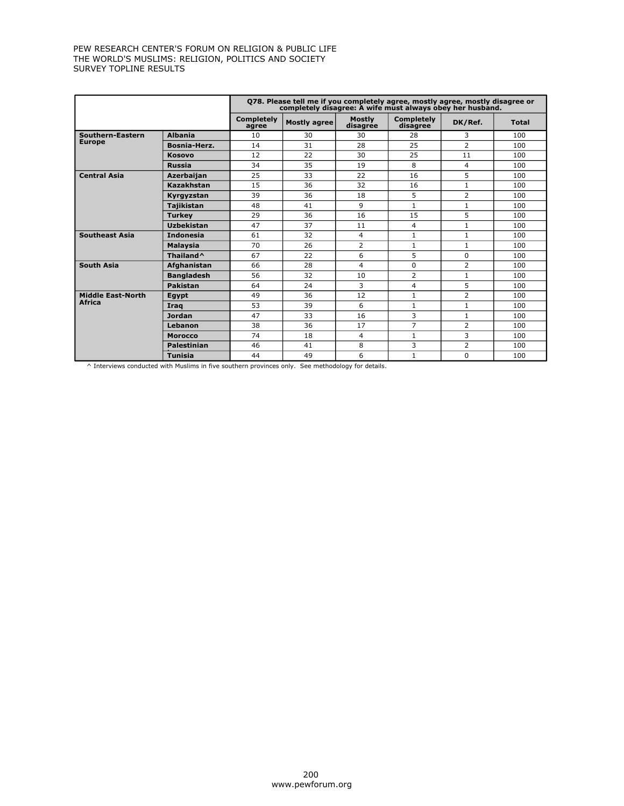|                          |                       |                            | 078. Please tell me if you completely agree, mostly agree, mostly disagree or<br>completely disagree: A wife must always obey her husband. |                           |                               |                |              |
|--------------------------|-----------------------|----------------------------|--------------------------------------------------------------------------------------------------------------------------------------------|---------------------------|-------------------------------|----------------|--------------|
|                          |                       | <b>Completely</b><br>agree | <b>Mostly agree</b>                                                                                                                        | <b>Mostly</b><br>disagrée | <b>Completely</b><br>disagree | DK/Ref.        | <b>Total</b> |
| Southern-Eastern         | <b>Albania</b>        | 10                         | 30                                                                                                                                         | 30                        | 28                            | 3              | 100          |
| <b>Europe</b>            | Bosnia-Herz.          | 14                         | 31                                                                                                                                         | 28                        | 25                            | 2              | 100          |
|                          | <b>Kosovo</b>         | 12                         | 22                                                                                                                                         | 30                        | 25                            | 11             | 100          |
|                          | <b>Russia</b>         | 34                         | 35                                                                                                                                         | 19                        | 8                             | 4              | 100          |
| <b>Central Asia</b>      | Azerbaijan            | 25                         | 33                                                                                                                                         | 22                        | 16                            | 5              | 100          |
|                          | Kazakhstan            | 15                         | 36                                                                                                                                         | 32                        | 16                            | $\mathbf{1}$   | 100          |
|                          | Kyrgyzstan            | 39                         | 36                                                                                                                                         | 18                        | 5                             | 2              | 100          |
|                          | <b>Tajikistan</b>     | 48                         | 41                                                                                                                                         | 9                         | $\mathbf{1}$                  | $\mathbf{1}$   | 100          |
|                          | <b>Turkey</b>         | 29                         | 36                                                                                                                                         | 16                        | 15                            | 5              | 100          |
|                          | <b>Uzbekistan</b>     | 47                         | 37                                                                                                                                         | 11                        | 4                             | 1              | 100          |
| <b>Southeast Asia</b>    | <b>Indonesia</b>      | 61                         | 32                                                                                                                                         | 4                         | $\mathbf{1}$                  | 1              | 100          |
|                          | <b>Malaysia</b>       | 70                         | 26                                                                                                                                         | $\overline{2}$            | $\mathbf{1}$                  | $\mathbf{1}$   | 100          |
|                          | Thailand <sup>^</sup> | 67                         | 22                                                                                                                                         | 6                         | 5                             | 0              | 100          |
| <b>South Asia</b>        | Afghanistan           | 66                         | 28                                                                                                                                         | 4                         | 0                             | 2              | 100          |
|                          | <b>Bangladesh</b>     | 56                         | 32                                                                                                                                         | 10                        | $\overline{2}$                | $\mathbf{1}$   | 100          |
|                          | Pakistan              | 64                         | 24                                                                                                                                         | 3                         | 4                             | 5              | 100          |
| <b>Middle East-North</b> | Eqypt                 | 49                         | 36                                                                                                                                         | 12                        | $\mathbf{1}$                  | $\overline{2}$ | 100          |
| <b>Africa</b>            | Iraq                  | 53                         | 39                                                                                                                                         | 6                         | $\mathbf{1}$                  | $\mathbf{1}$   | 100          |
|                          | <b>Jordan</b>         | 47                         | 33                                                                                                                                         | 16                        | 3                             | $\mathbf{1}$   | 100          |
|                          | Lebanon               | 38                         | 36                                                                                                                                         | 17                        | $\overline{7}$                | 2              | 100          |
|                          | <b>Morocco</b>        | 74                         | 18                                                                                                                                         | 4                         | $\mathbf{1}$                  | 3              | 100          |
|                          | <b>Palestinian</b>    | 46                         | 41                                                                                                                                         | 8                         | 3                             | $\overline{2}$ | 100          |
|                          | <b>Tunisia</b>        | 44                         | 49                                                                                                                                         | 6                         | $\mathbf{1}$                  | $\Omega$       | 100          |

 $\wedge$  Interviews conducted with Muslims in five southern provinces only. See methodology for details.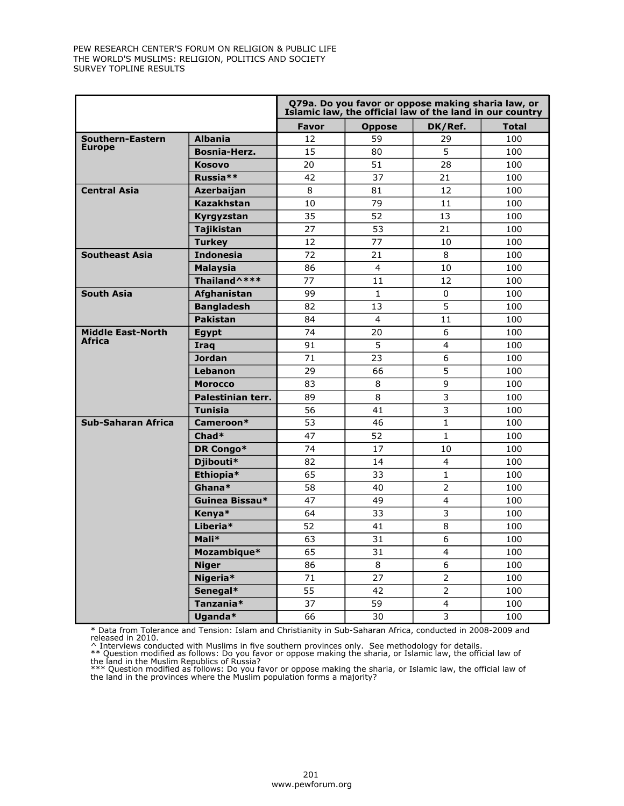|                           |                      |                 | Q79a. Do you favor or oppose making sharia law, or<br>Islamic law, the official law of the land in our country |                         |              |
|---------------------------|----------------------|-----------------|----------------------------------------------------------------------------------------------------------------|-------------------------|--------------|
|                           |                      | <b>Favor</b>    | <b>Oppose</b>                                                                                                  | DK/Ref.                 | <b>Total</b> |
| Southern-Eastern          | <b>Albania</b>       | 12              | 59                                                                                                             | 29                      | 100          |
| <b>Europe</b>             | <b>Bosnia-Herz.</b>  | 15              | 80                                                                                                             | 5                       | 100          |
|                           | <b>Kosovo</b>        | 20              | 51                                                                                                             | 28                      | 100          |
|                           | Russia <sup>**</sup> | 42              | 37                                                                                                             | 21                      | 100          |
| <b>Central Asia</b>       | <b>Azerbaijan</b>    | 8               | 81                                                                                                             | 12                      | 100          |
|                           | <b>Kazakhstan</b>    | 10              | 79                                                                                                             | 11                      | 100          |
|                           | Kyrgyzstan           | 35              | 52                                                                                                             | 13                      | 100          |
|                           | <b>Tajikistan</b>    | 27              | 53                                                                                                             | 21                      | 100          |
|                           | <b>Turkey</b>        | 12 <sup>2</sup> | 77                                                                                                             | 10                      | 100          |
| <b>Southeast Asia</b>     | <b>Indonesia</b>     | 72              | 21                                                                                                             | 8                       | 100          |
|                           | <b>Malaysia</b>      | 86              | 4                                                                                                              | 10                      | 100          |
|                           | Thailand^***         | 77              | 11                                                                                                             | 12                      | 100          |
| <b>South Asia</b>         | Afghanistan          | 99              | $\mathbf{1}$                                                                                                   | $\mathbf 0$             | 100          |
|                           | <b>Bangladesh</b>    | 82              | 13                                                                                                             | 5                       | 100          |
|                           | <b>Pakistan</b>      | 84              | 4                                                                                                              | 11                      | 100          |
| <b>Middle East-North</b>  | Egypt                | 74              | 20                                                                                                             | 6                       | 100          |
| Africa                    | <b>Iraq</b>          | 91              | 5                                                                                                              | $\overline{4}$          | 100          |
|                           | <b>Jordan</b>        | 71              | 23                                                                                                             | 6                       | 100          |
|                           | Lebanon              | 29              | 66                                                                                                             | 5                       | 100          |
|                           | <b>Morocco</b>       | 83              | 8                                                                                                              | $\overline{9}$          | 100          |
|                           | Palestinian terr.    | 89              | 8                                                                                                              | 3                       | 100          |
|                           | <b>Tunisia</b>       | 56              | 41                                                                                                             | 3                       | 100          |
| <b>Sub-Saharan Africa</b> | Cameroon*            | 53              | 46                                                                                                             | $\mathbf{1}$            | 100          |
|                           | Chad*                | 47              | 52                                                                                                             | $\mathbf{1}$            | 100          |
|                           | DR Congo*            | 74              | 17                                                                                                             | 10                      | 100          |
|                           | Djibouti*            | 82              | 14                                                                                                             | $\overline{4}$          | 100          |
|                           | Ethiopia*            | 65              | 33                                                                                                             | $\mathbf{1}$            | 100          |
|                           | Ghana*               | 58              | 40                                                                                                             | $\overline{2}$          | 100          |
|                           | Guinea Bissau*       | 47              | 49                                                                                                             | 4                       | 100          |
|                           | Kenya*               | 64              | 33                                                                                                             | 3                       | 100          |
|                           | Liberia*             | 52              | 41                                                                                                             | 8                       | 100          |
|                           | Mali*                | 63              | 31                                                                                                             | 6                       | 100          |
|                           | Mozambique*          | 65              | 31                                                                                                             | $\overline{\mathbf{4}}$ | 100          |
|                           | <b>Niger</b>         | 86              | 8                                                                                                              | 6                       | 100          |
|                           | Nigeria*             | 71              | 27                                                                                                             | $\overline{2}$          | 100          |
|                           | Senegal*             | 55              | 42                                                                                                             | $\overline{2}$          | 100          |
|                           | Tanzania*            | 37              | 59                                                                                                             | 4                       | 100          |
|                           | Uganda*              | 66              | 30                                                                                                             | 3                       | 100          |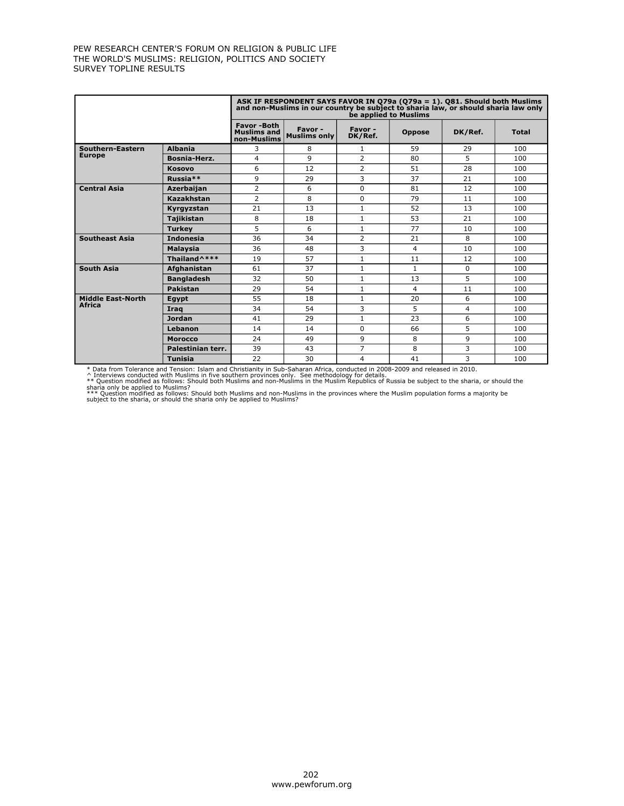|                          |                   |                                                        | ASK IF RESPONDENT SAYS FAVOR IN Q79a (Q79a = 1). Q81. Should both Muslims<br>and non-Muslims in our country be subject to sharia law, or should sharia law only |                    | be applied to Muslims |         |       |
|--------------------------|-------------------|--------------------------------------------------------|-----------------------------------------------------------------------------------------------------------------------------------------------------------------|--------------------|-----------------------|---------|-------|
|                          |                   | <b>Favor-Both</b><br><b>Muslims and</b><br>non-Muslims | Favor-<br><b>Muslims only</b>                                                                                                                                   | Favor -<br>DK/Ref. | <b>Oppose</b>         | DK/Ref. | Total |
| Southern-Eastern         | <b>Albania</b>    | 3                                                      | 8                                                                                                                                                               | 1                  | 59                    | 29      | 100   |
| <b>Europe</b>            | Bosnia-Herz.      | 4                                                      | q                                                                                                                                                               | $\overline{2}$     | 80                    | 5       | 100   |
|                          | <b>Kosovo</b>     | 6                                                      | 12                                                                                                                                                              | $\overline{2}$     | 51                    | 28      | 100   |
|                          | Russia**          | 9                                                      | 29                                                                                                                                                              | 3                  | 37                    | 21      | 100   |
| <b>Central Asia</b>      | <b>Azerbaijan</b> | 2                                                      | 6                                                                                                                                                               | $\Omega$           | 81                    | 12      | 100   |
|                          | Kazakhstan        | $\overline{2}$                                         | 8                                                                                                                                                               | $\Omega$           | 79                    | 11      | 100   |
|                          | Kyrgyzstan        | 21                                                     | 13                                                                                                                                                              | $\mathbf{1}$       | 52                    | 13      | 100   |
|                          | <b>Tajikistan</b> | 8                                                      | 18                                                                                                                                                              | $\mathbf{1}$       | 53                    | 21      | 100   |
|                          | <b>Turkev</b>     | 5                                                      | 6                                                                                                                                                               | 1                  | 77                    | 10      | 100   |
| <b>Southeast Asia</b>    | <b>Indonesia</b>  | 36                                                     | 34                                                                                                                                                              | 2                  | 21                    | 8       | 100   |
|                          | <b>Malaysia</b>   | 36                                                     | 48                                                                                                                                                              | 3                  | 4                     | 10      | 100   |
|                          | Thailand^***      | 19                                                     | 57                                                                                                                                                              | 1                  | 11                    | 12      | 100   |
| <b>South Asia</b>        | Afghanistan       | 61                                                     | 37                                                                                                                                                              | 1                  | 1                     | 0       | 100   |
|                          | <b>Bangladesh</b> | 32                                                     | 50                                                                                                                                                              | $\mathbf{1}$       | 13                    | 5       | 100   |
|                          | Pakistan          | 29                                                     | 54                                                                                                                                                              | $\mathbf{1}$       | 4                     | 11      | 100   |
| <b>Middle East-North</b> | Eqypt             | 55                                                     | 18                                                                                                                                                              | $\mathbf{1}$       | 20                    | 6       | 100   |
| <b>Africa</b>            | Iraq              | 34                                                     | 54                                                                                                                                                              | 3                  | 5                     | 4       | 100   |
|                          | <b>Jordan</b>     | 41                                                     | 29                                                                                                                                                              | $\mathbf{1}$       | 23                    | 6       | 100   |
|                          | Lebanon           | 14                                                     | 14                                                                                                                                                              | $\Omega$           | 66                    | 5       | 100   |
|                          | <b>Morocco</b>    | 24                                                     | 49                                                                                                                                                              | 9                  | 8                     | 9       | 100   |
|                          | Palestinian terr. | 39                                                     | 43                                                                                                                                                              | 7                  | 8                     | 3       | 100   |
|                          | <b>Tunisia</b>    | 22                                                     | 30                                                                                                                                                              | 4                  | 41                    | 3       | 100   |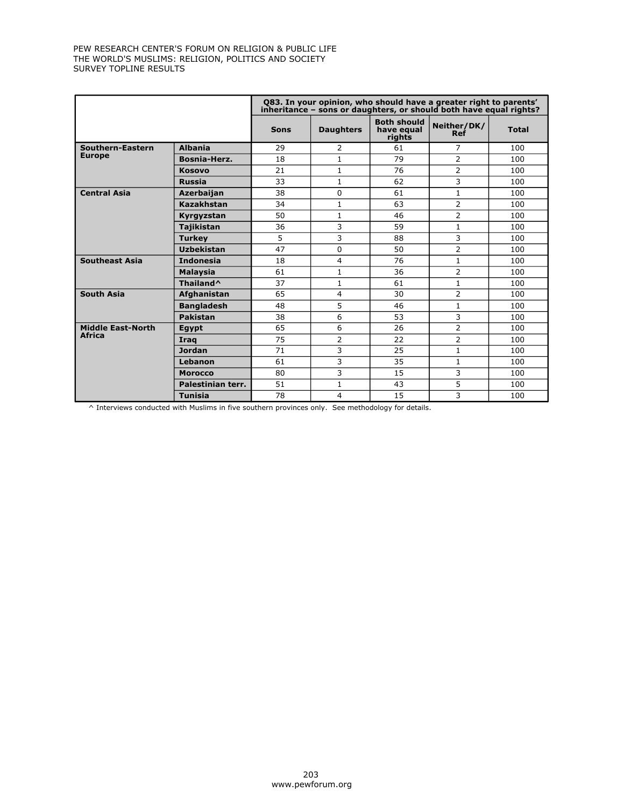|                          |                       |             |                  |                                            | Q83. In your opinion, who should have a greater right to parents'<br>inheritance - sons or daughters, or should both have equal rights? |              |
|--------------------------|-----------------------|-------------|------------------|--------------------------------------------|-----------------------------------------------------------------------------------------------------------------------------------------|--------------|
|                          |                       | <b>Sons</b> | <b>Daughters</b> | <b>Both should</b><br>have equal<br>rights | Neither/DK/<br><b>Ref</b>                                                                                                               | <b>Total</b> |
| Southern-Eastern         | <b>Albania</b>        | 29          | $\overline{2}$   | 61                                         | 7                                                                                                                                       | 100          |
| <b>Europe</b>            | <b>Bosnia-Herz.</b>   | 18          | 1                | 79                                         | 2                                                                                                                                       | 100          |
|                          | <b>Kosovo</b>         | 21          | $\mathbf{1}$     | 76                                         | $\overline{2}$                                                                                                                          | 100          |
|                          | <b>Russia</b>         | 33          | $\mathbf{1}$     | 62                                         | 3                                                                                                                                       | 100          |
| <b>Central Asia</b>      | <b>Azerbaijan</b>     | 38          | $\Omega$         | 61                                         | $\mathbf{1}$                                                                                                                            | 100          |
|                          | <b>Kazakhstan</b>     | 34          | 1                | 63                                         | $\overline{2}$                                                                                                                          | 100          |
|                          | Kyrgyzstan            | 50          | $\mathbf{1}$     | 46                                         | $\overline{2}$                                                                                                                          | 100          |
|                          | <b>Tajikistan</b>     | 36          | 3                | 59                                         | $\mathbf{1}$                                                                                                                            | 100          |
|                          | <b>Turkey</b>         | 5           | 3                | 88                                         | 3                                                                                                                                       | 100          |
|                          | <b>Uzbekistan</b>     | 47          | $\Omega$         | 50                                         | $\overline{2}$                                                                                                                          | 100          |
| <b>Southeast Asia</b>    | <b>Indonesia</b>      | 18          | 4                | 76                                         | $\mathbf{1}$                                                                                                                            | 100          |
|                          | <b>Malaysia</b>       | 61          | $\mathbf{1}$     | 36                                         | $\overline{2}$                                                                                                                          | 100          |
|                          | Thailand <sup>^</sup> | 37          | $\mathbf{1}$     | 61                                         | $\mathbf{1}$                                                                                                                            | 100          |
| <b>South Asia</b>        | Afghanistan           | 65          | 4                | 30                                         | $\overline{2}$                                                                                                                          | 100          |
|                          | <b>Bangladesh</b>     | 48          | 5                | 46                                         | $\mathbf{1}$                                                                                                                            | 100          |
|                          | <b>Pakistan</b>       | 38          | 6                | 53                                         | 3                                                                                                                                       | 100          |
| <b>Middle East-North</b> | Eqypt                 | 65          | 6                | 26                                         | $\overline{2}$                                                                                                                          | 100          |
| <b>Africa</b>            | Iraq                  | 75          | 2                | 22                                         | $\overline{2}$                                                                                                                          | 100          |
|                          | <b>Jordan</b>         | 71          | 3                | 25                                         | $\mathbf{1}$                                                                                                                            | 100          |
|                          | Lebanon               | 61          | 3                | 35                                         | $\mathbf{1}$                                                                                                                            | 100          |
|                          | <b>Morocco</b>        | 80          | 3                | 15                                         | 3                                                                                                                                       | 100          |
|                          | Palestinian terr.     | 51          | $\mathbf{1}$     | 43                                         | 5                                                                                                                                       | 100          |
|                          | <b>Tunisia</b>        | 78          | 4                | 15                                         | 3                                                                                                                                       | 100          |

^ Interviews conducted with Muslims in five southern provinces only. See methodology for details.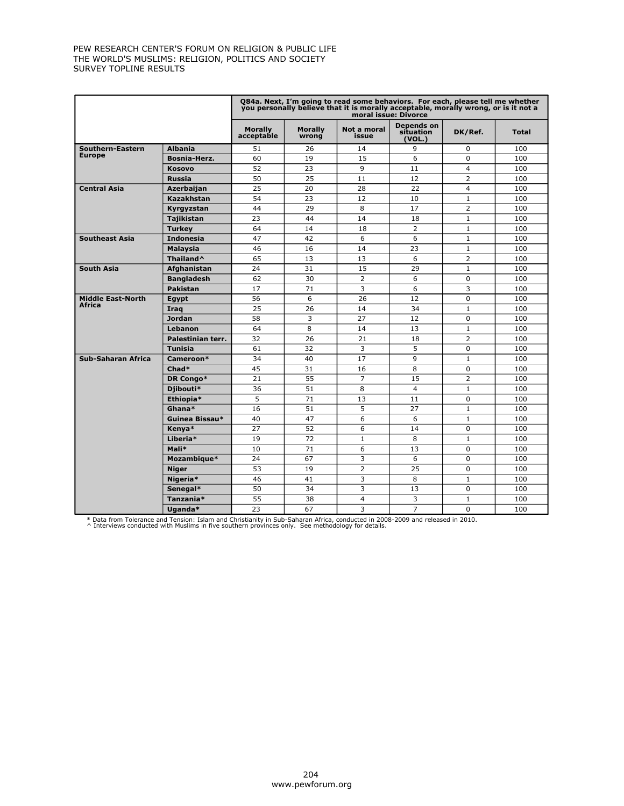|                                           |                       |                              |                         | Q84a. Next, I'm going to read some behaviors. For each, please tell me whether<br>you personally believe that it is morally acceptable, morally wrong, or is it not a | moral issue: Divorce              |                         |              |
|-------------------------------------------|-----------------------|------------------------------|-------------------------|-----------------------------------------------------------------------------------------------------------------------------------------------------------------------|-----------------------------------|-------------------------|--------------|
|                                           |                       | <b>Morally</b><br>acceptable | <b>Morally</b><br>wrona | Not a moral<br>issue                                                                                                                                                  | Depends on<br>situation<br>(VOL.) | DK/Ref.                 | <b>Total</b> |
| Southern-Eastern                          | <b>Albania</b>        | 51                           | 26                      | 14                                                                                                                                                                    | 9                                 | 0                       | 100          |
| <b>Europe</b>                             | <b>Bosnia-Herz.</b>   | 60                           | 19                      | 15                                                                                                                                                                    | 6                                 | 0                       | 100          |
|                                           | <b>Kosovo</b>         | 52                           | 23                      | 9                                                                                                                                                                     | 11                                | $\overline{\mathbf{4}}$ | 100          |
|                                           | <b>Russia</b>         | 50                           | 25                      | 11                                                                                                                                                                    | 12                                | $\overline{2}$          | 100          |
| <b>Central Asia</b>                       | Azerbaijan            | 25                           | 20                      | 28                                                                                                                                                                    | 22                                | $\overline{4}$          | 100          |
|                                           | <b>Kazakhstan</b>     | 54                           | 23                      | 12                                                                                                                                                                    | 10                                | $\mathbf{1}$            | 100          |
|                                           | Kyrgyzstan            | 44                           | 29                      | 8                                                                                                                                                                     | 17                                | $\overline{2}$          | 100          |
|                                           | <b>Tajikistan</b>     | 23                           | 44                      | 14                                                                                                                                                                    | 18                                | $\mathbf{1}$            | 100          |
|                                           | <b>Turkey</b>         | 64                           | 14                      | 18                                                                                                                                                                    | $\overline{2}$                    | $\mathbf{1}$            | 100          |
| <b>Southeast Asia</b>                     | <b>Indonesia</b>      | 47                           | 42                      | 6                                                                                                                                                                     | 6                                 | $\mathbf{1}$            | 100          |
|                                           | Malaysia              | 46                           | 16                      | 14                                                                                                                                                                    | 23                                | $\mathbf{1}$            | 100          |
|                                           | Thailand <sup>^</sup> | 65                           | 13                      | 13                                                                                                                                                                    | 6                                 | $\overline{2}$          | 100          |
| <b>South Asia</b>                         | Afghanistan           | 24                           | 31                      | 15                                                                                                                                                                    | 29                                | $\mathbf{1}$            | 100          |
|                                           | <b>Bangladesh</b>     | 62                           | 30                      | $\overline{2}$                                                                                                                                                        | 6                                 | $\overline{0}$          | 100          |
|                                           | <b>Pakistan</b>       | 17                           | 71                      | 3                                                                                                                                                                     | 6                                 | 3                       | 100          |
| <b>Middle East-North</b><br><b>Africa</b> | Eqypt                 | 56                           | 6                       | 26                                                                                                                                                                    | 12                                | $\Omega$                | 100          |
|                                           | Irag                  | 25                           | 26                      | 14                                                                                                                                                                    | 34                                | $\mathbf{1}$            | 100          |
|                                           | <b>Jordan</b>         | 58                           | 3                       | 27                                                                                                                                                                    | 12                                | $\overline{0}$          | 100          |
|                                           | Lebanon               | 64                           | 8                       | 14                                                                                                                                                                    | 13                                | $\mathbf{1}$            | 100          |
|                                           | Palestinian terr.     | 32                           | 26                      | 21                                                                                                                                                                    | 18                                | $\overline{2}$          | 100          |
|                                           | <b>Tunisia</b>        | 61                           | 32                      | 3                                                                                                                                                                     | 5                                 | 0                       | 100          |
| <b>Sub-Saharan Africa</b>                 | Cameroon*             | 34                           | 40                      | 17                                                                                                                                                                    | 9                                 | $\mathbf{1}$            | 100          |
|                                           | Chad*                 | 45                           | 31                      | 16                                                                                                                                                                    | 8                                 | $\overline{0}$          | 100          |
|                                           | DR Congo*             | 21                           | 55                      | $\overline{7}$                                                                                                                                                        | 15                                | $\overline{2}$          | 100          |
|                                           | Djibouti*             | 36                           | 51                      | 8                                                                                                                                                                     | $\overline{4}$                    | $\mathbf{1}$            | 100          |
|                                           | Ethiopia*             | 5                            | 71                      | 13                                                                                                                                                                    | 11                                | 0                       | 100          |
|                                           | Ghana*                | 16                           | 51                      | 5                                                                                                                                                                     | 27                                | $\mathbf{1}$            | 100          |
|                                           | Guinea Bissau*        | 40                           | 47                      | 6                                                                                                                                                                     | 6                                 | $\mathbf{1}$            | 100          |
|                                           | Kenya*                | 27                           | 52                      | 6                                                                                                                                                                     | 14                                | 0                       | 100          |
|                                           | Liberia*              | 19                           | 72                      | $\mathbf{1}$                                                                                                                                                          | 8                                 | $\mathbf{1}$            | 100          |
|                                           | Mali*                 | 10                           | 71                      | 6                                                                                                                                                                     | 13                                | 0                       | 100          |
|                                           | Mozambique*           | 24                           | 67                      | 3                                                                                                                                                                     | 6                                 | $\Omega$                | 100          |
|                                           | <b>Niger</b>          | 53                           | 19                      | $\overline{2}$                                                                                                                                                        | 25                                | $\overline{0}$          | 100          |
|                                           | Nigeria*              | 46                           | 41                      | 3                                                                                                                                                                     | 8                                 | $\mathbf{1}$            | 100          |
|                                           | Senegal*              | 50                           | 34                      | 3                                                                                                                                                                     | 13                                | 0                       | 100          |
|                                           | Tanzania*             | 55                           | 38                      | $\overline{4}$                                                                                                                                                        | 3                                 | $\mathbf{1}$            | 100          |
|                                           | Uganda*               | 23                           | 67                      | 3                                                                                                                                                                     | $\overline{7}$                    | $\Omega$                | 100          |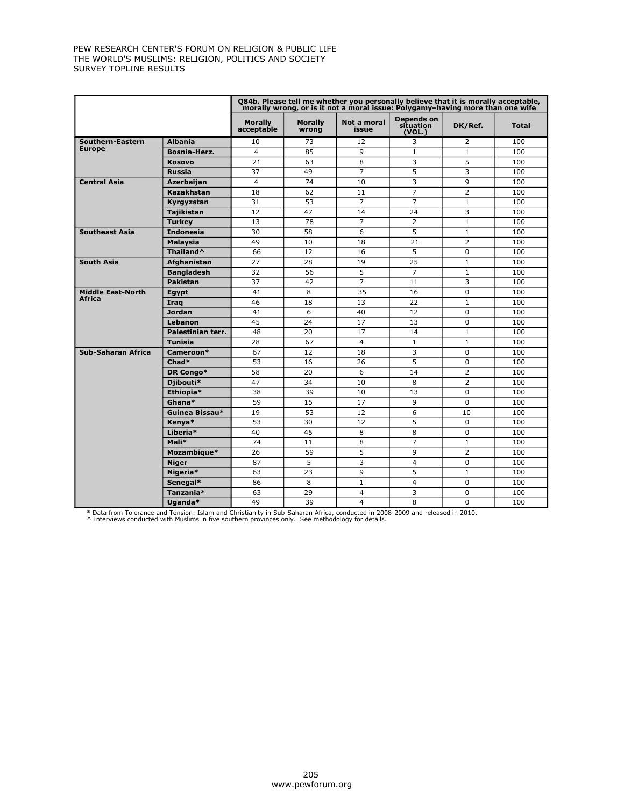|                                           |                       |                              |                         | 084b. Please tell me whether you personally believe that it is morally acceptable,<br>morally wrong, or is it not a moral issue: Polygamy-having more than one wife |                                   |                |              |
|-------------------------------------------|-----------------------|------------------------------|-------------------------|---------------------------------------------------------------------------------------------------------------------------------------------------------------------|-----------------------------------|----------------|--------------|
|                                           |                       | <b>Morally</b><br>acceptable | <b>Morally</b><br>wrong | Not a moral<br>issue                                                                                                                                                | Depends on<br>situation<br>(VOL.) | DK/Ref.        | <b>Total</b> |
| Southern-Eastern                          | <b>Albania</b>        | 10                           | 73                      | 12                                                                                                                                                                  | 3                                 | 2              | 100          |
| <b>Europe</b>                             | <b>Bosnia-Herz.</b>   | $\overline{4}$               | 85                      | 9                                                                                                                                                                   | $\mathbf{1}$                      | $\mathbf{1}$   | 100          |
|                                           | <b>Kosovo</b>         | 21                           | 63                      | 8                                                                                                                                                                   | 3                                 | 5              | 100          |
|                                           | <b>Russia</b>         | 37                           | 49                      | $\overline{7}$                                                                                                                                                      | 5                                 | 3              | 100          |
| <b>Central Asia</b>                       | Azerbaijan            | $\overline{4}$               | 74                      | 10                                                                                                                                                                  | 3                                 | 9              | 100          |
|                                           | Kazakhstan            | 18                           | 62                      | 11                                                                                                                                                                  | $\overline{7}$                    | $\overline{2}$ | 100          |
|                                           | Kyrgyzstan            | 31                           | 53                      | $\overline{7}$                                                                                                                                                      | $\overline{7}$                    | $\mathbf{1}$   | 100          |
|                                           | <b>Tajikistan</b>     | 12                           | 47                      | 14                                                                                                                                                                  | 24                                | 3              | 100          |
|                                           | <b>Turkey</b>         | 13                           | 78                      | $\overline{7}$                                                                                                                                                      | 2                                 | $\mathbf{1}$   | 100          |
| <b>Southeast Asia</b>                     | <b>Indonesia</b>      | 30                           | 58                      | 6                                                                                                                                                                   | 5                                 | $\mathbf{1}$   | 100          |
|                                           | <b>Malaysia</b>       | 49                           | 10                      | 18                                                                                                                                                                  | 21                                | $\overline{2}$ | 100          |
|                                           | Thailand <sup>^</sup> | 66                           | 12                      | 16                                                                                                                                                                  | 5                                 | $\Omega$       | 100          |
| <b>South Asia</b>                         | Afghanistan           | 27                           | 28                      | 19                                                                                                                                                                  | 25                                | $\mathbf{1}$   | 100          |
|                                           | <b>Bangladesh</b>     | 32                           | 56                      | 5                                                                                                                                                                   | $\overline{7}$                    | $\mathbf{1}$   | 100          |
|                                           | Pakistan              | 37                           | 42                      | $\overline{7}$                                                                                                                                                      | 11                                | 3              | 100          |
| <b>Middle East-North</b><br><b>Africa</b> | Egypt                 | 41                           | 8                       | 35                                                                                                                                                                  | 16                                | $\Omega$       | 100          |
|                                           | Irag                  | 46                           | 18                      | 13                                                                                                                                                                  | 22                                | $\mathbf{1}$   | 100          |
|                                           | <b>Jordan</b>         | 41                           | 6                       | 40                                                                                                                                                                  | 12                                | $\Omega$       | 100          |
|                                           | Lebanon               | 45                           | 24                      | 17                                                                                                                                                                  | 13                                | 0              | 100          |
|                                           | Palestinian terr.     | 48                           | 20                      | 17                                                                                                                                                                  | 14                                | $\mathbf{1}$   | 100          |
|                                           | <b>Tunisia</b>        | 28                           | 67                      | 4                                                                                                                                                                   | $\mathbf{1}$                      | $\mathbf{1}$   | 100          |
| <b>Sub-Saharan Africa</b>                 | Cameroon*             | 67                           | 12                      | 18                                                                                                                                                                  | 3                                 | 0              | 100          |
|                                           | Chad*                 | 53                           | 16                      | 26                                                                                                                                                                  | 5                                 | $\Omega$       | 100          |
|                                           | DR Congo*             | 58                           | 20                      | 6                                                                                                                                                                   | 14                                | $\overline{2}$ | 100          |
|                                           | Djibouti*             | 47                           | 34                      | 10                                                                                                                                                                  | 8                                 | $\overline{2}$ | 100          |
|                                           | Ethiopia*             | 38                           | 39                      | 10                                                                                                                                                                  | 13                                | $\Omega$       | 100          |
|                                           | Ghana*                | 59                           | 15                      | 17                                                                                                                                                                  | 9                                 | $\Omega$       | 100          |
|                                           | Guinea Bissau*        | 19                           | 53                      | 12                                                                                                                                                                  | 6                                 | 10             | 100          |
|                                           | Kenya*                | 53                           | 30                      | 12                                                                                                                                                                  | 5                                 | $\Omega$       | 100          |
|                                           | Liberia*              | 40                           | 45                      | 8                                                                                                                                                                   | 8                                 | $\mathbf 0$    | 100          |
|                                           | Mali*                 | 74                           | 11                      | 8                                                                                                                                                                   | $\overline{7}$                    | $\mathbf{1}$   | 100          |
|                                           | Mozambique*           | 26                           | 59                      | 5                                                                                                                                                                   | 9                                 | $\overline{2}$ | 100          |
|                                           | <b>Niger</b>          | 87                           | 5                       | 3                                                                                                                                                                   | $\overline{4}$                    | $\Omega$       | 100          |
|                                           | Nigeria*              | 63                           | 23                      | 9                                                                                                                                                                   | 5                                 | $\mathbf{1}$   | 100          |
|                                           | Senegal*              | 86                           | 8                       | $\mathbf{1}$                                                                                                                                                        | $\overline{4}$                    | 0              | 100          |
|                                           | Tanzania*             | 63                           | 29                      | 4                                                                                                                                                                   | 3                                 | $\Omega$       | 100          |
|                                           | Uganda*               | 49                           | 39                      | $\overline{4}$                                                                                                                                                      | 8                                 | 0              | 100          |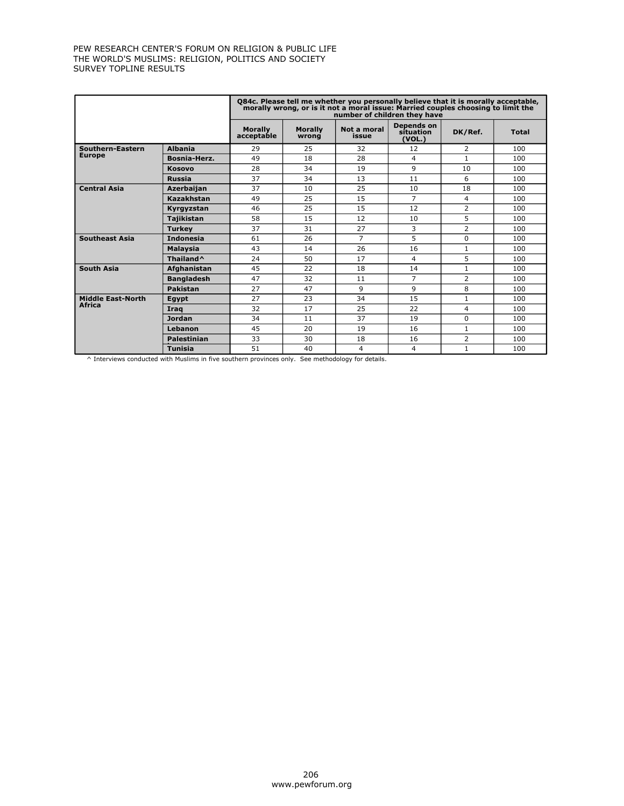|                          |                       |                              |                         | Q84c. Please tell me whether you personally believe that it is morally acceptable,<br>morally wrong, or is it not a moral issue: Married couples choosing to limit the<br>number of children they have |                                   |                |              |
|--------------------------|-----------------------|------------------------------|-------------------------|--------------------------------------------------------------------------------------------------------------------------------------------------------------------------------------------------------|-----------------------------------|----------------|--------------|
|                          |                       | <b>Morally</b><br>acceptable | <b>Morally</b><br>wrong | Not a moral<br>issue                                                                                                                                                                                   | Depends on<br>situation<br>(VOL.) | DK/Ref.        | <b>Total</b> |
| Southern-Eastern         | <b>Albania</b>        | 29                           | 25                      | 32                                                                                                                                                                                                     | 12                                | 2              | 100          |
| <b>Europe</b>            | <b>Bosnia-Herz.</b>   | 49                           | 18                      | 28                                                                                                                                                                                                     | 4                                 | $\mathbf{1}$   | 100          |
|                          | <b>Kosovo</b>         | 28                           | 34                      | 19                                                                                                                                                                                                     | q                                 | 10             | 100          |
|                          | <b>Russia</b>         | 37                           | 34                      | 13                                                                                                                                                                                                     | 11                                | 6              | 100          |
| <b>Central Asia</b>      | <b>Azerbaijan</b>     | 37                           | 10                      | 25                                                                                                                                                                                                     | 10                                | 18             | 100          |
|                          | <b>Kazakhstan</b>     | 49                           | 25                      | 15                                                                                                                                                                                                     | $\overline{7}$                    | 4              | 100          |
|                          | Kyrgyzstan            | 46                           | 25                      | 15                                                                                                                                                                                                     | 12                                | $\overline{2}$ | 100          |
|                          | <b>Tajikistan</b>     | 58                           | 15                      | 12                                                                                                                                                                                                     | 10                                | 5              | 100          |
|                          | <b>Turkey</b>         | 37                           | 31                      | 27                                                                                                                                                                                                     | 3                                 | $\overline{2}$ | 100          |
| <b>Southeast Asia</b>    | <b>Indonesia</b>      | 61                           | 26                      | $\overline{7}$                                                                                                                                                                                         | 5                                 | 0              | 100          |
|                          | <b>Malaysia</b>       | 43                           | 14                      | 26                                                                                                                                                                                                     | 16                                | $\mathbf{1}$   | 100          |
|                          | Thailand <sup>^</sup> | 24                           | 50                      | 17                                                                                                                                                                                                     | 4                                 | 5              | 100          |
| <b>South Asia</b>        | Afghanistan           | 45                           | 22                      | 18                                                                                                                                                                                                     | 14                                | $\mathbf{1}$   | 100          |
|                          | <b>Bangladesh</b>     | 47                           | 32                      | 11                                                                                                                                                                                                     | 7                                 | $\overline{2}$ | 100          |
|                          | <b>Pakistan</b>       | 27                           | 47                      | 9                                                                                                                                                                                                      | 9                                 | 8              | 100          |
| <b>Middle East-North</b> | Eqypt                 | 27                           | 23                      | 34                                                                                                                                                                                                     | 15                                | $\mathbf{1}$   | 100          |
| <b>Africa</b>            | Irag                  | 32                           | 17                      | 25                                                                                                                                                                                                     | 22                                | 4              | 100          |
|                          | <b>Jordan</b>         | 34                           | 11                      | 37                                                                                                                                                                                                     | 19                                | 0              | 100          |
|                          | Lebanon               | 45                           | 20                      | 19                                                                                                                                                                                                     | 16                                | $\mathbf{1}$   | 100          |
|                          | <b>Palestinian</b>    | 33                           | 30                      | 18                                                                                                                                                                                                     | 16                                | $\overline{2}$ | 100          |
|                          | <b>Tunisia</b>        | 51                           | 40                      | 4                                                                                                                                                                                                      | 4                                 | $\mathbf{1}$   | 100          |

^ Interviews conducted with Muslims in five southern provinces only. See methodology for details.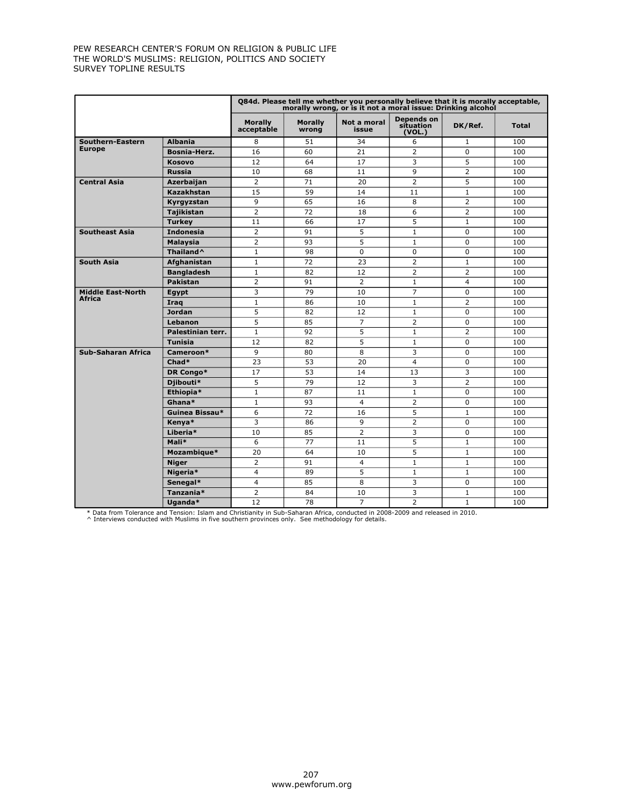|                          |                       |                              |                         | Q84d. Please tell me whether you personally believe that it is morally acceptable,<br>morally wrong, or is it not a moral issue: Drinking alcohol |                                   |                |              |
|--------------------------|-----------------------|------------------------------|-------------------------|---------------------------------------------------------------------------------------------------------------------------------------------------|-----------------------------------|----------------|--------------|
|                          |                       | <b>Morally</b><br>acceptable | <b>Morally</b><br>wrong | Not a moral<br>issue                                                                                                                              | Depends on<br>situation<br>(VOL.) | DK/Ref.        | <b>Total</b> |
| Southern-Eastern         | <b>Albania</b>        | 8                            | 51                      | 34                                                                                                                                                | 6                                 | $\mathbf{1}$   | 100          |
| <b>Europe</b>            | <b>Bosnia-Herz.</b>   | 16                           | 60                      | 21                                                                                                                                                | $\overline{2}$                    | $\Omega$       | 100          |
|                          | <b>Kosovo</b>         | 12                           | 64                      | 17                                                                                                                                                | 3                                 | 5              | 100          |
|                          | <b>Russia</b>         | 10                           | 68                      | 11                                                                                                                                                | 9                                 | $\overline{2}$ | 100          |
| <b>Central Asia</b>      | Azerbaijan            | $\overline{2}$               | 71                      | 20                                                                                                                                                | $\overline{2}$                    | 5              | 100          |
|                          | <b>Kazakhstan</b>     | 15                           | 59                      | 14                                                                                                                                                | 11                                | $\mathbf{1}$   | 100          |
|                          | Kyrgyzstan            | 9                            | 65                      | 16                                                                                                                                                | 8                                 | $\overline{2}$ | 100          |
|                          | <b>Tajikistan</b>     | $\overline{2}$               | 72                      | 18                                                                                                                                                | 6                                 | $\overline{2}$ | 100          |
|                          | <b>Turkey</b>         | 11                           | 66                      | 17                                                                                                                                                | 5                                 | $\mathbf{1}$   | 100          |
| <b>Southeast Asia</b>    | <b>Indonesia</b>      | $\overline{2}$               | 91                      | 5                                                                                                                                                 | $\mathbf{1}$                      | 0              | 100          |
|                          | Malaysia              | $\overline{2}$               | 93                      | 5                                                                                                                                                 | $\mathbf{1}$                      | $\Omega$       | 100          |
|                          | Thailand <sup>^</sup> | $\mathbf 1$                  | 98                      | $\Omega$                                                                                                                                          | $\Omega$                          | 0              | 100          |
| <b>South Asia</b>        | Afghanistan           | $\mathbf{1}$                 | 72                      | 23                                                                                                                                                | $\overline{2}$                    | $\mathbf{1}$   | 100          |
|                          | <b>Bangladesh</b>     | 1                            | 82                      | 12                                                                                                                                                | 2                                 | $\overline{2}$ | 100          |
|                          | <b>Pakistan</b>       | $\overline{2}$               | 91                      | $\overline{2}$                                                                                                                                    | $\mathbf{1}$                      | $\overline{4}$ | 100          |
| <b>Middle East-North</b> | Egypt                 | 3                            | 79                      | 10                                                                                                                                                | $\overline{7}$                    | $\Omega$       | 100          |
| <b>Africa</b>            | Irag                  | $\mathbf{1}$                 | 86                      | 10                                                                                                                                                | $\mathbf{1}$                      | $\overline{2}$ | 100          |
|                          | <b>Jordan</b>         | 5                            | 82                      | 12                                                                                                                                                | $\mathbf{1}$                      | 0              | 100          |
|                          | Lebanon               | 5                            | 85                      | 7                                                                                                                                                 | 2                                 | 0              | 100          |
|                          | Palestinian terr.     | $\mathbf{1}$                 | 92                      | 5                                                                                                                                                 | $\mathbf{1}$                      | $\overline{2}$ | 100          |
|                          | <b>Tunisia</b>        | 12                           | 82                      | 5                                                                                                                                                 | $\mathbf{1}$                      | $\Omega$       | 100          |
| Sub-Saharan Africa       | Cameroon*             | 9                            | 80                      | 8                                                                                                                                                 | 3                                 | $\Omega$       | 100          |
|                          | Chad*                 | 23                           | 53                      | 20                                                                                                                                                | $\overline{4}$                    | 0              | 100          |
|                          | DR Congo*             | 17                           | 53                      | 14                                                                                                                                                | 13                                | 3              | 100          |
|                          | Djibouti*             | 5                            | 79                      | 12                                                                                                                                                | 3                                 | $\overline{2}$ | 100          |
|                          | Ethiopia*             | $\mathbf{1}$                 | 87                      | 11                                                                                                                                                | $\mathbf{1}$                      | 0              | 100          |
|                          | Ghana*                | $\mathbf{1}$                 | 93                      | $\overline{4}$                                                                                                                                    | 2                                 | 0              | 100          |
|                          | Guinea Bissau*        | 6                            | 72                      | 16                                                                                                                                                | 5                                 | $\mathbf{1}$   | 100          |
|                          | Kenya*                | 3                            | 86                      | 9                                                                                                                                                 | $\overline{2}$                    | 0              | 100          |
|                          | Liberia*              | 10                           | 85                      | $\overline{2}$                                                                                                                                    | 3                                 | 0              | 100          |
|                          | Mali*                 | 6                            | 77                      | 11                                                                                                                                                | 5                                 | $\mathbf{1}$   | 100          |
|                          | Mozambique*           | 20                           | 64                      | 10                                                                                                                                                | 5                                 | $\mathbf{1}$   | 100          |
|                          | <b>Niger</b>          | $\overline{2}$               | 91                      | 4                                                                                                                                                 | $\mathbf{1}$                      | $\mathbf{1}$   | 100          |
|                          | Nigeria*              | $\overline{4}$               | 89                      | 5                                                                                                                                                 | $\mathbf{1}$                      | $\mathbf{1}$   | 100          |
|                          | Senegal*              | $\overline{4}$               | 85                      | 8                                                                                                                                                 | 3                                 | 0              | 100          |
|                          | Tanzania*             | $\overline{2}$               | 84                      | 10                                                                                                                                                | 3                                 | $\mathbf{1}$   | 100          |
|                          | Uganda*               | 12                           | 78                      | $\overline{7}$                                                                                                                                    | $\overline{2}$                    | $\mathbf{1}$   | 100          |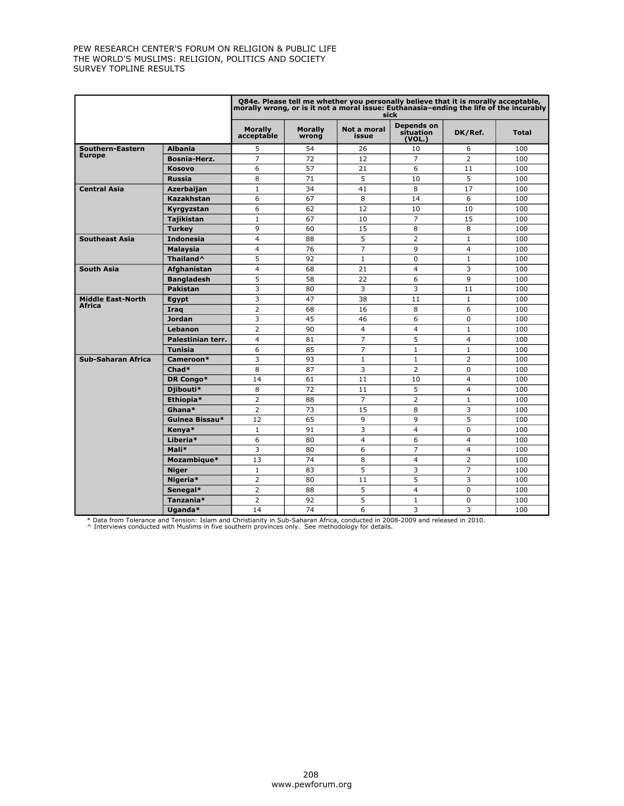|                                    |                       |                              |                         | Q84e. Please tell me whether you personally believe that it is morally acceptable,<br>morally wrong, or is it not a moral issue: Euthanasia-ending the life of the incurably | sick                              |                |              |
|------------------------------------|-----------------------|------------------------------|-------------------------|------------------------------------------------------------------------------------------------------------------------------------------------------------------------------|-----------------------------------|----------------|--------------|
|                                    |                       | <b>Morally</b><br>acceptable | <b>Morally</b><br>wrong | Not a moral<br>issue                                                                                                                                                         | Depends on<br>situation<br>(VOL.) | DK/Ref.        | <b>Total</b> |
| Southern-Eastern                   | <b>Albania</b>        | 5                            | 54                      | 26                                                                                                                                                                           | 10                                | 6              | 100          |
| <b>Europe</b>                      | Bosnia-Herz.          | $\overline{7}$               | 72                      | 12                                                                                                                                                                           | $\overline{7}$                    | $\overline{2}$ | 100          |
|                                    | <b>Kosovo</b>         | 6                            | 57                      | 21                                                                                                                                                                           | 6                                 | 11             | 100          |
|                                    | <b>Russia</b>         | 8                            | 71                      | 5                                                                                                                                                                            | 10                                | 5              | 100          |
| <b>Central Asia</b>                | Azerbaijan            | $\mathbf{1}$                 | 34                      | 41                                                                                                                                                                           | 8                                 | 17             | 100          |
|                                    | <b>Kazakhstan</b>     | 6                            | 67                      | 8                                                                                                                                                                            | 14                                | 6              | 100          |
|                                    | Kyrgyzstan            | 6                            | 62                      | 12                                                                                                                                                                           | 10                                | 10             | 100          |
|                                    | <b>Tajikistan</b>     | $\mathbf{1}$                 | 67                      | 10                                                                                                                                                                           | $\overline{7}$                    | 15             | 100          |
|                                    | <b>Turkey</b>         | 9                            | 60                      | 15                                                                                                                                                                           | 8                                 | 8              | 100          |
| <b>Southeast Asia</b>              | <b>Indonesia</b>      | $\overline{4}$               | 88                      | 5                                                                                                                                                                            | $\overline{2}$                    | $\mathbf{1}$   | 100          |
|                                    | <b>Malaysia</b>       | $\overline{4}$               | 76                      | $\overline{7}$                                                                                                                                                               | 9                                 | $\overline{4}$ | 100          |
|                                    | Thailand <sup>^</sup> | 5                            | 92                      | $\mathbf{1}$                                                                                                                                                                 | $\Omega$                          | $\mathbf{1}$   | 100          |
| <b>South Asia</b>                  | Afghanistan           | $\overline{4}$               | 68                      | 21                                                                                                                                                                           | $\overline{4}$                    | 3              | 100          |
|                                    | <b>Bangladesh</b>     | 5                            | 58                      | 22                                                                                                                                                                           | 6                                 | 9              | 100          |
|                                    | <b>Pakistan</b>       | 3                            | 80                      | 3                                                                                                                                                                            | 3                                 | 11             | 100          |
| <b>Middle East-North</b><br>Africa | Egypt                 | 3                            | 47                      | 38                                                                                                                                                                           | 11                                | $\mathbf{1}$   | 100          |
|                                    | <b>Iraq</b>           | $\overline{2}$               | 68                      | 16                                                                                                                                                                           | 8                                 | 6              | 100          |
|                                    | <b>Jordan</b>         | 3                            | 45                      | 46                                                                                                                                                                           | 6                                 | 0              | 100          |
|                                    | Lebanon               | $\overline{2}$               | 90                      | $\overline{4}$                                                                                                                                                               | $\overline{4}$                    | $\mathbf{1}$   | 100          |
|                                    | Palestinian terr.     | $\overline{4}$               | 81                      | $\overline{7}$                                                                                                                                                               | 5                                 | 4              | 100          |
|                                    | <b>Tunisia</b>        | 6                            | 85                      | $\overline{7}$                                                                                                                                                               | $\mathbf{1}$                      | $\mathbf{1}$   | 100          |
| <b>Sub-Saharan Africa</b>          | Cameroon*             | 3                            | 93                      | $\mathbf{1}$                                                                                                                                                                 | $\mathbf{1}$                      | $\overline{2}$ | 100          |
|                                    | Chad*                 | 8                            | 87                      | 3                                                                                                                                                                            | $\overline{2}$                    | 0              | 100          |
|                                    | DR Congo*             | 14                           | 61                      | 11                                                                                                                                                                           | 10                                | $\overline{4}$ | 100          |
|                                    | Djibouti*             | 8                            | 72                      | 11                                                                                                                                                                           | 5                                 | 4              | 100          |
|                                    | Ethiopia*             | $\overline{2}$               | 88                      | $\overline{7}$                                                                                                                                                               | $\overline{2}$                    | $\mathbf{1}$   | 100          |
|                                    | Ghana*                | $\overline{2}$               | 73                      | 15                                                                                                                                                                           | 8                                 | 3              | 100          |
|                                    | Guinea Bissau*        | 12                           | 65                      | 9                                                                                                                                                                            | 9                                 | 5              | 100          |
|                                    | Kenya*                | $\mathbf{1}$                 | 91                      | 3                                                                                                                                                                            | $\overline{4}$                    | 0              | 100          |
|                                    | Liberia*              | 6                            | 80                      | $\overline{4}$                                                                                                                                                               | 6                                 | 4              | 100          |
|                                    | Mali*                 | 3                            | 80                      | 6                                                                                                                                                                            | $\overline{7}$                    | 4              | 100          |
|                                    | Mozambique*           | 13                           | 74                      | 8                                                                                                                                                                            | $\overline{4}$                    | $\overline{2}$ | 100          |
|                                    | <b>Niger</b>          | $\mathbf{1}$                 | 83                      | 5                                                                                                                                                                            | 3                                 | $\overline{7}$ | 100          |
|                                    | Nigeria*              | $\overline{2}$               | 80                      | 11                                                                                                                                                                           | 5                                 | 3              | 100          |
|                                    | Senegal*              | $\overline{2}$               | 88                      | 5                                                                                                                                                                            | $\overline{4}$                    | $\Omega$       | 100          |
|                                    | Tanzania*             | 2                            | 92                      | 5                                                                                                                                                                            | $\mathbf{1}$                      | $\Omega$       | 100          |
|                                    | Uganda*               | 14                           | 74                      | 6                                                                                                                                                                            | 3                                 | 3              | 100          |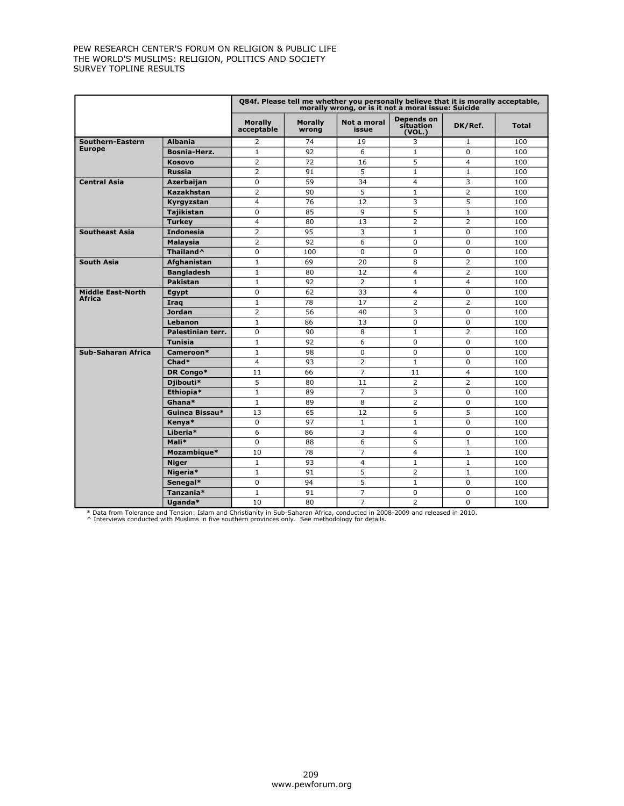|                          |                       |                              |                         | Q84f. Please tell me whether you personally believe that it is morally acceptable,<br>morally wrong, or is it not a moral issue: Suicide |                                   |                |              |
|--------------------------|-----------------------|------------------------------|-------------------------|------------------------------------------------------------------------------------------------------------------------------------------|-----------------------------------|----------------|--------------|
|                          |                       | <b>Morally</b><br>acceptable | <b>Morally</b><br>wrong | Not a moral<br>issue                                                                                                                     | Depends on<br>sítuation<br>(VOL.) | DK/Ref.        | <b>Total</b> |
| Southern-Eastern         | <b>Albania</b>        | $\overline{2}$               | 74                      | 19                                                                                                                                       | 3                                 | $\mathbf{1}$   | 100          |
| <b>Europe</b>            | <b>Bosnia-Herz.</b>   | $\mathbf{1}$                 | 92                      | 6                                                                                                                                        | $\mathbf{1}$                      | $\Omega$       | 100          |
|                          | <b>Kosovo</b>         | 2                            | 72                      | 16                                                                                                                                       | 5                                 | $\overline{4}$ | 100          |
|                          | <b>Russia</b>         | $\overline{2}$               | 91                      | 5                                                                                                                                        | $\mathbf{1}$                      | $\mathbf{1}$   | 100          |
| <b>Central Asia</b>      | Azerbaijan            | $\Omega$                     | 59                      | 34                                                                                                                                       | $\overline{4}$                    | 3              | 100          |
|                          | <b>Kazakhstan</b>     | $\overline{2}$               | 90                      | 5                                                                                                                                        | $\mathbf{1}$                      | $\overline{2}$ | 100          |
|                          | Kyrgyzstan            | $\overline{4}$               | 76                      | 12                                                                                                                                       | 3                                 | 5              | 100          |
|                          | <b>Tajikistan</b>     | 0                            | 85                      | $\mathsf q$                                                                                                                              | 5                                 | $\mathbf{1}$   | 100          |
|                          | <b>Turkey</b>         | 4                            | 80                      | 13                                                                                                                                       | $\overline{2}$                    | $\overline{2}$ | 100          |
| <b>Southeast Asia</b>    | <b>Indonesia</b>      | $\overline{2}$               | 95                      | 3                                                                                                                                        | $\mathbf{1}$                      | 0              | 100          |
|                          | Malaysia              | $\overline{2}$               | 92                      | 6                                                                                                                                        | $\Omega$                          | $\Omega$       | 100          |
|                          | Thailand <sup>^</sup> | $\mathbf 0$                  | 100                     | $\Omega$                                                                                                                                 | $\Omega$                          | 0              | 100          |
| <b>South Asia</b>        | Afghanistan           | $\mathbf{1}$                 | 69                      | 20                                                                                                                                       | 8                                 | $\overline{2}$ | 100          |
|                          | <b>Bangladesh</b>     | $\mathbf{1}$                 | 80                      | 12                                                                                                                                       | $\overline{4}$                    | $\overline{2}$ | 100          |
|                          | <b>Pakistan</b>       | $\mathbf{1}$                 | 92                      | $\overline{2}$                                                                                                                           | $\mathbf{1}$                      | $\overline{4}$ | 100          |
| <b>Middle East-North</b> | Egypt                 | $\Omega$                     | 62                      | 33                                                                                                                                       | $\overline{4}$                    | $\Omega$       | 100          |
| Africa                   | Irag                  | $\mathbf{1}$                 | 78                      | 17                                                                                                                                       | $\overline{2}$                    | $\overline{2}$ | 100          |
|                          | <b>Jordan</b>         | $\overline{2}$               | 56                      | 40                                                                                                                                       | 3                                 | 0              | 100          |
|                          | Lebanon               | $\mathbf{1}$                 | 86                      | 13                                                                                                                                       | $\Omega$                          | 0              | 100          |
|                          | Palestinian terr.     | 0                            | 90                      | 8                                                                                                                                        | $\mathbf{1}$                      | $\overline{2}$ | 100          |
|                          | <b>Tunisia</b>        | $\mathbf{1}$                 | 92                      | 6                                                                                                                                        | $\Omega$                          | $\Omega$       | 100          |
| Sub-Saharan Africa       | Cameroon*             | $\mathbf{1}$                 | 98                      | $\Omega$                                                                                                                                 | $\Omega$                          | $\Omega$       | 100          |
|                          | Chad*                 | $\overline{4}$               | 93                      | $\overline{2}$                                                                                                                           | $\mathbf{1}$                      | 0              | 100          |
|                          | DR Congo*             | 11                           | 66                      | $\overline{7}$                                                                                                                           | 11                                | $\overline{4}$ | 100          |
|                          | Djibouti*             | 5                            | 80                      | 11                                                                                                                                       | $\overline{2}$                    | $\overline{2}$ | 100          |
|                          | Ethiopia*             | $\mathbf{1}$                 | 89                      | $\overline{7}$                                                                                                                           | 3                                 | 0              | 100          |
|                          | Ghana*                | $\mathbf{1}$                 | 89                      | 8                                                                                                                                        | $\overline{2}$                    | 0              | 100          |
|                          | Guinea Bissau*        | 13                           | 65                      | 12                                                                                                                                       | 6                                 | 5              | 100          |
|                          | Kenya*                | 0                            | 97                      | $\mathbf{1}$                                                                                                                             | $\mathbf{1}$                      | 0              | 100          |
|                          | Liberia*              | 6                            | 86                      | 3                                                                                                                                        | $\overline{4}$                    | 0              | 100          |
|                          | Mali*                 | $\Omega$                     | 88                      | 6                                                                                                                                        | 6                                 | $\mathbf{1}$   | 100          |
|                          | Mozambique*           | 10                           | 78                      | $\overline{7}$                                                                                                                           | $\overline{4}$                    | $\mathbf{1}$   | 100          |
|                          | <b>Niger</b>          | $\mathbf{1}$                 | 93                      | $\overline{4}$                                                                                                                           | $\mathbf{1}$                      | $\mathbf{1}$   | 100          |
|                          | Nigeria*              | $\mathbf{1}$                 | 91                      | 5                                                                                                                                        | $\overline{2}$                    | $\mathbf{1}$   | 100          |
|                          | Senegal*              | $\mathbf 0$                  | 94                      | 5                                                                                                                                        | $\mathbf{1}$                      | 0              | 100          |
|                          | Tanzania*             | $\mathbf{1}$                 | 91                      | $\overline{7}$                                                                                                                           | $\Omega$                          | 0              | 100          |
|                          | Uganda*               | 10                           | 80                      | $\overline{7}$                                                                                                                           | $\overline{2}$                    | 0              | 100          |

\* Data from Tolerance and Tension: Islam and Christianity in Sub-Saharan Africa, conducted in 2008-2009 and released in 2010. ^ Interviews conducted with Muslims in five southern provinces only. See methodology for details.

 209 www.pewforum.org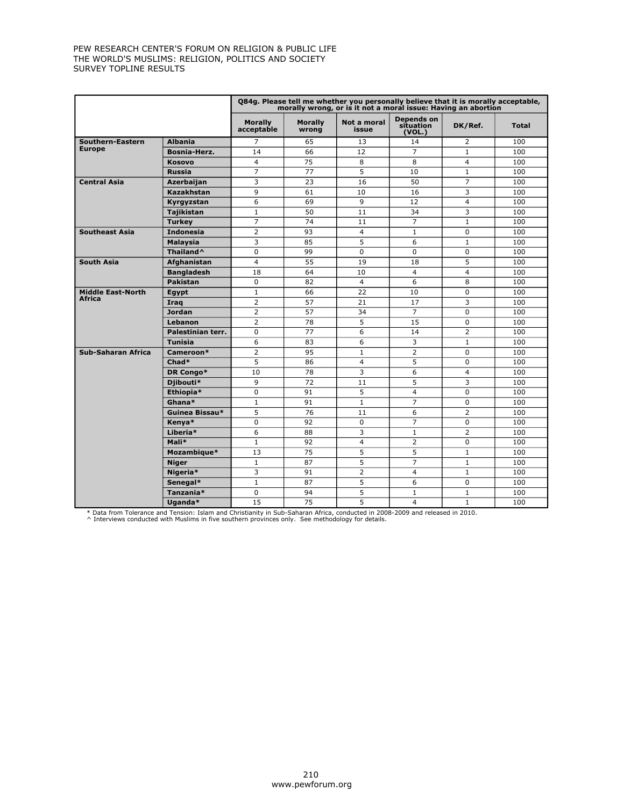|                          |                       |                              |                         | Q84g. Please tell me whether you personally believe that it is morally acceptable,<br>morally wrong, or is it not a moral issue: Having an abortion |                                   |                |              |
|--------------------------|-----------------------|------------------------------|-------------------------|-----------------------------------------------------------------------------------------------------------------------------------------------------|-----------------------------------|----------------|--------------|
|                          |                       | <b>Morally</b><br>acceptable | <b>Morally</b><br>wrong | Not a moral<br>issue                                                                                                                                | Depends on<br>situation<br>(VOL.) | DK/Ref.        | <b>Total</b> |
| Southern-Eastern         | <b>Albania</b>        | $\overline{7}$               | 65                      | 13                                                                                                                                                  | 14                                | $\overline{2}$ | 100          |
| <b>Europe</b>            | <b>Bosnia-Herz.</b>   | 14                           | 66                      | 12                                                                                                                                                  | $\overline{7}$                    | $\mathbf{1}$   | 100          |
|                          | <b>Kosovo</b>         | $\overline{4}$               | 75                      | 8                                                                                                                                                   | 8                                 | $\overline{4}$ | 100          |
|                          | <b>Russia</b>         | $\overline{7}$               | 77                      | 5                                                                                                                                                   | 10                                | $\mathbf{1}$   | 100          |
| <b>Central Asia</b>      | Azerbaijan            | 3                            | 23                      | 16                                                                                                                                                  | 50                                | $\overline{7}$ | 100          |
|                          | <b>Kazakhstan</b>     | 9                            | 61                      | 10                                                                                                                                                  | 16                                | 3              | 100          |
|                          | Kyrgyzstan            | 6                            | 69                      | 9                                                                                                                                                   | 12                                | $\overline{4}$ | 100          |
|                          | <b>Tajikistan</b>     | $\mathbf{1}$                 | 50                      | 11                                                                                                                                                  | 34                                | 3              | 100          |
|                          | <b>Turkey</b>         | $\overline{7}$               | 74                      | 11                                                                                                                                                  | $\overline{7}$                    | $\mathbf{1}$   | 100          |
| <b>Southeast Asia</b>    | <b>Indonesia</b>      | $\overline{2}$               | 93                      | $\overline{4}$                                                                                                                                      | $\mathbf{1}$                      | 0              | 100          |
|                          | Malaysia              | 3                            | 85                      | 5                                                                                                                                                   | 6                                 | $\mathbf{1}$   | 100          |
|                          | Thailand <sup>^</sup> | $\mathbf 0$                  | 99                      | $\Omega$                                                                                                                                            | $\Omega$                          | 0              | 100          |
| <b>South Asia</b>        | Afghanistan           | $\overline{4}$               | 55                      | 19                                                                                                                                                  | 18                                | 5              | 100          |
|                          | <b>Bangladesh</b>     | 18                           | 64                      | 10                                                                                                                                                  | $\overline{4}$                    | $\overline{4}$ | 100          |
|                          | <b>Pakistan</b>       | $\mathbf 0$                  | 82                      | $\overline{4}$                                                                                                                                      | 6                                 | 8              | 100          |
| <b>Middle East-North</b> | Egypt                 | $\mathbf{1}$                 | 66                      | 22                                                                                                                                                  | 10                                | $\Omega$       | 100          |
| <b>Africa</b>            | Irag                  | $\overline{2}$               | 57                      | 21                                                                                                                                                  | 17                                | 3              | 100          |
|                          | <b>Jordan</b>         | $\overline{2}$               | 57                      | 34                                                                                                                                                  | $\overline{7}$                    | 0              | 100          |
|                          | Lebanon               | 2                            | 78                      | 5                                                                                                                                                   | 15                                | 0              | 100          |
|                          | Palestinian terr.     | $\mathbf 0$                  | 77                      | 6                                                                                                                                                   | 14                                | $\overline{2}$ | 100          |
|                          | <b>Tunisia</b>        | 6                            | 83                      | 6                                                                                                                                                   | 3                                 | $\mathbf{1}$   | 100          |
| Sub-Saharan Africa       | Cameroon*             | $\overline{2}$               | 95                      | $\mathbf{1}$                                                                                                                                        | 2                                 | $\Omega$       | 100          |
|                          | Chad*                 | 5                            | 86                      | $\overline{4}$                                                                                                                                      | 5                                 | 0              | 100          |
|                          | DR Congo*             | 10                           | 78                      | 3                                                                                                                                                   | 6                                 | $\overline{4}$ | 100          |
|                          | Djibouti*             | 9                            | 72                      | 11                                                                                                                                                  | 5                                 | 3              | 100          |
|                          | Ethiopia*             | $\mathbf 0$                  | 91                      | 5                                                                                                                                                   | $\overline{4}$                    | 0              | 100          |
|                          | Ghana*                | $\mathbf{1}$                 | 91                      | $\mathbf{1}$                                                                                                                                        | $\overline{7}$                    | 0              | 100          |
|                          | Guinea Bissau*        | 5                            | 76                      | 11                                                                                                                                                  | 6                                 | $\overline{2}$ | 100          |
|                          | Kenya*                | $\mathbf 0$                  | 92                      | 0                                                                                                                                                   | $\overline{7}$                    | 0              | 100          |
|                          | Liberia*              | 6                            | 88                      | 3                                                                                                                                                   | $\mathbf{1}$                      | $\overline{2}$ | 100          |
|                          | Mali*                 | $\mathbf{1}$                 | 92                      | $\overline{\mathbf{4}}$                                                                                                                             | $\overline{2}$                    | $\Omega$       | 100          |
|                          | Mozambique*           | 13                           | $\overline{75}$         | 5                                                                                                                                                   | 5                                 | $\mathbf{1}$   | 100          |
|                          | <b>Niger</b>          | $\mathbf{1}$                 | 87                      | 5                                                                                                                                                   | $\overline{7}$                    | $\mathbf{1}$   | 100          |
|                          | Nigeria*              | 3                            | 91                      | $\overline{2}$                                                                                                                                      | $\overline{4}$                    | $\mathbf{1}$   | 100          |
|                          | Senegal*              | $1\,$                        | 87                      | 5                                                                                                                                                   | 6                                 | 0              | 100          |
|                          | Tanzania*             | $\mathbf 0$                  | 94                      | 5                                                                                                                                                   | $\mathbf{1}$                      | $\mathbf{1}$   | 100          |
|                          | Uganda*               | 15                           | 75                      | 5                                                                                                                                                   | 4                                 | $\mathbf{1}$   | 100          |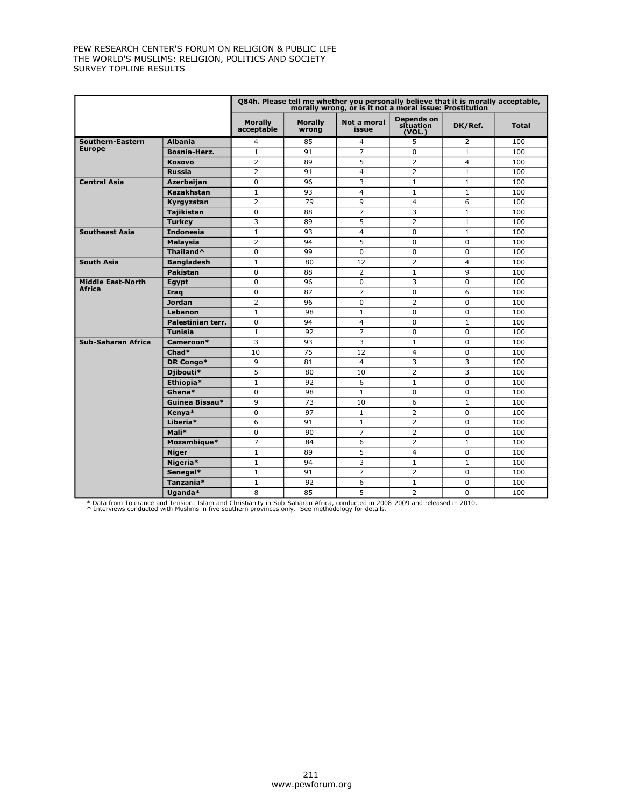|                           |                       |                              |                         | Q84h. Please tell me whether you personally believe that it is morally acceptable,<br>morally wrong, or is it not a moral issue: Prostitution |                                          |                |              |
|---------------------------|-----------------------|------------------------------|-------------------------|-----------------------------------------------------------------------------------------------------------------------------------------------|------------------------------------------|----------------|--------------|
|                           |                       | <b>Morally</b><br>acceptable | <b>Morally</b><br>wrong | Not a moral<br>issue                                                                                                                          | <b>Depends on</b><br>situation<br>(VOL.) | DK/Ref.        | <b>Total</b> |
| Southern-Eastern          | <b>Albania</b>        | $\overline{4}$               | 85                      | 4                                                                                                                                             | 5                                        | $\overline{2}$ | 100          |
| <b>Europe</b>             | Bosnia-Herz.          | $\mathbf{1}$                 | 91                      | $\overline{7}$                                                                                                                                | $\mathbf 0$                              | $\mathbf{1}$   | 100          |
|                           | <b>Kosovo</b>         | $\overline{2}$               | 89                      | 5                                                                                                                                             | $\overline{2}$                           | $\overline{4}$ | 100          |
|                           | <b>Russia</b>         | $\overline{2}$               | 91                      | $\overline{4}$                                                                                                                                | $\overline{2}$                           | $\mathbf{1}$   | 100          |
| <b>Central Asia</b>       | Azerbaijan            | $\mathbf 0$                  | 96                      | 3                                                                                                                                             | $\mathbf{1}$                             | $\mathbf{1}$   | 100          |
|                           | <b>Kazakhstan</b>     | $\mathbf{1}$                 | 93                      | $\overline{4}$                                                                                                                                | $\mathbf{1}$                             | $\mathbf{1}$   | 100          |
|                           | Kyrgyzstan            | $\overline{2}$               | 79                      | 9                                                                                                                                             | $\overline{4}$                           | 6              | 100          |
|                           | <b>Tajikistan</b>     | $\mathbf 0$                  | 88                      | $\overline{7}$                                                                                                                                | 3                                        | $\mathbf{1}$   | 100          |
|                           | <b>Turkey</b>         | 3                            | 89                      | 5                                                                                                                                             | $\overline{2}$                           | $\mathbf{1}$   | 100          |
| <b>Southeast Asia</b>     | <b>Indonesia</b>      | $\mathbf{1}$                 | 93                      | 4                                                                                                                                             | $\Omega$                                 | $\mathbf{1}$   | 100          |
|                           | <b>Malaysia</b>       | $\overline{2}$               | 94                      | 5                                                                                                                                             | $\mathbf 0$                              | 0              | 100          |
|                           | Thailand <sup>^</sup> | $\mathbf 0$                  | 99                      | $\Omega$                                                                                                                                      | $\Omega$                                 | 0              | 100          |
| <b>South Asia</b>         | <b>Bangladesh</b>     | $\mathbf{1}$                 | 80                      | 12                                                                                                                                            | $\overline{2}$                           | $\overline{4}$ | 100          |
|                           | <b>Pakistan</b>       | $\mathbf 0$                  | 88                      | 2                                                                                                                                             | $\mathbf{1}$                             | 9              | 100          |
| <b>Middle East-North</b>  | Egypt                 | $\Omega$                     | 96                      | $\Omega$                                                                                                                                      | 3                                        | $\Omega$       | 100          |
| Africa                    | Iraq                  | $\mathbf 0$                  | 87                      | $\overline{7}$                                                                                                                                | $\Omega$                                 | 6              | 100          |
|                           | <b>Jordan</b>         | $\overline{2}$               | 96                      | $\Omega$                                                                                                                                      | $\overline{2}$                           | $\Omega$       | 100          |
|                           | Lebanon               | $\mathbf{1}$                 | 98                      | $\mathbf{1}$                                                                                                                                  | $\Omega$                                 | $\Omega$       | 100          |
|                           | Palestinian terr.     | $\mathbf 0$                  | 94                      | $\overline{4}$                                                                                                                                | $\Omega$                                 | $\mathbf{1}$   | 100          |
|                           | <b>Tunisia</b>        | $\mathbf{1}$                 | 92                      | 7                                                                                                                                             | $\Omega$                                 | $\Omega$       | 100          |
| <b>Sub-Saharan Africa</b> | Cameroon*             | 3                            | 93                      | 3                                                                                                                                             | $\mathbf{1}$                             | 0              | 100          |
|                           | Chad*                 | 10                           | 75                      | 12                                                                                                                                            | $\overline{4}$                           | $\Omega$       | 100          |
|                           | DR Congo*             | 9                            | 81                      | $\overline{4}$                                                                                                                                | 3                                        | 3              | 100          |
|                           | Djibouti*             | 5                            | 80                      | 10                                                                                                                                            | $\overline{2}$                           | 3              | 100          |
|                           | Ethiopia*             | $\mathbf{1}$                 | 92                      | 6                                                                                                                                             | $\mathbf{1}$                             | $\Omega$       | 100          |
|                           | Ghana*                | $\mathbf 0$                  | 98                      | $\mathbf{1}$                                                                                                                                  | $\mathbf 0$                              | 0              | 100          |
|                           | Guinea Bissau*        | 9                            | 73                      | 10                                                                                                                                            | 6                                        | $\mathbf{1}$   | 100          |
|                           | Kenya*                | $\mathbf 0$                  | 97                      | $\mathbf{1}$                                                                                                                                  | $\overline{2}$                           | $\mathbf 0$    | 100          |
|                           | Liberia*              | 6                            | 91                      | $\mathbf{1}$                                                                                                                                  | $\overline{2}$                           | $\Omega$       | 100          |
|                           | Mali*                 | $\Omega$                     | 90                      | $\overline{7}$                                                                                                                                | $\overline{2}$                           | $\Omega$       | 100          |
|                           | Mozambique*           | $\overline{7}$               | 84                      | 6                                                                                                                                             | $\overline{2}$                           | $\mathbf{1}$   | 100          |
|                           | <b>Niger</b>          | $\mathbf{1}$                 | 89                      | 5                                                                                                                                             | $\overline{4}$                           | $\Omega$       | 100          |
|                           | Nigeria*              | $\mathbf{1}$                 | 94                      | 3                                                                                                                                             | $\mathbf{1}$                             | $\mathbf{1}$   | 100          |
|                           | Senegal*              | $\mathbf{1}$                 | 91                      | 7                                                                                                                                             | $\overline{2}$                           | $\Omega$       | 100          |
|                           | Tanzania*             | $\mathbf{1}$                 | 92                      | 6                                                                                                                                             | $\mathbf{1}$                             | 0              | 100          |
|                           | Uganda*               | 8                            | 85                      | 5                                                                                                                                             | $\overline{2}$                           | $\Omega$       | 100          |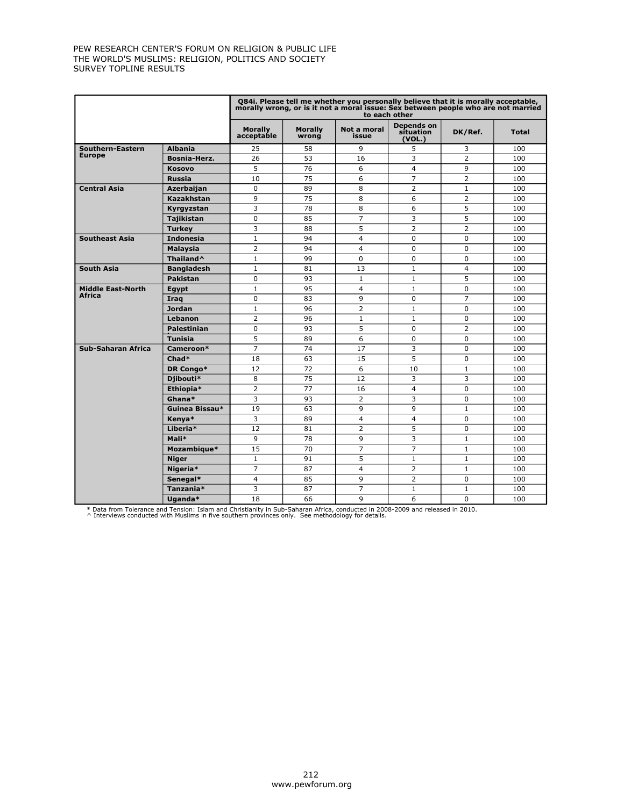|                                           |                       |                              |                         | Q84i. Please tell me whether you personally believe that it is morally acceptable,<br>morally wrong, or is it not a moral issue: Sex between people who are not married | to each other                     |                |              |
|-------------------------------------------|-----------------------|------------------------------|-------------------------|-------------------------------------------------------------------------------------------------------------------------------------------------------------------------|-----------------------------------|----------------|--------------|
|                                           |                       | <b>Morally</b><br>acceptable | <b>Morally</b><br>wrong | Not a moral<br>issue                                                                                                                                                    | Depends on<br>situation<br>(VOL.) | DK/Ref.        | <b>Total</b> |
| Southern-Eastern                          | <b>Albania</b>        | 25                           | 58                      | 9                                                                                                                                                                       | 5                                 | 3              | 100          |
| <b>Europe</b>                             | <b>Bosnia-Herz.</b>   | 26                           | 53                      | 16                                                                                                                                                                      | 3                                 | $\overline{2}$ | 100          |
|                                           | <b>Kosovo</b>         | 5                            | 76                      | 6                                                                                                                                                                       | $\overline{4}$                    | 9              | 100          |
|                                           | <b>Russia</b>         | 10                           | 75                      | 6                                                                                                                                                                       | $\overline{7}$                    | $\overline{2}$ | 100          |
| <b>Central Asia</b>                       | Azerbaijan            | $\mathbf 0$                  | 89                      | 8                                                                                                                                                                       | 2                                 | $\mathbf{1}$   | 100          |
|                                           | <b>Kazakhstan</b>     | 9                            | 75                      | 8                                                                                                                                                                       | 6                                 | $\overline{2}$ | 100          |
|                                           | Kyrgyzstan            | 3                            | 78                      | 8                                                                                                                                                                       | 6                                 | 5              | 100          |
|                                           | <b>Tajikistan</b>     | $\mathbf 0$                  | 85                      | $\overline{7}$                                                                                                                                                          | 3                                 | 5              | 100          |
|                                           | <b>Turkey</b>         | 3                            | 88                      | 5                                                                                                                                                                       | $\overline{2}$                    | $\overline{2}$ | 100          |
| <b>Southeast Asia</b>                     | <b>Indonesia</b>      | 1                            | 94                      | $\overline{4}$                                                                                                                                                          | $\Omega$                          | 0              | 100          |
|                                           | <b>Malaysia</b>       | $\overline{2}$               | 94                      | $\overline{4}$                                                                                                                                                          | $\Omega$                          | 0              | 100          |
|                                           | Thailand <sup>^</sup> | $\mathbf{1}$                 | 99                      | $\Omega$                                                                                                                                                                | $\Omega$                          | 0              | 100          |
| <b>South Asia</b>                         | <b>Bangladesh</b>     | $\mathbf{1}$                 | 81                      | 13                                                                                                                                                                      | $\mathbf{1}$                      | 4              | 100          |
|                                           | Pakistan              | $\Omega$                     | 93                      | $\mathbf{1}$                                                                                                                                                            | $\mathbf{1}$                      | 5              | 100          |
| <b>Middle East-North</b><br><b>Africa</b> | Eqypt                 | $\mathbf{1}$                 | 95                      | $\overline{4}$                                                                                                                                                          | $\mathbf{1}$                      | 0              | 100          |
|                                           | Iraq                  | $\mathbf 0$                  | 83                      | 9                                                                                                                                                                       | $\mathbf 0$                       | $\overline{7}$ | 100          |
|                                           | <b>Jordan</b>         | $\mathbf{1}$                 | 96                      | $\overline{2}$                                                                                                                                                          | $\mathbf{1}$                      | 0              | 100          |
|                                           | Lebanon               | $\overline{2}$               | 96                      | $\mathbf{1}$                                                                                                                                                            | $\mathbf{1}$                      | 0              | 100          |
|                                           | <b>Palestinian</b>    | $\mathbf 0$                  | 93                      | 5                                                                                                                                                                       | $\Omega$                          | 2              | 100          |
|                                           | <b>Tunisia</b>        | 5                            | 89                      | 6                                                                                                                                                                       | $\Omega$                          | $\Omega$       | 100          |
| <b>Sub-Saharan Africa</b>                 | Cameroon*             | $\overline{7}$               | 74                      | 17                                                                                                                                                                      | 3                                 | $\Omega$       | 100          |
|                                           | Chad*                 | 18                           | 63                      | 15                                                                                                                                                                      | 5                                 | 0              | 100          |
|                                           | DR Congo*             | 12                           | 72                      | 6                                                                                                                                                                       | 10                                | $\mathbf{1}$   | 100          |
|                                           | Djibouti*             | 8                            | 75                      | 12                                                                                                                                                                      | 3                                 | 3              | 100          |
|                                           | Ethiopia*             | $\overline{2}$               | 77                      | 16                                                                                                                                                                      | $\overline{4}$                    | 0              | 100          |
|                                           | $Ghana*$              | 3                            | 93                      | 2                                                                                                                                                                       | 3                                 | $\Omega$       | 100          |
|                                           | Guinea Bissau*        | 19                           | 63                      | 9                                                                                                                                                                       | 9                                 | $\mathbf{1}$   | 100          |
|                                           | Kenva*                | 3                            | 89                      | $\overline{4}$                                                                                                                                                          | $\overline{4}$                    | 0              | 100          |
|                                           | Liberia*              | 12                           | 81                      | $\overline{2}$                                                                                                                                                          | 5                                 | $\overline{0}$ | 100          |
|                                           | Mali*                 | 9                            | 78                      | 9                                                                                                                                                                       | 3                                 | $\mathbf{1}$   | 100          |
|                                           | Mozambique*           | 15                           | 70                      | 7                                                                                                                                                                       | $\overline{7}$                    | $\mathbf{1}$   | 100          |
|                                           | <b>Niger</b>          | $\mathbf{1}$                 | 91                      | 5                                                                                                                                                                       | $\mathbf{1}$                      | $\mathbf{1}$   | 100          |
|                                           | Nigeria*              | $\overline{7}$               | 87                      | $\overline{a}$                                                                                                                                                          | $\overline{2}$                    | $\mathbf{1}$   | 100          |
|                                           | Senegal*              | $\overline{4}$               | 85                      | 9                                                                                                                                                                       | $\overline{2}$                    | 0              | 100          |
|                                           | Tanzania*             | 3                            | 87                      | $\overline{7}$                                                                                                                                                          | $\mathbf{1}$                      | $\mathbf{1}$   | 100          |
|                                           | Uganda*               | 18                           | 66                      | 9                                                                                                                                                                       | 6                                 | $\Omega$       | 100          |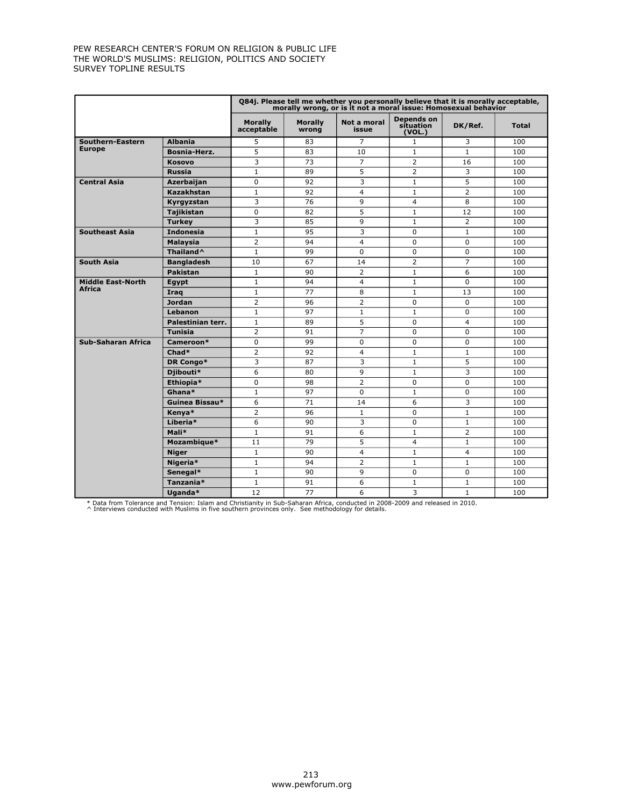|                           |                       |                              |                         | Q84j. Please tell me whether you personally believe that it is morally acceptable,<br>morally wrong, or is it not a moral issue: Homosexual behavior |                                   |                |              |
|---------------------------|-----------------------|------------------------------|-------------------------|------------------------------------------------------------------------------------------------------------------------------------------------------|-----------------------------------|----------------|--------------|
|                           |                       | <b>Morally</b><br>acceptable | <b>Morally</b><br>wrong | Not a moral<br>issue                                                                                                                                 | Depends on<br>sítuation<br>(VOL.) | DK/Ref.        | <b>Total</b> |
| Southern-Eastern          | <b>Albania</b>        | 5                            | 83                      | 7                                                                                                                                                    | $\mathbf{1}$                      | 3              | 100          |
| <b>Europe</b>             | Bosnia-Herz.          | 5                            | 83                      | 10                                                                                                                                                   | $\mathbf{1}$                      | $\mathbf{1}$   | 100          |
|                           | <b>Kosovo</b>         | 3                            | 73                      | $\overline{7}$                                                                                                                                       | $\overline{2}$                    | 16             | 100          |
|                           | <b>Russia</b>         | $\mathbf{1}$                 | 89                      | 5                                                                                                                                                    | $\overline{2}$                    | 3              | 100          |
| <b>Central Asia</b>       | Azerbaijan            | $\Omega$                     | 92                      | 3                                                                                                                                                    | $\mathbf{1}$                      | 5              | 100          |
|                           | <b>Kazakhstan</b>     | 1                            | 92                      | $\overline{4}$                                                                                                                                       | $\mathbf{1}$                      | $\overline{2}$ | 100          |
|                           | Kyrgyzstan            | 3                            | 76                      | 9                                                                                                                                                    | $\overline{4}$                    | 8              | 100          |
|                           | <b>Tajikistan</b>     | $\mathbf 0$                  | 82                      | 5                                                                                                                                                    | $\mathbf{1}$                      | 12             | 100          |
|                           | <b>Turkey</b>         | 3                            | 85                      | 9                                                                                                                                                    | $\mathbf{1}$                      | $\overline{2}$ | 100          |
| <b>Southeast Asia</b>     | <b>Indonesia</b>      | $\mathbf{1}$                 | 95                      | 3                                                                                                                                                    | $\mathbf 0$                       | $\mathbf{1}$   | 100          |
|                           | <b>Malaysia</b>       | $\overline{2}$               | 94                      | 4                                                                                                                                                    | $\Omega$                          | $\mathbf 0$    | 100          |
|                           | Thailand <sup>^</sup> | $\mathbf 1$                  | 99                      | $\Omega$                                                                                                                                             | $\mathbf 0$                       | 0              | 100          |
| <b>South Asia</b>         | <b>Bangladesh</b>     | 10                           | 67                      | 14                                                                                                                                                   | $\overline{2}$                    | $\overline{7}$ | 100          |
|                           | <b>Pakistan</b>       | $\mathbf{1}$                 | 90                      | $\overline{2}$                                                                                                                                       | $\mathbf{1}$                      | 6              | 100          |
| <b>Middle East-North</b>  | Egypt                 | $\mathbf{1}$                 | 94                      | $\overline{4}$                                                                                                                                       | $\mathbf{1}$                      | $\Omega$       | 100          |
| Africa                    | Iraq                  | $\mathbf{1}$                 | 77                      | 8                                                                                                                                                    | $\mathbf{1}$                      | 13             | 100          |
|                           | <b>Jordan</b>         | $\overline{2}$               | 96                      | $\overline{2}$                                                                                                                                       | $\Omega$                          | $\Omega$       | 100          |
|                           | Lebanon               | $\mathbf{1}$                 | 97                      | $\mathbf{1}$                                                                                                                                         | $\mathbf{1}$                      | $\mathbf 0$    | 100          |
|                           | Palestinian terr.     | $\mathbf{1}$                 | 89                      | 5                                                                                                                                                    | $\Omega$                          | $\overline{4}$ | 100          |
|                           | <b>Tunisia</b>        | $\overline{2}$               | 91                      | 7                                                                                                                                                    | $\mathbf 0$                       | $\mathbf 0$    | 100          |
| <b>Sub-Saharan Africa</b> | Cameroon*             | $\mathbf 0$                  | 99                      | $\Omega$                                                                                                                                             | $\Omega$                          | $\mathbf 0$    | 100          |
|                           | Chad*                 | $\overline{2}$               | 92                      | 4                                                                                                                                                    | $\mathbf{1}$                      | $\mathbf{1}$   | 100          |
|                           | DR Congo*             | 3                            | 87                      | 3                                                                                                                                                    | $\mathbf{1}$                      | 5              | 100          |
|                           | Djibouti*             | 6                            | 80                      | 9                                                                                                                                                    | $\mathbf{1}$                      | 3              | 100          |
|                           | Ethiopia*             | $\Omega$                     | 98                      | $\overline{2}$                                                                                                                                       | $\Omega$                          | $\Omega$       | 100          |
|                           | Ghana*                | $\mathbf{1}$                 | 97                      | $\Omega$                                                                                                                                             | $\mathbf{1}$                      | $\Omega$       | 100          |
|                           | Guinea Bissau*        | 6                            | 71                      | 14                                                                                                                                                   | 6                                 | 3              | 100          |
|                           | Kenya*                | $\overline{2}$               | 96                      | $\mathbf{1}$                                                                                                                                         | $\Omega$                          | $\mathbf{1}$   | 100          |
|                           | Liberia*              | 6                            | 90                      | 3                                                                                                                                                    | $\mathbf 0$                       | $\mathbf{1}$   | 100          |
|                           | Mali*                 | $\mathbf{1}$                 | 91                      | 6                                                                                                                                                    | $\mathbf{1}$                      | $\overline{2}$ | 100          |
|                           | Mozambique*           | 11                           | 79                      | 5                                                                                                                                                    | $\overline{4}$                    | $\mathbf{1}$   | 100          |
|                           | <b>Niger</b>          | $\mathbf{1}$                 | 90                      | 4                                                                                                                                                    | $\mathbf{1}$                      | $\overline{4}$ | 100          |
|                           | Nigeria*              | $\mathbf{1}$                 | 94                      | $\overline{2}$                                                                                                                                       | $\mathbf{1}$                      | $\mathbf{1}$   | 100          |
|                           | Senegal*              | $\mathbf{1}$                 | 90                      | 9                                                                                                                                                    | $\Omega$                          | $\Omega$       | 100          |
|                           | Tanzania*             | $\mathbf{1}$                 | 91                      | 6                                                                                                                                                    | $\mathbf{1}$                      | $\mathbf{1}$   | 100          |
|                           | Uganda*               | 12                           | 77                      | 6                                                                                                                                                    | 3                                 | $\mathbf{1}$   | 100          |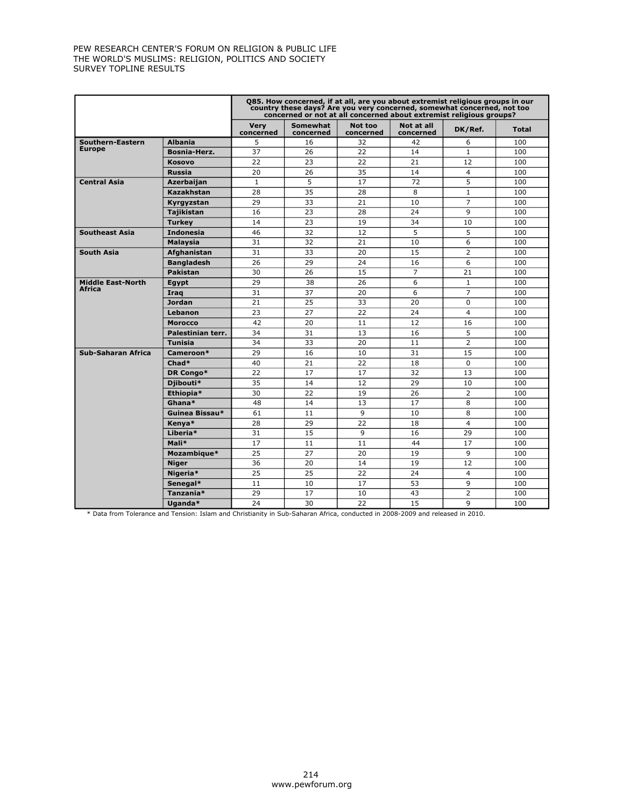|                                           |                     | 085. How concerned, if at all, are you about extremist religious groups in our<br>country these days? Are you very concerned, somewhat concerned, not too<br>concerned or not at all concerned about extremist religious groups? |                       |                      |                         |                |              |  |  |  |
|-------------------------------------------|---------------------|----------------------------------------------------------------------------------------------------------------------------------------------------------------------------------------------------------------------------------|-----------------------|----------------------|-------------------------|----------------|--------------|--|--|--|
|                                           |                     | <b>Very</b><br>concerned                                                                                                                                                                                                         | Somewhat<br>concerned | Not too<br>concerned | Not at all<br>concerned | DK/Ref.        | <b>Total</b> |  |  |  |
| Southern-Eastern                          | <b>Albania</b>      | 5                                                                                                                                                                                                                                | 16                    | 32                   | 42                      | 6              | 100          |  |  |  |
| <b>Europe</b>                             | <b>Bosnia-Herz.</b> | 37                                                                                                                                                                                                                               | 26                    | 22                   | 14                      | $\mathbf{1}$   | 100          |  |  |  |
|                                           | <b>Kosovo</b>       | 22                                                                                                                                                                                                                               | 23                    | 22                   | 21                      | 12             | 100          |  |  |  |
|                                           | <b>Russia</b>       | 20                                                                                                                                                                                                                               | 26                    | 35                   | 14                      | $\overline{4}$ | 100          |  |  |  |
| <b>Central Asia</b>                       | Azerbaijan          | $\mathbf{1}$                                                                                                                                                                                                                     | 5                     | 72<br>17             |                         | 5              | 100          |  |  |  |
|                                           | Kazakhstan          | 28                                                                                                                                                                                                                               | 35                    | 28                   | 8                       | $\mathbf{1}$   | 100          |  |  |  |
|                                           | Kyrgyzstan          | 29                                                                                                                                                                                                                               | 33                    | 21                   | 10                      | $\overline{7}$ | 100          |  |  |  |
|                                           | <b>Tajikistan</b>   | 16                                                                                                                                                                                                                               | 23                    | 28                   | 24                      | 9              | 100          |  |  |  |
|                                           | <b>Turkey</b>       | 14                                                                                                                                                                                                                               | 23                    | 19                   | 34                      | 10             | 100          |  |  |  |
| <b>Southeast Asia</b>                     | <b>Indonesia</b>    | 46                                                                                                                                                                                                                               | 32                    | 12                   | 5                       | 5              | 100          |  |  |  |
|                                           | <b>Malaysia</b>     | 31                                                                                                                                                                                                                               | 32                    | 21                   | 10                      | 6              | 100          |  |  |  |
| <b>South Asia</b>                         | Afghanistan         | 31                                                                                                                                                                                                                               | 33                    | 20                   | 15                      | $\overline{2}$ | 100          |  |  |  |
|                                           | <b>Bangladesh</b>   | 26                                                                                                                                                                                                                               | 29                    | 24                   | 16                      | 6              | 100          |  |  |  |
|                                           | <b>Pakistan</b>     | 30                                                                                                                                                                                                                               | 26                    | 15                   | $\overline{7}$          | 21             | 100          |  |  |  |
| <b>Middle East-North</b><br><b>Africa</b> | Egypt               | 29                                                                                                                                                                                                                               | 38                    | 26                   | 6                       | $\mathbf{1}$   | 100          |  |  |  |
|                                           | Iraq                | 31                                                                                                                                                                                                                               | 37                    | 20                   | 6                       | $\overline{7}$ | 100          |  |  |  |
|                                           | <b>Jordan</b>       | 21                                                                                                                                                                                                                               | 25                    | 33                   | 20                      | $\Omega$       | 100          |  |  |  |
|                                           | Lebanon             | 23                                                                                                                                                                                                                               | 27                    | 22                   | 24                      | $\overline{4}$ | 100          |  |  |  |
|                                           | <b>Morocco</b>      | 42                                                                                                                                                                                                                               | 20                    | 11                   | 12                      | 16             | 100          |  |  |  |
|                                           | Palestinian terr.   | 34                                                                                                                                                                                                                               | 31                    | 13                   | 16                      | 5              | 100          |  |  |  |
|                                           | <b>Tunisia</b>      | 34                                                                                                                                                                                                                               | 33                    | 20                   | 11                      | $\overline{2}$ | 100          |  |  |  |
| Sub-Saharan Africa                        | Cameroon*           | 29                                                                                                                                                                                                                               | 16                    | 10                   | 31                      | 15             | 100          |  |  |  |
|                                           | Chad*               | 40                                                                                                                                                                                                                               | 21                    | 22                   | 18                      | $\Omega$       | 100          |  |  |  |
|                                           | DR Congo*           | 22                                                                                                                                                                                                                               | 17                    | 17                   | 32                      | 13             | 100          |  |  |  |
|                                           | Djibouti*           | 35                                                                                                                                                                                                                               | 14                    | 12                   | 29                      | 10             | 100          |  |  |  |
|                                           | Ethiopia*           | 30                                                                                                                                                                                                                               | 22                    | 19                   | 26                      | $\overline{2}$ | 100          |  |  |  |
|                                           | Ghana*              | 48                                                                                                                                                                                                                               | 14                    | 13                   | 17                      | 8              | 100          |  |  |  |
|                                           | Guinea Bissau*      | 61                                                                                                                                                                                                                               | 11                    | 9                    | 10                      | 8              | 100          |  |  |  |
|                                           | Kenya*              | 28                                                                                                                                                                                                                               | 29                    | 22                   | 18                      | $\overline{4}$ | 100          |  |  |  |
|                                           | Liberia*            | 31                                                                                                                                                                                                                               | 15                    | 9                    | 16                      | 29             | 100          |  |  |  |
|                                           | Mali*               | 17                                                                                                                                                                                                                               | 11                    | 11                   | 44                      | 17             | 100          |  |  |  |
|                                           | Mozambique*         | 25                                                                                                                                                                                                                               | 27                    | 20                   | 19                      | 9              | 100          |  |  |  |
|                                           | <b>Niger</b>        | 36                                                                                                                                                                                                                               | 20                    | 14                   | 19                      | 12             | 100          |  |  |  |
|                                           | Nigeria*            | 25                                                                                                                                                                                                                               | 25                    | 22                   | 24                      | $\overline{4}$ | 100          |  |  |  |
|                                           | Senegal*            | 11                                                                                                                                                                                                                               | 10                    | 17                   | 53                      | 9              | 100          |  |  |  |
|                                           | Tanzania*           | 29                                                                                                                                                                                                                               | 17                    | 10                   | 43                      | $\overline{2}$ | 100          |  |  |  |
|                                           | Uganda*             | 24                                                                                                                                                                                                                               | 30                    | 22                   | 15                      | $\mathsf q$    | 100          |  |  |  |

\* Data from Tolerance and Tension: Islam and Christianity in Sub-Saharan Africa, conducted in 2008-2009 and released in 2010.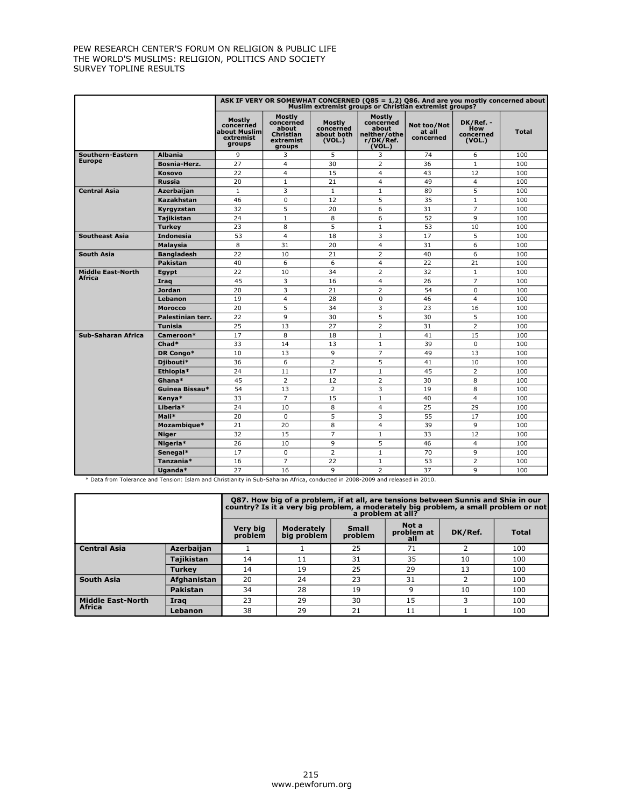|                          |                   |                                                            |                                                                         |                                             | ASK IF VERY OR SOMEWHAT CONCERNED ( $Q85 = 1,2$ ) Q86. And are you mostly concerned about<br>Muslim extremist groups or Christian extremist groups? |                                    |                                                |              |
|--------------------------|-------------------|------------------------------------------------------------|-------------------------------------------------------------------------|---------------------------------------------|-----------------------------------------------------------------------------------------------------------------------------------------------------|------------------------------------|------------------------------------------------|--------------|
|                          |                   | Mostly<br>concerned<br>about Muslim<br>extremist<br>groups | Mostly<br>concerned<br>about<br><b>Christian</b><br>extremist<br>groups | Mostly<br>concerned<br>about both<br>(VOL.) | Mostly<br>concerned<br>about<br>neither/othe<br>r/DK/Ref.<br>(VOL.)                                                                                 | Not too/Not<br>at all<br>concerned | DK/Ref. -<br><b>How</b><br>concerned<br>(VOL.) | <b>Total</b> |
| Southern-Eastern         | <b>Albania</b>    | 9                                                          | 3                                                                       | 5                                           | 3                                                                                                                                                   | 74                                 | 6                                              | 100          |
| <b>Europe</b>            | Bosnia-Herz.      | 27                                                         | $\overline{4}$                                                          | 30                                          | $\overline{2}$                                                                                                                                      | 36                                 | $\mathbf{1}$                                   | 100          |
|                          | <b>Kosovo</b>     | 22                                                         | $\overline{4}$                                                          | 15                                          | $\overline{4}$                                                                                                                                      | 43                                 | 12                                             | 100          |
|                          | <b>Russia</b>     | 20                                                         | $\mathbf{1}$                                                            | 21                                          | $\overline{4}$                                                                                                                                      | 49                                 | $\overline{4}$                                 | 100          |
| <b>Central Asia</b>      | Azerbaijan        | $\mathbf{1}$                                               | 3                                                                       | $\mathbf{1}$                                | $\mathbf{1}$                                                                                                                                        | 89                                 | 5                                              | 100          |
|                          | Kazakhstan        | 46                                                         | $\Omega$                                                                | $\overline{12}$                             | 5                                                                                                                                                   | 35                                 | $\mathbf{1}$                                   | 100          |
|                          | Kvravzstan        | 32                                                         | 5                                                                       | 20                                          | 6                                                                                                                                                   | 31                                 | $\overline{7}$                                 | 100          |
|                          | <b>Tajikistan</b> | 24                                                         | $\mathbf{1}$                                                            | 8                                           | 6                                                                                                                                                   | 52                                 | 9                                              | 100          |
|                          | <b>Turkey</b>     | 23                                                         | 8                                                                       | 5                                           | $\mathbf{1}$                                                                                                                                        | 53                                 | 10                                             | 100          |
| <b>Southeast Asia</b>    | <b>Indonesia</b>  | 53                                                         | $\overline{4}$                                                          | 18                                          | 3                                                                                                                                                   | 17                                 | 5                                              | 100          |
|                          | <b>Malaysia</b>   | 8                                                          | 31                                                                      | 20                                          | $\overline{4}$                                                                                                                                      | 31                                 | 6                                              | 100          |
| <b>South Asia</b>        | <b>Bangladesh</b> | 22                                                         | 10                                                                      | 21                                          | $\overline{2}$                                                                                                                                      | 40                                 | 6                                              | 100          |
|                          | <b>Pakistan</b>   | 40                                                         | 6                                                                       | 6                                           | $\overline{4}$                                                                                                                                      | 22                                 | 21                                             | 100          |
| <b>Middle East-North</b> | Egypt             | 22                                                         | 10                                                                      | 34                                          | $\overline{2}$                                                                                                                                      | 32                                 | $\mathbf{1}$                                   | 100          |
| <b>Africa</b>            | Iraq              | 45                                                         | 3                                                                       | 16                                          | $\overline{4}$                                                                                                                                      | 26                                 | $\overline{7}$                                 | 100          |
|                          | <b>Jordan</b>     | 20                                                         | 3                                                                       | 21                                          | $\overline{2}$                                                                                                                                      | 54                                 | $\Omega$                                       | 100          |
|                          | Lebanon           | 19                                                         | 4                                                                       | 28                                          | $\mathbf 0$                                                                                                                                         | 46                                 | $\overline{4}$                                 | 100          |
|                          | <b>Morocco</b>    | 20                                                         | 5                                                                       | 34                                          | 3                                                                                                                                                   | 23                                 | 16                                             | 100          |
|                          | Palestinian terr. | $\overline{22}$                                            | 9                                                                       | 30                                          | 5                                                                                                                                                   | 30                                 | 5                                              | 100          |
|                          | <b>Tunisia</b>    | 25                                                         | 13                                                                      | 27                                          | $\overline{2}$                                                                                                                                      | 31                                 | $\overline{2}$                                 | 100          |
| Sub-Saharan Africa       | Cameroon*         | 17                                                         | 8                                                                       | 18                                          | $\mathbf{1}$                                                                                                                                        | 41                                 | 15                                             | 100          |
|                          | Chad*             | 33                                                         | 14                                                                      | 13                                          | $\mathbf{1}$                                                                                                                                        | 39                                 | $\Omega$                                       | 100          |
|                          | DR Congo*         | 10                                                         | 13                                                                      | 9                                           | $\overline{7}$                                                                                                                                      | 49                                 | 13                                             | 100          |
|                          | Djibouti*         | 36                                                         | 6                                                                       | $\overline{2}$                              | $\overline{5}$                                                                                                                                      | 41                                 | 10                                             | 100          |
|                          | Ethiopia*         | 24                                                         | 11                                                                      | 17                                          | $\mathbf{1}$                                                                                                                                        | 45                                 | $\overline{2}$                                 | 100          |
|                          | Ghana*            | 45                                                         | $\overline{2}$                                                          | 12                                          | $\overline{2}$                                                                                                                                      | 30                                 | 8                                              | 100          |
|                          | Guinea Bissau*    | 54                                                         | 13                                                                      | $\overline{2}$                              | 3                                                                                                                                                   | 19                                 | 8                                              | 100          |
|                          | Kenya*            | 33                                                         | $\overline{7}$                                                          | 15                                          | $\mathbf{1}$                                                                                                                                        | 40                                 | $\overline{\mathbf{4}}$                        | 100          |
|                          | Liberia*          | 24                                                         | 10                                                                      | 8                                           | $\overline{4}$                                                                                                                                      | 25                                 | 29                                             | 100          |
|                          | Mali*             | 20                                                         | $\Omega$                                                                | 5                                           | 3                                                                                                                                                   | 55                                 | 17                                             | 100          |
|                          | Mozambique*       | 21                                                         | 20                                                                      | 8                                           | 4                                                                                                                                                   | 39                                 | 9                                              | 100          |
|                          | <b>Niger</b>      | $\overline{32}$                                            | 15                                                                      | $\overline{7}$                              | $\mathbf{1}$                                                                                                                                        | 33                                 | $\overline{12}$                                | 100          |
|                          | Nigeria*          | 26                                                         | 10                                                                      | 9                                           | 5                                                                                                                                                   | 46                                 | $\overline{4}$                                 | 100          |
|                          | Senegal*          | 17                                                         | $\Omega$                                                                | $\overline{2}$                              | $\mathbf{1}$                                                                                                                                        | 70                                 | 9                                              | 100          |
|                          | Tanzania*         | 16                                                         | $\overline{7}$                                                          | 22                                          | $\mathbf{1}$                                                                                                                                        | 53                                 | $\overline{2}$                                 | 100          |
|                          | Uganda*           | 27                                                         | 16                                                                      | 9                                           | $\overline{2}$                                                                                                                                      | 37                                 | 9                                              | 100          |

\* Data from Tolerance and Tension: Islam and Christianity in Sub-Saharan Africa, conducted in 2008-2009 and released in 2010.

|                          |               | Q87. How big of a problem, if at all, are tensions between Sunnis and Shia in our<br>country? Is it a very big problem, a moderately big problem, a small problem or not<br>a problem at all? |                                  |                  |                            |         |              |  |  |  |
|--------------------------|---------------|-----------------------------------------------------------------------------------------------------------------------------------------------------------------------------------------------|----------------------------------|------------------|----------------------------|---------|--------------|--|--|--|
|                          |               | <b>Very big</b><br>problem                                                                                                                                                                    | <b>Moderately</b><br>big problem | Small<br>problem | Not a<br>problem at<br>all | DK/Ref. | <b>Total</b> |  |  |  |
| <b>Central Asia</b>      | Azerbaijan    |                                                                                                                                                                                               |                                  | 25               | 71                         |         | 100          |  |  |  |
|                          | Tajikistan    | 14                                                                                                                                                                                            | 11                               | 31               | 35                         | 10      | 100          |  |  |  |
|                          | <b>Turkey</b> | 14                                                                                                                                                                                            | 19                               | 25               | 29                         | 13      | 100          |  |  |  |
| <b>South Asia</b>        | Afghanistan   | 20                                                                                                                                                                                            | 24                               | 23               | 31                         |         | 100          |  |  |  |
|                          | Pakistan      | 34                                                                                                                                                                                            | 28                               | 19               | q                          | 10      | 100          |  |  |  |
| <b>Middle East-North</b> | Iraq          | 23                                                                                                                                                                                            | 29                               | 30               | 15                         | 3       | 100          |  |  |  |
| <b>Africa</b>            | Lebanon       | 38                                                                                                                                                                                            | 29                               | 21               | 11                         |         | 100          |  |  |  |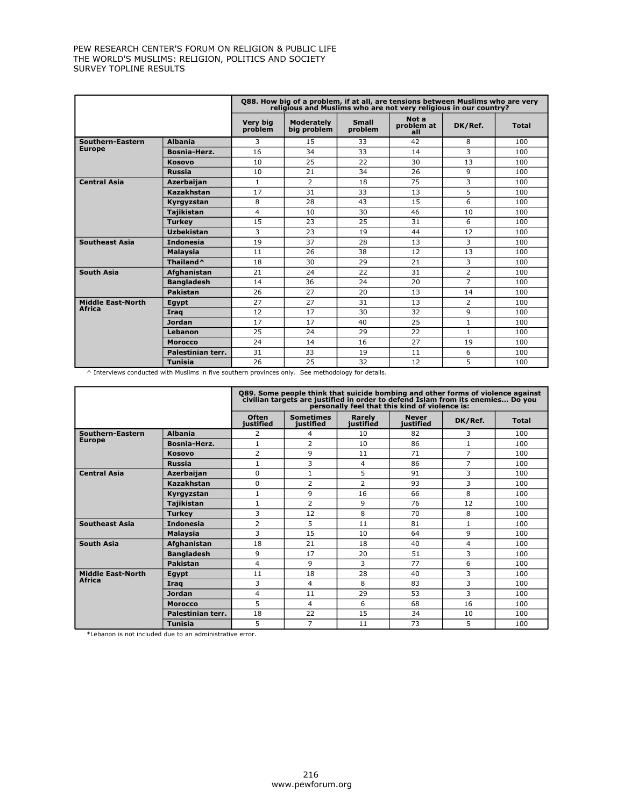|                          |                       |                            | Q88. How big of a problem, if at all, are tensions between Muslims who are very<br>religious and Muslims who are not very religious in our country? |                         |                            |                |              |
|--------------------------|-----------------------|----------------------------|-----------------------------------------------------------------------------------------------------------------------------------------------------|-------------------------|----------------------------|----------------|--------------|
|                          |                       | <b>Very big</b><br>problem | <b>Moderately</b><br>big problem                                                                                                                    | <b>Small</b><br>problem | Not a<br>problem at<br>all | DK/Ref.        | <b>Total</b> |
| <b>Southern-Eastern</b>  | <b>Albania</b>        | 3                          | 15                                                                                                                                                  | 33                      | 42                         | 8              | 100          |
| <b>Europe</b>            | Bosnia-Herz.          | 16                         | 34                                                                                                                                                  | 33                      | 14                         | 3              | 100          |
|                          | <b>Kosovo</b>         | 10                         | 25                                                                                                                                                  | 22                      | 30                         | 13             | 100          |
|                          | <b>Russia</b>         | 10                         | 21                                                                                                                                                  | 34                      | 26                         | 9              | 100          |
| <b>Central Asia</b>      | Azerbaijan            | $\mathbf{1}$               | 2                                                                                                                                                   | 18                      | 75                         | 3              | 100          |
|                          | <b>Kazakhstan</b>     | 17                         | 31                                                                                                                                                  | 33                      | 13                         | 5              | 100          |
|                          | Kyrgyzstan            | 8                          | 28                                                                                                                                                  | 43                      | 15                         | 6              | 100          |
|                          | <b>Tajikistan</b>     | 4                          | 10                                                                                                                                                  | 30                      | 46                         | 10             | 100          |
|                          | <b>Turkey</b>         | 15                         | 23                                                                                                                                                  | 25                      | 31                         | 6              | 100          |
|                          | Uzbekistan            | 3                          | 23                                                                                                                                                  | 19                      | 44                         | 12             | 100          |
| <b>Southeast Asia</b>    | <b>Indonesia</b>      | 19                         | 37                                                                                                                                                  | 28                      | 13                         | 3              | 100          |
|                          | Malaysia              | 11                         | 26                                                                                                                                                  | 38                      | 12                         | 13             | 100          |
|                          | Thailand <sup>^</sup> | 18                         | 30                                                                                                                                                  | 29                      | 21                         | 3              | 100          |
| <b>South Asia</b>        | Afghanistan           | 21                         | 24                                                                                                                                                  | 22                      | 31                         | $\overline{2}$ | 100          |
|                          | <b>Bangladesh</b>     | 14                         | 36                                                                                                                                                  | 24                      | 20                         | $\overline{7}$ | 100          |
|                          | Pakistan              | 26                         | 27                                                                                                                                                  | 20                      | 13                         | 14             | 100          |
| <b>Middle East-North</b> | Egypt                 | 27                         | 27                                                                                                                                                  | 31                      | 13                         | $\overline{2}$ | 100          |
| <b>Africa</b>            | Irag                  | 12                         | 17                                                                                                                                                  | 30                      | 32                         | 9              | 100          |
|                          | Jordan                | 17                         | 17                                                                                                                                                  | 40                      | 25                         | $\mathbf{1}$   | 100          |
|                          | Lebanon               | 25                         | 24                                                                                                                                                  | 29                      | 22                         | $\mathbf{1}$   | 100          |
|                          | <b>Morocco</b>        | 24                         | 14                                                                                                                                                  | 16                      | 27                         | 19             | 100          |
|                          | Palestinian terr.     | 31                         | 33                                                                                                                                                  | 19                      | 11                         | 6              | 100          |
|                          | <b>Tunisia</b>        | 26                         | 25                                                                                                                                                  | 32                      | 12                         | 5              | 100          |

^ Interviews conducted with Muslims in five southern provinces only. See methodology for details.

|                          |                     |                           | Q89. Some people think that suicide bombing and other forms of violence against<br>civilian targets are justified in order to defend Islam from its enemies Do you<br>personally feel that this kind of violence is: |                     |                           |                |              |
|--------------------------|---------------------|---------------------------|----------------------------------------------------------------------------------------------------------------------------------------------------------------------------------------------------------------------|---------------------|---------------------------|----------------|--------------|
|                          |                     | <b>Often</b><br>iustified | <b>Sometimes</b><br>iustified                                                                                                                                                                                        | Rarely<br>justified | <b>Never</b><br>iustified | DK/Ref.        | <b>Total</b> |
| Southern-Eastern         | <b>Albania</b>      | 2                         | 4                                                                                                                                                                                                                    | 10                  | 82                        | 3              | 100          |
| <b>Europe</b>            | <b>Bosnia-Herz.</b> | $\mathbf{1}$              | $\overline{2}$                                                                                                                                                                                                       | 10                  | 86                        | $\mathbf{1}$   | 100          |
|                          | Kosovo              | $\overline{2}$            | 9                                                                                                                                                                                                                    | 11                  | 71                        | $\overline{7}$ | 100          |
|                          | <b>Russia</b>       | $\mathbf{1}$              | 3                                                                                                                                                                                                                    | 4                   | 86                        | 7              | 100          |
| <b>Central Asia</b>      | <b>Azerbaijan</b>   | $\Omega$                  | $\mathbf{1}$                                                                                                                                                                                                         | 5                   | 91                        | 3              | 100          |
|                          | Kazakhstan          | $\Omega$                  | $\overline{2}$                                                                                                                                                                                                       | $\overline{2}$      | 93                        | 3              | 100          |
|                          | Kyrgyzstan          | $\mathbf{1}$              | 9                                                                                                                                                                                                                    | 16                  | 66                        | 8              | 100          |
|                          | Taiikistan          | $\mathbf{1}$              | $\overline{2}$                                                                                                                                                                                                       | 9                   | 76                        | 12             | 100          |
|                          | <b>Turkev</b>       | 3                         | 12                                                                                                                                                                                                                   | 8                   | 70                        | 8              | 100          |
| <b>Southeast Asia</b>    | <b>Indonesia</b>    | $\overline{2}$            | 5                                                                                                                                                                                                                    | 11                  | 81                        | $\mathbf{1}$   | 100          |
|                          | <b>Malaysia</b>     | 3                         | 15                                                                                                                                                                                                                   | 10                  | 64                        | 9              | 100          |
| <b>South Asia</b>        | Afghanistan         | 18                        | 21                                                                                                                                                                                                                   | 18                  | 40                        | 4              | 100          |
|                          | <b>Bangladesh</b>   | 9                         | 17                                                                                                                                                                                                                   | 20                  | 51                        | 3              | 100          |
|                          | Pakistan            | $\overline{4}$            | 9                                                                                                                                                                                                                    | 3                   | 77                        | 6              | 100          |
| <b>Middle East-North</b> | Egypt               | 11                        | 18                                                                                                                                                                                                                   | 28                  | 40                        | 3              | 100          |
| <b>Africa</b>            | Irag                | 3                         | 4                                                                                                                                                                                                                    | 8                   | 83                        | 3              | 100          |
|                          | <b>Jordan</b>       | 4                         | 11                                                                                                                                                                                                                   | 29                  | 53                        | 3              | 100          |
|                          | <b>Morocco</b>      | 5                         | 4                                                                                                                                                                                                                    | 6                   | 68                        | 16             | 100          |
|                          | Palestinian terr.   | 18                        | 22                                                                                                                                                                                                                   | 15                  | 34                        | 10             | 100          |
|                          | <b>Tunisia</b>      | 5                         | $\overline{7}$                                                                                                                                                                                                       | 11                  | 73                        | 5              | 100          |

\*Lebanon is not included due to an administrative error.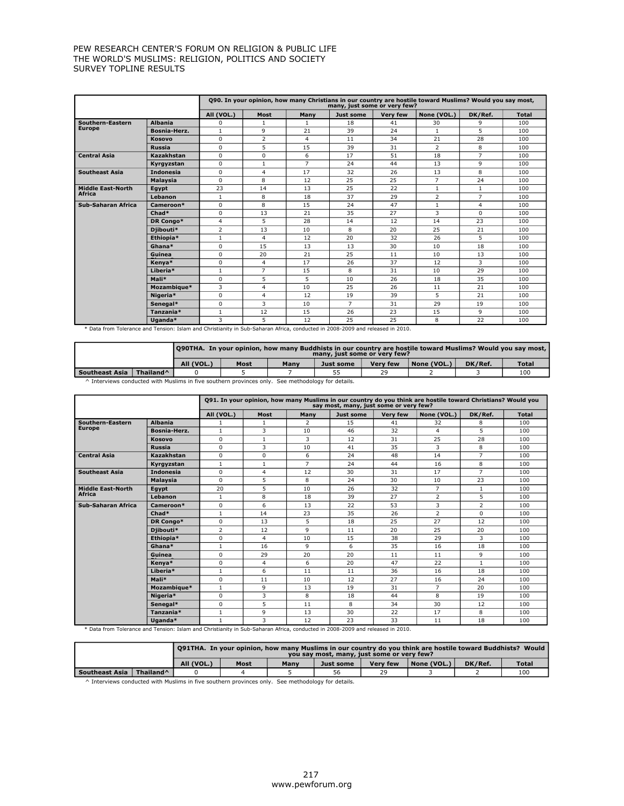|                           |                  |                |                |                | many, just some or very few? |                 | 090. In your opinion, how many Christians in our country are hostile toward Muslims? Would you say most, |                |              |
|---------------------------|------------------|----------------|----------------|----------------|------------------------------|-----------------|----------------------------------------------------------------------------------------------------------|----------------|--------------|
|                           |                  | All (VOL.)     | Most           | Many           | Just some                    | <b>Verv few</b> | None (VOL.)                                                                                              | DK/Ref.        | <b>Total</b> |
| Southern-Eastern          | <b>Albania</b>   | 0              | 1              | $\mathbf{1}$   | 18                           | 41              | 30                                                                                                       | 9              | 100          |
| <b>Europe</b>             | Bosnia-Herz.     | $\mathbf{1}$   | 9              | 21             | 39                           | 24              | $\mathbf{1}$                                                                                             | 5              | 100          |
|                           | Kosovo           | $\Omega$       | $\overline{2}$ | $\overline{4}$ | 11                           | 34              | 21                                                                                                       | 28             | 100          |
|                           | Russia           | $\Omega$       | 5              | 15             | 39                           | 31              | $\overline{2}$                                                                                           | 8              | 100          |
| <b>Central Asia</b>       | Kazakhstan       | $\Omega$       | 0              | 6              | 17                           | 51              | 18                                                                                                       | $\overline{7}$ | 100          |
|                           | Kyrgyzstan       | $\Omega$       | $\mathbf{1}$   | $\overline{7}$ | 24                           | 44              | 13                                                                                                       | 9              | 100          |
| <b>Southeast Asia</b>     | <b>Indonesia</b> | $\Omega$       | $\overline{4}$ | 17             | 32                           | 26              | 13                                                                                                       | 8              | 100          |
|                           | Malaysia         | $\Omega$       | 8              | 12             | 25                           | 25              | $\overline{7}$                                                                                           | 24             | 100          |
| <b>Middle East-North</b>  | Egypt            | 23             | 14             | 13             | 25                           | 22              | 1                                                                                                        | $\mathbf{1}$   | 100          |
| Africa                    | Lebanon          | $\mathbf{1}$   | 8              | 18             | 37                           | 29              | $\overline{2}$                                                                                           | $\overline{7}$ | 100          |
| <b>Sub-Saharan Africa</b> | Cameroon*        | $\Omega$       | 8              | 15             | 24                           | 47              | $\mathbf{1}$                                                                                             | $\overline{4}$ | 100          |
|                           | $Chad*$          | $\Omega$       | 13             | 21             | 35                           | 27              | 3                                                                                                        | $\Omega$       | 100          |
|                           | DR Congo*        | $\overline{4}$ | 5              | 28             | 14                           | 12              | 14                                                                                                       | 23             | 100          |
|                           | Diibouti*        | $\overline{2}$ | 13             | 10             | 8                            | 20              | 25                                                                                                       | 21             | 100          |
|                           | Ethiopia*        | $\mathbf{1}$   | 4              | 12             | 20                           | 32              | 26                                                                                                       | 5              | 100          |
|                           | Ghana*           | $\Omega$       | 15             | 13             | 13                           | 30              | 10                                                                                                       | 18             | 100          |
|                           | Guinea           | 0              | 20             | 21             | 25                           | 11              | 10                                                                                                       | 13             | 100          |
|                           | Kenva*           | 0              | $\overline{4}$ | 17             | 26                           | 37              | 12                                                                                                       | 3              | 100          |
|                           | Liberia*         | $\mathbf{1}$   | $\overline{7}$ | 15             | 8                            | 31              | 10                                                                                                       | 29             | 100          |
|                           | Mali*            | $\Omega$       | 5              | 5              | 10                           | 26              | 18                                                                                                       | 35             | 100          |
|                           | Mozambique*      | 3              | $\overline{4}$ | 10             | 25                           | 26              | 11                                                                                                       | 21             | 100          |
|                           | Nigeria*         | $\Omega$       | $\overline{4}$ | 12             | 19                           | 39              | 5                                                                                                        | 21             | 100          |
|                           | Senegal*         | 0              | 3              | 10             | $\overline{7}$               | 31              | 29                                                                                                       | 19             | 100          |
|                           | Tanzania*        | $\mathbf{1}$   | 12             | 15             | 26                           | 23              | 15                                                                                                       | 9              | 100          |
|                           | Uganda*          | 3              | 5              | 12             | 25                           | 25              | 8                                                                                                        | 22             | 100          |

\* Data from Tolerance and Tension: Islam and Christianity in Sub-Saharan Africa, conducted in 2008-2009 and released in 2010.

|                  |                       | l O90THA.  In vour opinion, how many Buddhists in our country are hostile toward Muslims? Would vou say most, l<br>many, just some or yery few? |      |      |                  |                 |             |         |              |
|------------------|-----------------------|-------------------------------------------------------------------------------------------------------------------------------------------------|------|------|------------------|-----------------|-------------|---------|--------------|
|                  |                       | All (VOL.)                                                                                                                                      | Most | Many | <b>Just some</b> | <b>Very few</b> | None (VOL.) | DK/Ref. | <b>Total</b> |
| l Southeast Asia | Thailand <sup>^</sup> |                                                                                                                                                 |      |      |                  | 29              |             |         | 100          |

^ Interviews conducted with Muslims in five southern provinces only. See methodology for details.

|                          |                  |                |                |                | say most, many, just some or very few? |                 | Q91. In your opinion, how many Muslims in our country do you think are hostile toward Christians? Would you |                |              |
|--------------------------|------------------|----------------|----------------|----------------|----------------------------------------|-----------------|-------------------------------------------------------------------------------------------------------------|----------------|--------------|
|                          |                  | All (VOL.)     | Most           | Many           | <b>Just some</b>                       | <b>Verv few</b> | None (VOL.)                                                                                                 | DK/Ref.        | <b>Total</b> |
| Southern-Eastern         | <b>Albania</b>   |                |                | 2              | 15                                     | 41              | 32                                                                                                          | 8              | 100          |
| <b>Europe</b>            | Bosnia-Herz.     | $\mathbf{1}$   | 3              | 10             | 46                                     | 32              | 4                                                                                                           | 5              | 100          |
|                          | Kosovo           | 0              | $\mathbf{1}$   | 3              | 12                                     | 31              | 25                                                                                                          | 28             | 100          |
|                          | <b>Russia</b>    | $\Omega$       | 3              | 10             | 41                                     | 35              | 3                                                                                                           | 8              | 100          |
| <b>Central Asia</b>      | Kazakhstan       | $\Omega$       | $\Omega$       | 6              | 24                                     | 48              | 14                                                                                                          | $\overline{7}$ | 100          |
|                          | Kyrgyzstan       | $\mathbf{1}$   | $\mathbf{1}$   | $\overline{7}$ | 24                                     | 44              | 16                                                                                                          | 8              | 100          |
| <b>Southeast Asia</b>    | <b>Indonesia</b> | $\Omega$       | 4              | 12             | 30                                     | 31              | 17                                                                                                          | 7              | 100          |
|                          | Malaysia         | $\Omega$       | 5              | 8              | 24                                     | 30              | 10                                                                                                          | 23             | 100          |
| <b>Middle East-North</b> | Egypt            | 20             | 5              | 10             | 26                                     | 32              | $\overline{7}$                                                                                              | 1              | 100          |
| Africa                   | Lebanon          | $\mathbf{1}$   | 8              | 18             | 39                                     | 27              | $\overline{2}$                                                                                              | 5              | 100          |
| Sub-Saharan Africa       | Cameroon*        | 0              | 6              | 13             | 22                                     | 53              | 3                                                                                                           | $\overline{2}$ | 100          |
|                          | $Chad*$          | 1              | 14             | 23             | 35                                     | 26              | $\overline{2}$                                                                                              | 0              | 100          |
|                          | DR Congo*        | $\Omega$       | 13             | 5              | 18                                     | 25              | 27                                                                                                          | 12             | 100          |
|                          | Diibouti*        | $\overline{2}$ | 12             | 9              | 11                                     | 20              | 25                                                                                                          | 20             | 100          |
|                          | Ethiopia*        | $\Omega$       | $\overline{4}$ | 10             | 15                                     | 38              | 29                                                                                                          | 3              | 100          |
|                          | Ghana*           | $\mathbf{1}$   | 16             | 9              | 6                                      | 35              | 16                                                                                                          | 18             | 100          |
|                          | Guinea           | 0              | 29             | 20             | 20                                     | 11              | 11                                                                                                          | 9              | 100          |
|                          | Kenva*           | $\Omega$       | $\overline{4}$ | 6              | 20                                     | 47              | 22                                                                                                          | $\mathbf{1}$   | 100          |
|                          | Liberia*         | $\mathbf{1}$   | 6              | 11             | 11                                     | 36              | 16                                                                                                          | 18             | 100          |
|                          | Mali*            | 0              | 11             | 10             | 12                                     | 27              | 16                                                                                                          | 24             | 100          |
|                          | Mozambique*      | $\mathbf{1}$   | 9              | 13             | 19                                     | 31              | $\overline{7}$                                                                                              | 20             | 100          |
|                          | Nigeria*         | $\Omega$       | 3              | 8              | 18                                     | 44              | 8                                                                                                           | 19             | 100          |
|                          | Senegal*         | 0              | 5              | 11             | 8                                      | 34              | 30                                                                                                          | 12             | 100          |
|                          | Tanzania*        | $\mathbf{1}$   | 9              | 13             | 30                                     | 22              | 17                                                                                                          | 8              | 100          |
|                          | Uganda*          | $\mathbf{1}$   | 3              | 12             | 23                                     | 33              | 11                                                                                                          | 18             | 100          |

\* Data from Tolerance and Tension: Islam and Christianity in Sub-Saharan Africa, conducted in 2008-2009 and released in 2010.

| O91THA. In your opinion, how many Muslims in our country do you think are hostile toward Buddhists? Would \,<br>you say most, many, just some or very few? |                           |            |             |      |           |                 |             |         |              |
|------------------------------------------------------------------------------------------------------------------------------------------------------------|---------------------------|------------|-------------|------|-----------|-----------------|-------------|---------|--------------|
|                                                                                                                                                            |                           | All (VOL.) | <b>Most</b> | Many | Just some | <b>Very few</b> | None (VOL.) | DK/Ref. | <b>Total</b> |
| <b>Southeast Asia</b>                                                                                                                                      | $\vert$ Thailand $\wedge$ |            |             |      | 56        | 29              |             |         | 100          |

 $\wedge$  Interviews conducted with Muslims in five southern provinces only. See methodology for details.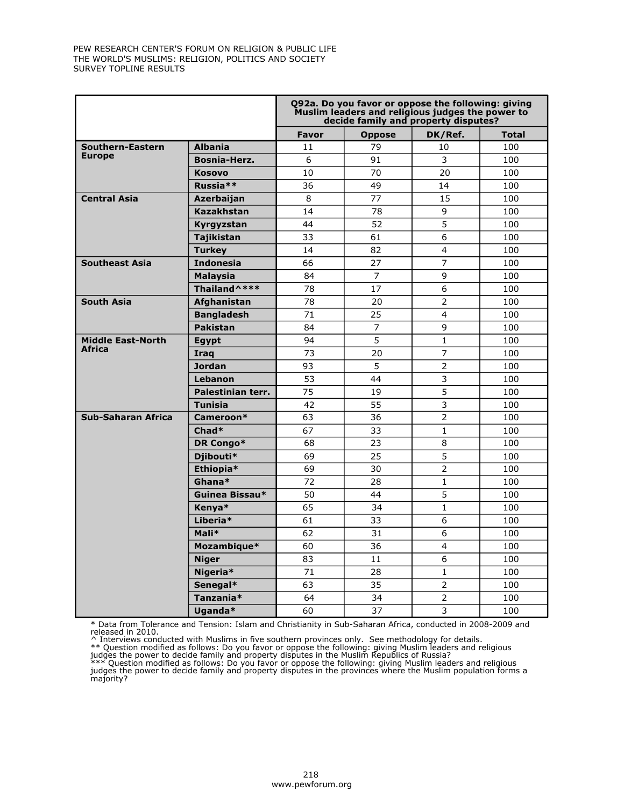|                           |                     |       |                | Q92a. Do you favor or oppose the following: giving<br>Muslim leaders and religious judges the power to<br>decide family and property disputes? |              |
|---------------------------|---------------------|-------|----------------|------------------------------------------------------------------------------------------------------------------------------------------------|--------------|
|                           |                     | Favor | <b>Oppose</b>  | DK/Ref.                                                                                                                                        | <b>Total</b> |
| Southern-Eastern          | <b>Albania</b>      | 11    | 79             | 10                                                                                                                                             | 100          |
| <b>Europe</b>             | <b>Bosnia-Herz.</b> | 6     | 91             | 3                                                                                                                                              | 100          |
|                           | <b>Kosovo</b>       | 10    | 70             | 20                                                                                                                                             | 100          |
|                           | Russia**            | 36    | 49             | 14                                                                                                                                             | 100          |
| <b>Central Asia</b>       | Azerbaijan          | 8     | 77             | 15                                                                                                                                             | 100          |
|                           | <b>Kazakhstan</b>   | 14    | 78             | 9                                                                                                                                              | 100          |
|                           | Kyrgyzstan          | 44    | 52             | 5                                                                                                                                              | 100          |
|                           | <b>Tajikistan</b>   | 33    | 61             | 6                                                                                                                                              | 100          |
|                           | <b>Turkey</b>       | 14    | 82             | 4                                                                                                                                              | 100          |
| <b>Southeast Asia</b>     | <b>Indonesia</b>    | 66    | 27             | $\overline{7}$                                                                                                                                 | 100          |
|                           | <b>Malaysia</b>     | 84    | $\overline{7}$ | 9                                                                                                                                              | 100          |
|                           | Thailand ^***       | 78    | 17             | 6                                                                                                                                              | 100          |
| <b>South Asia</b>         | Afghanistan         | 78    | 20             | $\overline{2}$                                                                                                                                 | 100          |
|                           | <b>Bangladesh</b>   | 71    | 25             | 4                                                                                                                                              | 100          |
|                           | <b>Pakistan</b>     | 84    | $\overline{7}$ | 9                                                                                                                                              | 100          |
| <b>Middle East-North</b>  | Egypt               | 94    | 5              | $\mathbf{1}$                                                                                                                                   | 100          |
| <b>Africa</b>             | Iraq                | 73    | 20             | 7                                                                                                                                              | 100          |
|                           | <b>Jordan</b>       | 93    | 5              | $\overline{2}$                                                                                                                                 | 100          |
|                           | Lebanon             | 53    | 44             | $\overline{3}$                                                                                                                                 | 100          |
|                           | Palestinian terr.   | 75    | 19             | 5                                                                                                                                              | 100          |
|                           | <b>Tunisia</b>      | 42    | 55             | 3                                                                                                                                              | 100          |
| <b>Sub-Saharan Africa</b> | Cameroon*           | 63    | 36             | $\overline{2}$                                                                                                                                 | 100          |
|                           | Chad*               | 67    | 33             | $\mathbf{1}$                                                                                                                                   | 100          |
|                           | DR Congo*           | 68    | 23             | 8                                                                                                                                              | 100          |
|                           | Diibouti*           | 69    | 25             | 5                                                                                                                                              | 100          |
|                           | Ethiopia*           | 69    | 30             | $\overline{2}$                                                                                                                                 | 100          |
|                           | Ghana*              | 72    | 28             | $\mathbf{1}$                                                                                                                                   | 100          |
|                           | Guinea Bissau*      | 50    | 44             | 5                                                                                                                                              | 100          |
|                           | Kenya*              | 65    | 34             | $\mathbf{1}$                                                                                                                                   | 100          |
|                           | Liberia*            | 61    | 33             | 6                                                                                                                                              | 100          |
|                           | Mali*               | 62    | 31             | 6                                                                                                                                              | 100          |
|                           | Mozambique*         | 60    | 36             | $\overline{4}$                                                                                                                                 | 100          |
|                           | <b>Niger</b>        | 83    | 11             | 6                                                                                                                                              | 100          |
|                           | Nigeria*            | 71    | 28             | $\mathbf{1}$                                                                                                                                   | 100          |
|                           | Senegal*            | 63    | 35             | 2                                                                                                                                              | 100          |
|                           | Tanzania*           | 64    | 34             | $\overline{2}$                                                                                                                                 | 100          |
|                           | Uganda*             | 60    | 37             | 3                                                                                                                                              | 100          |

\* Data from Tolerance and Tension: Islam and Christianity in Sub-Saharan Africa, conducted in 2008-2009 and<br>released in 2010.<br>^ Interviews conducted with Muslims in five southern provinces only. See methodology for details

judges the power to decide family and property disputes in the provinces where the Muslim population forms a majority?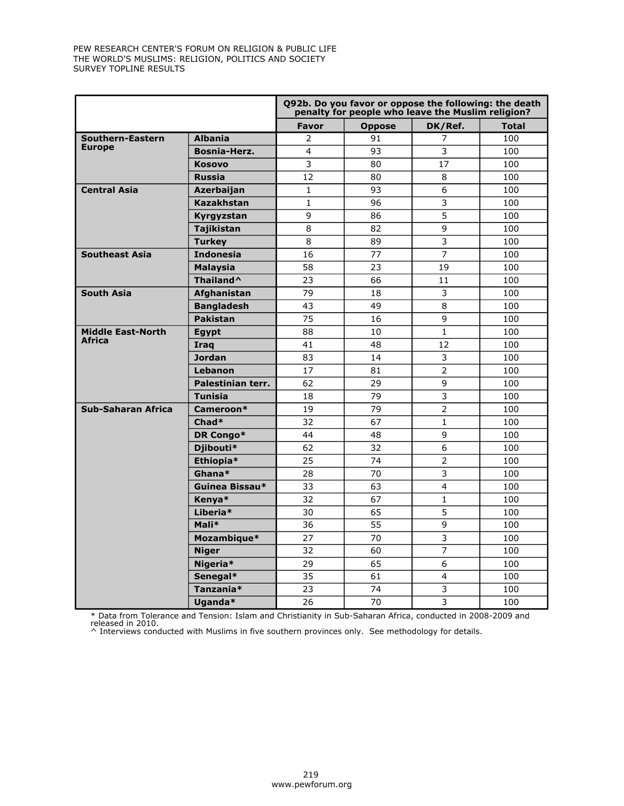|                           |                   |                 | Q92b. Do you favor or oppose the following: the death<br>penalty for people who leave the Muslim religion? |                |              |
|---------------------------|-------------------|-----------------|------------------------------------------------------------------------------------------------------------|----------------|--------------|
|                           |                   | Favor           | <b>Oppose</b>                                                                                              | DK/Ref.        | <b>Total</b> |
| Southern-Eastern          | <b>Albania</b>    | $\overline{2}$  | 91                                                                                                         | 7              | 100          |
| <b>Europe</b>             | Bosnia-Herz.      | 4               | 93                                                                                                         | 3              | 100          |
|                           | <b>Kosovo</b>     | 3               | 80                                                                                                         | 17             | 100          |
|                           | <b>Russia</b>     | 12              | 80                                                                                                         | 8              | 100          |
| <b>Central Asia</b>       | Azerbaijan        | $\mathbf{1}$    | 93                                                                                                         | 6              | 100          |
|                           | <b>Kazakhstan</b> | $\mathbf{1}$    | 96                                                                                                         | 3              | 100          |
|                           | Kyrgyzstan        | 9               | 86                                                                                                         | 5              | 100          |
|                           | <b>Tajikistan</b> | 8               | 82                                                                                                         | 9              | 100          |
|                           | <b>Turkey</b>     | 8               | 89                                                                                                         | 3              | 100          |
| <b>Southeast Asia</b>     | <b>Indonesia</b>  | 16              | 77                                                                                                         | $\overline{7}$ | 100          |
|                           | <b>Malaysia</b>   | 58              | 23                                                                                                         | 19             | 100          |
|                           | Thailand^         | 23              | 66                                                                                                         | 11             | 100          |
| <b>South Asia</b>         | Afghanistan       | 79              | 18                                                                                                         | 3              | 100          |
|                           | <b>Bangladesh</b> | 43              | 49                                                                                                         | 8              | 100          |
|                           | <b>Pakistan</b>   | 75              | 16                                                                                                         | 9              | 100          |
| <b>Middle East-North</b>  | <b>Egypt</b>      | 88              | 10                                                                                                         | $\mathbf{1}$   | 100          |
| <b>Africa</b>             | Iraq              | 41              | 48                                                                                                         | 12             | 100          |
|                           | <b>Jordan</b>     | 83              | 14                                                                                                         | 3              | 100          |
|                           | Lebanon           | 17              | 81                                                                                                         | $\overline{2}$ | 100          |
|                           | Palestinian terr. | 62              | 29                                                                                                         | 9              | 100          |
|                           | <b>Tunisia</b>    | 18              | 79                                                                                                         | 3              | 100          |
| <b>Sub-Saharan Africa</b> | Cameroon*         | 19              | 79                                                                                                         | $\overline{2}$ | 100          |
|                           | Chad*             | 32              | 67                                                                                                         | $\mathbf{1}$   | 100          |
|                           | DR Congo*         | 44              | 48                                                                                                         | 9              | 100          |
|                           | Djibouti*         | 62              | 32                                                                                                         | 6              | 100          |
|                           | Ethiopia*         | 25              | 74                                                                                                         | $\overline{2}$ | 100          |
|                           | Ghana*            | 28              | 70                                                                                                         | $\overline{3}$ | 100          |
|                           | Guinea Bissau*    | 33              | 63                                                                                                         | $\overline{4}$ | 100          |
|                           | Kenya*            | $\overline{32}$ | 67                                                                                                         | $\mathbf{1}$   | 100          |
|                           | Liberia*          | 30              | 65                                                                                                         | 5              | 100          |
|                           | Mali*             | 36              | 55                                                                                                         | 9              | 100          |
|                           | Mozambique*       | 27              | 70                                                                                                         | 3              | 100          |
|                           | <b>Niger</b>      | 32              | 60                                                                                                         | 7              | 100          |
|                           | Nigeria*          | 29              | 65                                                                                                         | 6              | 100          |
|                           | Senegal*          | 35              | 61                                                                                                         | $\overline{4}$ | 100          |
|                           | Tanzania*         | 23              | 74                                                                                                         | 3              | 100          |
|                           | Uganda*           | 26              | 70                                                                                                         | $\overline{3}$ | 100          |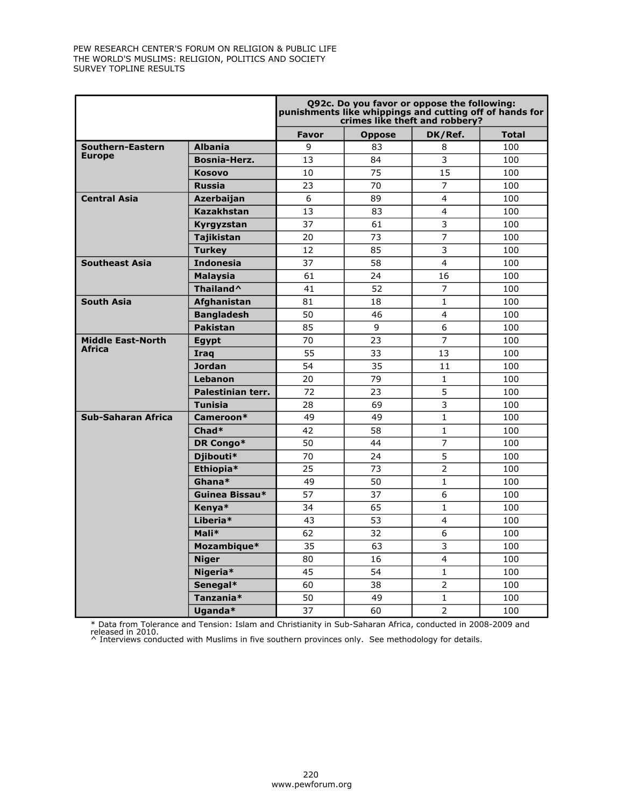|                           |                       |       |               | Q92c. Do you favor or oppose the following:<br>punishments like whippings and cutting off of hands for<br>crimes like theft and robbery? |              |
|---------------------------|-----------------------|-------|---------------|------------------------------------------------------------------------------------------------------------------------------------------|--------------|
|                           |                       | Favor | <b>Oppose</b> | DK/Ref.                                                                                                                                  | <b>Total</b> |
| Southern-Eastern          | <b>Albania</b>        | 9     | 83            | 8                                                                                                                                        | 100          |
| <b>Europe</b>             | <b>Bosnia-Herz.</b>   | 13    | 84            | 3                                                                                                                                        | 100          |
|                           | <b>Kosovo</b>         | 10    | 75            | 15                                                                                                                                       | 100          |
|                           | <b>Russia</b>         | 23    | 70            | $\overline{7}$                                                                                                                           | 100          |
| <b>Central Asia</b>       | Azerbaijan            | 6     | 89            | $\overline{\mathbf{4}}$                                                                                                                  | 100          |
|                           | <b>Kazakhstan</b>     | 13    | 83            | 4                                                                                                                                        | 100          |
|                           | Kyrgyzstan            | 37    | 61            | 3                                                                                                                                        | 100          |
|                           | <b>Tajikistan</b>     | 20    | 73            | 7                                                                                                                                        | 100          |
|                           | <b>Turkey</b>         | 12    | 85            | 3                                                                                                                                        | 100          |
| <b>Southeast Asia</b>     | <b>Indonesia</b>      | 37    | 58            | $\overline{4}$                                                                                                                           | 100          |
|                           | <b>Malaysia</b>       | 61    | 24            | 16                                                                                                                                       | 100          |
|                           | Thailand <sup>^</sup> | 41    | 52            | $\overline{7}$                                                                                                                           | 100          |
| <b>South Asia</b>         | Afghanistan           | 81    | 18            | $\mathbf{1}$                                                                                                                             | 100          |
|                           | <b>Bangladesh</b>     | 50    | 46            | 4                                                                                                                                        | 100          |
|                           | <b>Pakistan</b>       | 85    | 9             | 6                                                                                                                                        | 100          |
| <b>Middle East-North</b>  | <b>Egypt</b>          | 70    | 23            | $\overline{7}$                                                                                                                           | 100          |
| <b>Africa</b>             | <b>Iraq</b>           | 55    | 33            | 13                                                                                                                                       | 100          |
|                           | Jordan                | 54    | 35            | 11                                                                                                                                       | 100          |
|                           | Lebanon               | 20    | 79            | $\mathbf{1}$                                                                                                                             | 100          |
|                           | Palestinian terr.     | 72    | 23            | 5                                                                                                                                        | 100          |
|                           | <b>Tunisia</b>        | 28    | 69            | 3                                                                                                                                        | 100          |
| <b>Sub-Saharan Africa</b> | Cameroon*             | 49    | 49            | $\mathbf{1}$                                                                                                                             | 100          |
|                           | $Chad*$               | 42    | 58            | $\mathbf{1}$                                                                                                                             | 100          |
|                           | DR Congo*             | 50    | 44            | 7                                                                                                                                        | 100          |
|                           | Djibouti*             | 70    | 24            | 5                                                                                                                                        | 100          |
|                           | Ethiopia*             | 25    | 73            | $\overline{2}$                                                                                                                           | 100          |
|                           | Ghana*                | 49    | 50            | $\mathbf{1}$                                                                                                                             | 100          |
|                           | Guinea Bissau*        | 57    | 37            | 6                                                                                                                                        | 100          |
|                           | Kenya*                | 34    | 65            | $\mathbf{1}$                                                                                                                             | 100          |
|                           | Liberia*              | 43    | 53            | $\overline{4}$                                                                                                                           | 100          |
|                           | Mali*                 | 62    | 32            | 6                                                                                                                                        | 100          |
|                           | Mozambique*           | 35    | 63            | 3                                                                                                                                        | 100          |
|                           | <b>Niger</b>          | 80    | 16            | 4                                                                                                                                        | 100          |
|                           | Nigeria*              | 45    | 54            | $\mathbf{1}$                                                                                                                             | 100          |
|                           | Senegal*              | 60    | 38            | $\overline{2}$                                                                                                                           | 100          |
|                           | Tanzania*             | 50    | 49            | $\mathbf{1}$                                                                                                                             | 100          |
|                           | Uganda*               | 37    | 60            | $\overline{2}$                                                                                                                           | 100          |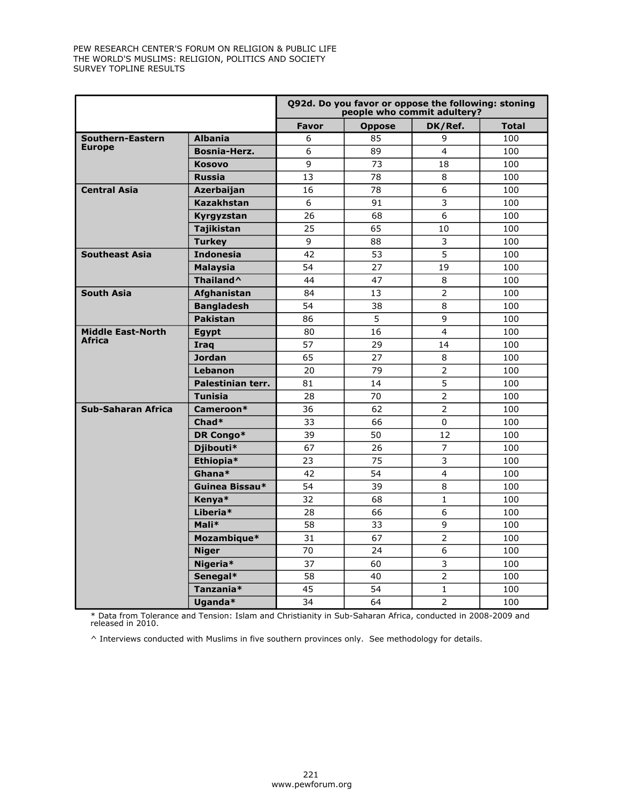|                           |                       |                | Q92d. Do you favor or oppose the following: stoning<br>people who commit adultery? |                         |              |
|---------------------------|-----------------------|----------------|------------------------------------------------------------------------------------|-------------------------|--------------|
|                           |                       | Favor          | <b>Oppose</b>                                                                      | DK/Ref.                 | <b>Total</b> |
| Southern-Eastern          | <b>Albania</b>        | 6              | 85                                                                                 | 9                       | 100          |
| <b>Europe</b>             | Bosnia-Herz.          | 6              | 89                                                                                 | $\overline{4}$          | 100          |
|                           | <b>Kosovo</b>         | 9              | 73                                                                                 | 18                      | 100          |
|                           | Russia                | 13             | 78                                                                                 | 8                       | 100          |
| <b>Central Asia</b>       | <b>Azerbaijan</b>     | 16             | 78                                                                                 | 6                       | 100          |
|                           | <b>Kazakhstan</b>     | $\overline{6}$ | 91                                                                                 | $\overline{\mathbf{3}}$ | 100          |
|                           | Kyrgyzstan            | 26             | 68                                                                                 | $6\overline{6}$         | 100          |
|                           | <b>Tajikistan</b>     | 25             | 65                                                                                 | 10                      | 100          |
|                           | <b>Turkey</b>         | 9              | 88                                                                                 | 3                       | 100          |
| <b>Southeast Asia</b>     | <b>Indonesia</b>      | 42             | 53                                                                                 | 5                       | 100          |
|                           | <b>Malaysia</b>       | 54             | 27                                                                                 | 19                      | 100          |
|                           | Thailand <sup>^</sup> | 44             | 47                                                                                 | 8                       | 100          |
| <b>South Asia</b>         | Afghanistan           | 84             | 13                                                                                 | $\overline{2}$          | 100          |
|                           | <b>Bangladesh</b>     | 54             | 38                                                                                 | 8                       | 100          |
|                           | <b>Pakistan</b>       | 86             | $\overline{5}$                                                                     | 9                       | 100          |
| <b>Middle East-North</b>  | <b>Egypt</b>          | 80             | 16                                                                                 | $\overline{4}$          | 100          |
| Africa                    | Iraq                  | 57             | 29                                                                                 | 14                      | 100          |
|                           | <b>Jordan</b>         | 65             | 27                                                                                 | 8                       | 100          |
|                           | Lebanon               | 20             | 79                                                                                 | 2                       | 100          |
|                           | Palestinian terr.     | 81             | 14                                                                                 | 5                       | 100          |
|                           | <b>Tunisia</b>        | 28             | 70                                                                                 | $\overline{2}$          | 100          |
| <b>Sub-Saharan Africa</b> | Cameroon*             | 36             | 62                                                                                 | $\overline{2}$          | 100          |
|                           | Chad*                 | 33             | 66                                                                                 | $\Omega$                | 100          |
|                           | DR Congo*             | 39             | 50                                                                                 | 12                      | 100          |
|                           | Djibouti*             | 67             | 26                                                                                 | $\overline{7}$          | 100          |
|                           | Ethiopia*             | 23             | 75                                                                                 | 3                       | 100          |
|                           | Ghana*                | 42             | 54                                                                                 | $\overline{4}$          | 100          |
|                           | Guinea Bissau*        | 54             | 39                                                                                 | 8                       | 100          |
|                           | Kenya*                | 32             | 68                                                                                 | $\mathbf{1}$            | 100          |
|                           | Liberia*              | 28             | 66                                                                                 | 6                       | 100          |
|                           | Mali*                 | 58             | 33                                                                                 | 9                       | 100          |
|                           | Mozambique*           | 31             | 67                                                                                 | $\overline{2}$          | 100          |
|                           | <b>Niger</b>          | 70             | 24                                                                                 | 6                       | 100          |
|                           | Nigeria*              | 37             | 60                                                                                 | 3                       | 100          |
|                           | Senegal*              | 58             | 40                                                                                 | $\overline{2}$          | 100          |
|                           | Tanzania*             | 45             | 54                                                                                 | $\mathbf{1}$            | 100          |
|                           | Uganda*               | 34             | 64                                                                                 | $\overline{2}$          | 100          |

\* Data from Tolerance and Tension: Islam and Christianity in Sub-Saharan Africa, conducted in 2008-2009 and released in 2010.

 $\wedge$  Interviews conducted with Muslims in five southern provinces only. See methodology for details.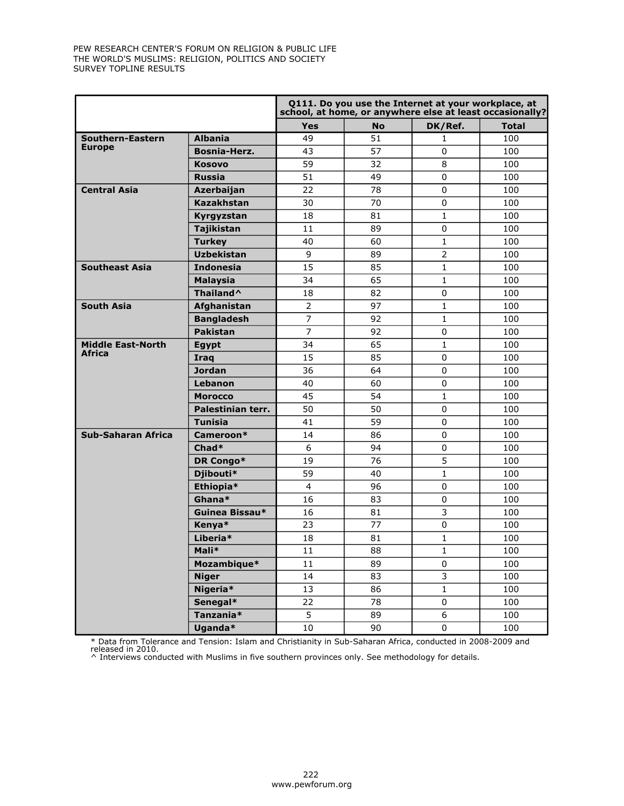|                          |                       |                | Q111. Do you use the Internet at your workplace, at |                | school, at home, or anywhere else at least occasionally? |
|--------------------------|-----------------------|----------------|-----------------------------------------------------|----------------|----------------------------------------------------------|
|                          |                       | <b>Yes</b>     | <b>No</b>                                           | DK/Ref.        | <b>Total</b>                                             |
| Southern-Eastern         | <b>Albania</b>        | 49             | 51                                                  | 1              | 100                                                      |
| <b>Europe</b>            | <b>Bosnia-Herz.</b>   | 43             | 57                                                  | $\Omega$       | 100                                                      |
|                          | Kosovo                | 59             | 32                                                  | 8              | 100                                                      |
|                          | <b>Russia</b>         | 51             | 49                                                  | $\Omega$       | 100                                                      |
| <b>Central Asia</b>      | <b>Azerbaijan</b>     | 22             | 78                                                  | $\mathbf 0$    | 100                                                      |
|                          | <b>Kazakhstan</b>     | 30             | 70                                                  | $\mathbf 0$    | 100                                                      |
|                          | Kyrgyzstan            | 18             | 81                                                  | $\mathbf{1}$   | 100                                                      |
|                          | <b>Tajikistan</b>     | 11             | 89                                                  | $\mathbf 0$    | 100                                                      |
|                          | <b>Turkey</b>         | 40             | 60                                                  | $1\,$          | 100                                                      |
|                          | <b>Uzbekistan</b>     | 9              | 89                                                  | $\overline{2}$ | 100                                                      |
| <b>Southeast Asia</b>    | <b>Indonesia</b>      | 15             | 85                                                  | $\mathbf{1}$   | 100                                                      |
|                          | <b>Malaysia</b>       | 34             | 65                                                  | $\mathbf{1}$   | 100                                                      |
|                          | Thailand <sup>^</sup> | 18             | 82                                                  | $\mathbf 0$    | 100                                                      |
| <b>South Asia</b>        | Afghanistan           | $\overline{2}$ | 97                                                  | $\mathbf{1}$   | 100                                                      |
|                          | <b>Bangladesh</b>     | $\overline{7}$ | 92                                                  | $\mathbf{1}$   | 100                                                      |
|                          | <b>Pakistan</b>       | $\overline{7}$ | 92                                                  | $\mathbf 0$    | 100                                                      |
| <b>Middle East-North</b> | <b>Egypt</b>          | 34             | 65                                                  | $1\,$          | 100                                                      |
| <b>Africa</b>            | <b>Iraq</b>           | 15             | 85                                                  | $\Omega$       | 100                                                      |
|                          | <b>Jordan</b>         | 36             | 64                                                  | $\mathbf 0$    | 100                                                      |
|                          | Lebanon               | 40             | 60                                                  | $\mathbf 0$    | 100                                                      |
|                          | <b>Morocco</b>        | 45             | 54                                                  | $\mathbf{1}$   | 100                                                      |
|                          | Palestinian terr.     | 50             | 50                                                  | $\mathbf 0$    | 100                                                      |
|                          | <b>Tunisia</b>        | 41             | 59                                                  | $\Omega$       | 100                                                      |
| Sub-Saharan Africa       | Cameroon*             | 14             | 86                                                  | $\Omega$       | 100                                                      |
|                          | Chad*                 | 6              | 94                                                  | $\Omega$       | 100                                                      |
|                          | DR Congo*             | 19             | 76                                                  | 5              | 100                                                      |
|                          | Djibouti*             | 59             | 40                                                  | $\mathbf 1$    | 100                                                      |
|                          | Ethiopia*             | $\overline{4}$ | 96                                                  | $\mathbf 0$    | 100                                                      |
|                          | Ghana*                | 16             | 83                                                  | $\pmb{0}$      | 100                                                      |
|                          | Guinea Bissau*        | 16             | 81                                                  | 3              | 100                                                      |
|                          | Kenya*                | 23             | 77                                                  | $\pmb{0}$      | 100                                                      |
|                          | Liberia*              | 18             | 81                                                  | $\mathbf{1}$   | 100                                                      |
|                          | Mali*                 | 11             | 88                                                  | $\mathbf 1$    | 100                                                      |
|                          | Mozambique*           | 11             | 89                                                  | $\mathbf 0$    | 100                                                      |
|                          | <b>Niger</b>          | 14             | 83                                                  | 3              | 100                                                      |
|                          | Nigeria*              | 13             | 86                                                  | $\mathbf 1$    | 100                                                      |
|                          | Senegal*              | 22             | 78                                                  | $\pmb{0}$      | 100                                                      |
|                          | Tanzania*             | 5              | 89                                                  | 6              | 100                                                      |
|                          | Uganda*               | 10             | 90                                                  | $\mathbf 0$    | 100                                                      |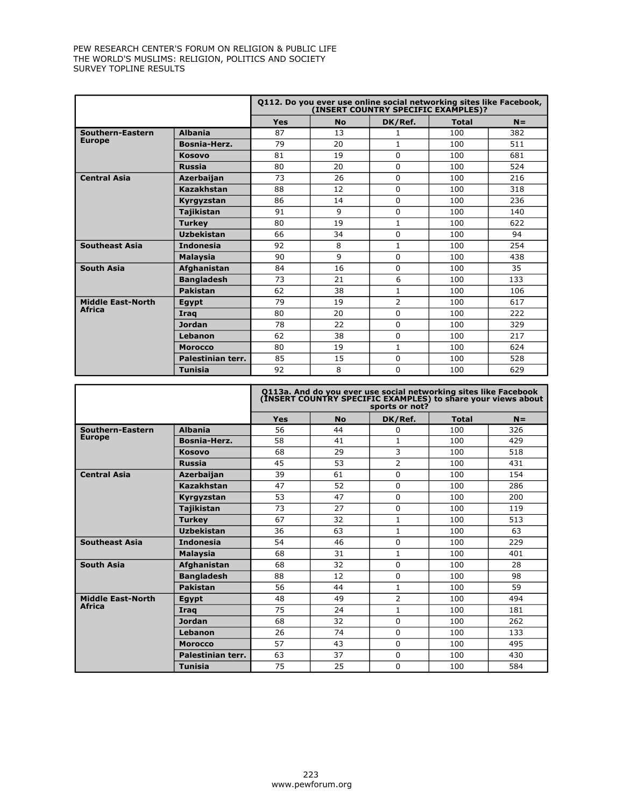|                          |                    | Q112. Do you ever use online social networking sites like Facebook,<br>(INSERT COUNTRY SPECIFIC EXAMPLES)? |           |                |              |       |
|--------------------------|--------------------|------------------------------------------------------------------------------------------------------------|-----------|----------------|--------------|-------|
|                          |                    | <b>Yes</b>                                                                                                 | <b>No</b> | DK/Ref.        | <b>Total</b> | $N =$ |
| Southern-Eastern         | <b>Albania</b>     | 87                                                                                                         | 13        | 1              | 100          | 382   |
| <b>Europe</b>            | Bosnia-Herz.       | 79                                                                                                         | 20        | $\mathbf{1}$   | 100          | 511   |
|                          | Kosovo             | 81                                                                                                         | 19        | 0              | 100          | 681   |
|                          | <b>Russia</b>      | 80                                                                                                         | 20        | 0              | 100          | 524   |
| <b>Central Asia</b>      | <b>Azerbaijan</b>  | 73                                                                                                         | 26        | $\Omega$       | 100          | 216   |
|                          | Kazakhstan         | 88                                                                                                         | 12        | $\Omega$       | 100          | 318   |
|                          | Kyrgyzstan         | 86                                                                                                         | 14        | $\Omega$       | 100          | 236   |
|                          | Tajikistan         | 91                                                                                                         | 9         | 0              | 100          | 140   |
|                          | <b>Turkev</b>      | 80                                                                                                         | 19        | $\mathbf{1}$   | 100          | 622   |
|                          | <b>Uzbekistan</b>  | 66                                                                                                         | 34        | $\Omega$       | 100          | 94    |
| <b>Southeast Asia</b>    | <b>Indonesia</b>   | 92                                                                                                         | 8         | $\mathbf{1}$   | 100          | 254   |
|                          | <b>Malaysia</b>    | 90                                                                                                         | 9         | $\Omega$       | 100          | 438   |
| <b>South Asia</b>        | <b>Afghanistan</b> | 84                                                                                                         | 16        | $\Omega$       | 100          | 35    |
|                          | <b>Bangladesh</b>  | 73                                                                                                         | 21        | 6              | 100          | 133   |
|                          | <b>Pakistan</b>    | 62                                                                                                         | 38        | $\mathbf{1}$   | 100          | 106   |
| <b>Middle East-North</b> | <b>Egypt</b>       | 79                                                                                                         | 19        | $\overline{2}$ | 100          | 617   |
| <b>Africa</b>            | Irag               | 80                                                                                                         | 20        | $\Omega$       | 100          | 222   |
|                          | <b>Jordan</b>      | 78                                                                                                         | 22        | 0              | 100          | 329   |
|                          | Lebanon            | 62                                                                                                         | 38        | $\Omega$       | 100          | 217   |
|                          | <b>Morocco</b>     | 80                                                                                                         | 19        | $\mathbf{1}$   | 100          | 624   |
|                          | Palestinian terr.  | 85                                                                                                         | 15        | 0              | 100          | 528   |
|                          | <b>Tunisia</b>     | 92                                                                                                         | 8         | 0              | 100          | 629   |

|                          |                     | Q113a. And do you ever use social networking sites like Facebook<br>(INSERT COUNTRY SPECIFIC EXAMPLES) to share your views about<br>sports or not? |           |                |              |       |
|--------------------------|---------------------|----------------------------------------------------------------------------------------------------------------------------------------------------|-----------|----------------|--------------|-------|
|                          |                     | <b>Yes</b>                                                                                                                                         | <b>No</b> | DK/Ref.        | <b>Total</b> | $N =$ |
| Southern-Eastern         | <b>Albania</b>      | 56                                                                                                                                                 | 44        | 0              | 100          | 326   |
| <b>Europe</b>            | <b>Bosnia-Herz.</b> | 58                                                                                                                                                 | 41        | 1              | 100          | 429   |
|                          | <b>Kosovo</b>       | 68                                                                                                                                                 | 29        | 3              | 100          | 518   |
|                          | <b>Russia</b>       | 45                                                                                                                                                 | 53        | $\overline{2}$ | 100          | 431   |
| <b>Central Asia</b>      | Azerbaijan          | 39                                                                                                                                                 | 61        | $\Omega$       | 100          | 154   |
|                          | Kazakhstan          | 47                                                                                                                                                 | 52        | 0              | 100          | 286   |
|                          | Kyrgyzstan          | 53                                                                                                                                                 | 47        | 0              | 100          | 200   |
|                          | <b>Tajikistan</b>   | 73                                                                                                                                                 | 27        | 0              | 100          | 119   |
|                          | <b>Turkey</b>       | 67                                                                                                                                                 | 32        | 1              | 100          | 513   |
|                          | <b>Uzbekistan</b>   | 36                                                                                                                                                 | 63        | $\mathbf{1}$   | 100          | 63    |
| <b>Southeast Asia</b>    | <b>Indonesia</b>    | 54                                                                                                                                                 | 46        | 0              | 100          | 229   |
|                          | <b>Malaysia</b>     | 68                                                                                                                                                 | 31        | $\mathbf{1}$   | 100          | 401   |
| <b>South Asia</b>        | Afghanistan         | 68                                                                                                                                                 | 32        | 0              | 100          | 28    |
|                          | <b>Bangladesh</b>   | 88                                                                                                                                                 | 12        | 0              | 100          | 98    |
|                          | <b>Pakistan</b>     | 56                                                                                                                                                 | 44        | 1              | 100          | 59    |
| <b>Middle East-North</b> | Egypt               | 48                                                                                                                                                 | 49        | $\overline{2}$ | 100          | 494   |
| <b>Africa</b>            | Irag                | 75                                                                                                                                                 | 24        | $\mathbf{1}$   | 100          | 181   |
|                          | <b>Jordan</b>       | 68                                                                                                                                                 | 32        | 0              | 100          | 262   |
|                          | Lebanon             | 26                                                                                                                                                 | 74        | 0              | 100          | 133   |
|                          | <b>Morocco</b>      | 57                                                                                                                                                 | 43        | 0              | 100          | 495   |
|                          | Palestinian terr.   | 63                                                                                                                                                 | 37        | 0              | 100          | 430   |
|                          | <b>Tunisia</b>      | 75                                                                                                                                                 | 25        | 0              | 100          | 584   |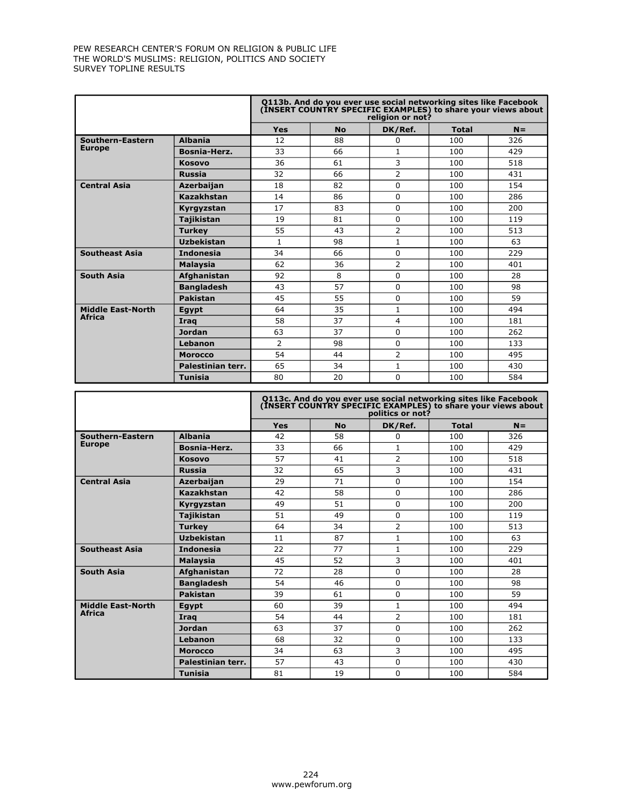|                          |                   | Q113b. And do you ever use social networking sites like Facebook<br>(INSERT COUNTRY SPECIFIC EXAMPLES) to share your views about<br>religion or not? |           |                |              |       |
|--------------------------|-------------------|------------------------------------------------------------------------------------------------------------------------------------------------------|-----------|----------------|--------------|-------|
|                          |                   | <b>Yes</b>                                                                                                                                           | <b>No</b> | DK/Ref.        | <b>Total</b> | $N =$ |
| Southern-Eastern         | <b>Albania</b>    | 12                                                                                                                                                   | 88        | 0              | 100          | 326   |
| <b>Europe</b>            | Bosnia-Herz.      | 33                                                                                                                                                   | 66        | $\mathbf{1}$   | 100          | 429   |
|                          | Kosovo            | 36                                                                                                                                                   | 61        | 3              | 100          | 518   |
|                          | <b>Russia</b>     | 32                                                                                                                                                   | 66        | $\overline{2}$ | 100          | 431   |
| <b>Central Asia</b>      | <b>Azerbaijan</b> | 18                                                                                                                                                   | 82        | 0              | 100          | 154   |
|                          | Kazakhstan        | 14                                                                                                                                                   | 86        | 0              | 100          | 286   |
|                          | Kyrgyzstan        | 17                                                                                                                                                   | 83        | 0              | 100          | 200   |
|                          | Taiikistan        | 19                                                                                                                                                   | 81        | 0              | 100          | 119   |
|                          | <b>Turkey</b>     | 55                                                                                                                                                   | 43        | $\overline{2}$ | 100          | 513   |
|                          | <b>Uzbekistan</b> | $\mathbf{1}$                                                                                                                                         | 98        | $\mathbf{1}$   | 100          | 63    |
| <b>Southeast Asia</b>    | <b>Indonesia</b>  | 34                                                                                                                                                   | 66        | 0              | 100          | 229   |
|                          | <b>Malaysia</b>   | 62                                                                                                                                                   | 36        | 2              | 100          | 401   |
| <b>South Asia</b>        | Afghanistan       | 92                                                                                                                                                   | 8         | 0              | 100          | 28    |
|                          | <b>Bangladesh</b> | 43                                                                                                                                                   | 57        | 0              | 100          | 98    |
|                          | Pakistan          | 45                                                                                                                                                   | 55        | 0              | 100          | 59    |
| <b>Middle East-North</b> | Egypt             | 64                                                                                                                                                   | 35        | $\mathbf{1}$   | 100          | 494   |
| <b>Africa</b>            | Irag              | 58                                                                                                                                                   | 37        | 4              | 100          | 181   |
|                          | <b>Jordan</b>     | 63                                                                                                                                                   | 37        | 0              | 100          | 262   |
|                          | Lebanon           | $\overline{2}$                                                                                                                                       | 98        | 0              | 100          | 133   |
|                          | <b>Morocco</b>    | 54                                                                                                                                                   | 44        | 2              | 100          | 495   |
|                          | Palestinian terr. | 65                                                                                                                                                   | 34        | 1              | 100          | 430   |
|                          | <b>Tunisia</b>    | 80                                                                                                                                                   | 20        | 0              | 100          | 584   |

|                          |                    | Q113c. And do you ever use social networking sites like Facebook<br>(INSERT COUNTRY SPECIFIC EXAMPLES) to share your views about<br>politics or not? |           |                |              |       |
|--------------------------|--------------------|------------------------------------------------------------------------------------------------------------------------------------------------------|-----------|----------------|--------------|-------|
|                          |                    | <b>Yes</b>                                                                                                                                           | <b>No</b> | DK/Ref.        | <b>Total</b> | $N =$ |
| Southern-Eastern         | <b>Albania</b>     | 42                                                                                                                                                   | 58        | 0              | 100          | 326   |
| <b>Europe</b>            | Bosnia-Herz.       | 33                                                                                                                                                   | 66        | $\mathbf{1}$   | 100          | 429   |
|                          | <b>Kosovo</b>      | 57                                                                                                                                                   | 41        | 2              | 100          | 518   |
|                          | <b>Russia</b>      | 32                                                                                                                                                   | 65        | 3              | 100          | 431   |
| <b>Central Asia</b>      | <b>Azerbaijan</b>  | 29                                                                                                                                                   | 71        | 0              | 100          | 154   |
|                          | Kazakhstan         | 42                                                                                                                                                   | 58        | 0              | 100          | 286   |
|                          | Kyrgyzstan         | 49                                                                                                                                                   | 51        | 0              | 100          | 200   |
|                          | <b>Tajikistan</b>  | 51                                                                                                                                                   | 49        | 0              | 100          | 119   |
|                          | <b>Turkey</b>      | 64                                                                                                                                                   | 34        | $\overline{2}$ | 100          | 513   |
|                          | <b>Uzbekistan</b>  | 11                                                                                                                                                   | 87        | $\mathbf{1}$   | 100          | 63    |
| <b>Southeast Asia</b>    | <b>Indonesia</b>   | 22                                                                                                                                                   | 77        | $\mathbf{1}$   | 100          | 229   |
|                          | <b>Malaysia</b>    | 45                                                                                                                                                   | 52        | 3              | 100          | 401   |
| <b>South Asia</b>        | <b>Afghanistan</b> | 72                                                                                                                                                   | 28        | 0              | 100          | 28    |
|                          | <b>Bangladesh</b>  | 54                                                                                                                                                   | 46        | 0              | 100          | 98    |
|                          | <b>Pakistan</b>    | 39                                                                                                                                                   | 61        | 0              | 100          | 59    |
| <b>Middle East-North</b> | Egypt              | 60                                                                                                                                                   | 39        | 1              | 100          | 494   |
| <b>Africa</b>            | Irag               | 54                                                                                                                                                   | 44        | $\overline{2}$ | 100          | 181   |
|                          | <b>Jordan</b>      | 63                                                                                                                                                   | 37        | 0              | 100          | 262   |
|                          | Lebanon            | 68                                                                                                                                                   | 32        | $\Omega$       | 100          | 133   |
|                          | <b>Morocco</b>     | 34                                                                                                                                                   | 63        | 3              | 100          | 495   |
|                          | Palestinian terr.  | 57                                                                                                                                                   | 43        | 0              | 100          | 430   |
|                          | Tunisia            | 81                                                                                                                                                   | 19        | 0              | 100          | 584   |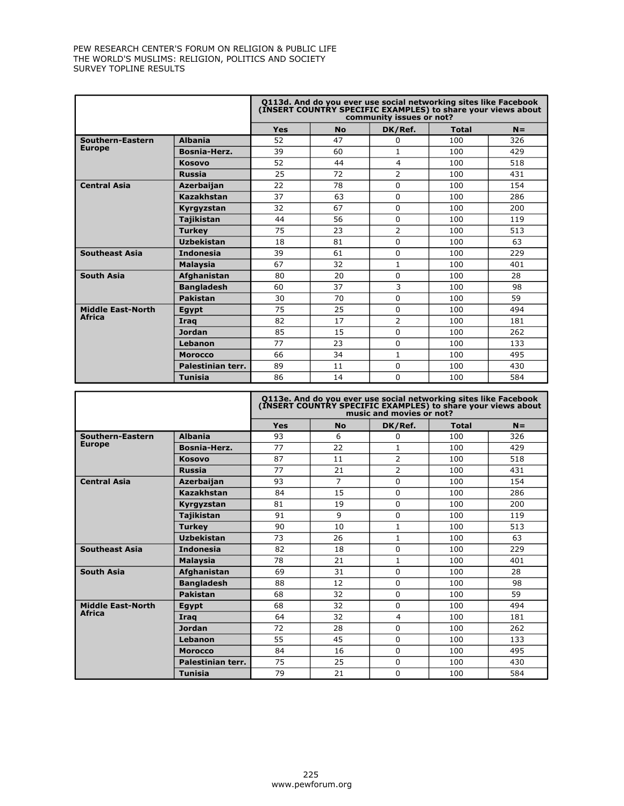|                          |                   | Q113d. And do you ever use social networking sites like Facebook<br>(INSERT COUNTRY SPECIFIC EXAMPLES) to share your views about<br>community issues or not? |           |                |              |       |
|--------------------------|-------------------|--------------------------------------------------------------------------------------------------------------------------------------------------------------|-----------|----------------|--------------|-------|
|                          |                   | <b>Yes</b>                                                                                                                                                   | <b>No</b> | DK/Ref.        | <b>Total</b> | $N =$ |
| Southern-Eastern         | <b>Albania</b>    | 52                                                                                                                                                           | 47        | 0              | 100          | 326   |
| <b>Europe</b>            | Bosnia-Herz.      | 39                                                                                                                                                           | 60        | 1              | 100          | 429   |
|                          | <b>Kosovo</b>     | 52                                                                                                                                                           | 44        | 4              | 100          | 518   |
|                          | <b>Russia</b>     | 25                                                                                                                                                           | 72        | $\overline{2}$ | 100          | 431   |
| <b>Central Asia</b>      | <b>Azerbaijan</b> | 22                                                                                                                                                           | 78        | 0              | 100          | 154   |
|                          | Kazakhstan        | 37                                                                                                                                                           | 63        | 0              | 100          | 286   |
|                          | Kyrgyzstan        | 32                                                                                                                                                           | 67        | 0              | 100          | 200   |
|                          | <b>Tajikistan</b> | 44                                                                                                                                                           | 56        | 0              | 100          | 119   |
|                          | <b>Turkey</b>     | 75                                                                                                                                                           | 23        | 2              | 100          | 513   |
|                          | <b>Uzbekistan</b> | 18                                                                                                                                                           | 81        | 0              | 100          | 63    |
| <b>Southeast Asia</b>    | <b>Indonesia</b>  | 39                                                                                                                                                           | 61        | 0              | 100          | 229   |
|                          | <b>Malaysia</b>   | 67                                                                                                                                                           | 32        | $\mathbf{1}$   | 100          | 401   |
| <b>South Asia</b>        | Afghanistan       | 80                                                                                                                                                           | 20        | 0              | 100          | 28    |
|                          | <b>Bangladesh</b> | 60                                                                                                                                                           | 37        | 3              | 100          | 98    |
|                          | <b>Pakistan</b>   | 30                                                                                                                                                           | 70        | 0              | 100          | 59    |
| <b>Middle East-North</b> | Egypt             | 75                                                                                                                                                           | 25        | 0              | 100          | 494   |
| <b>Africa</b>            | Irag              | 82                                                                                                                                                           | 17        | $\overline{2}$ | 100          | 181   |
|                          | <b>Jordan</b>     | 85                                                                                                                                                           | 15        | 0              | 100          | 262   |
|                          | Lebanon           | 77                                                                                                                                                           | 23        | 0              | 100          | 133   |
|                          | <b>Morocco</b>    | 66                                                                                                                                                           | 34        | 1              | 100          | 495   |
|                          | Palestinian terr. | 89                                                                                                                                                           | 11        | 0              | 100          | 430   |
|                          | <b>Tunisia</b>    | 86                                                                                                                                                           | 14        | 0              | 100          | 584   |

|                          |                   | Q113e. And do you ever use social networking sites like Facebook<br>(INSERT COUNTRY SPECIFIC EXAMPLES) to share your views about<br>music and movies or not? |                |                |              |       |
|--------------------------|-------------------|--------------------------------------------------------------------------------------------------------------------------------------------------------------|----------------|----------------|--------------|-------|
|                          |                   | <b>Yes</b>                                                                                                                                                   | <b>No</b>      | DK/Ref.        | <b>Total</b> | $N =$ |
| Southern-Eastern         | <b>Albania</b>    | 93                                                                                                                                                           | 6              | 0              | 100          | 326   |
| <b>Europe</b>            | Bosnia-Herz.      | 77                                                                                                                                                           | 22             | 1              | 100          | 429   |
|                          | <b>Kosovo</b>     | 87                                                                                                                                                           | 11             | $\overline{2}$ | 100          | 518   |
|                          | <b>Russia</b>     | 77                                                                                                                                                           | 21             | $\overline{2}$ | 100          | 431   |
| <b>Central Asia</b>      | <b>Azerbaijan</b> | 93                                                                                                                                                           | $\overline{7}$ | 0              | 100          | 154   |
|                          | Kazakhstan        | 84                                                                                                                                                           | 15             | 0              | 100          | 286   |
|                          | Kyrgyzstan        | 81                                                                                                                                                           | 19             | 0              | 100          | 200   |
|                          | Tajikistan        | 91                                                                                                                                                           | $\mathsf{q}$   | 0              | 100          | 119   |
|                          | <b>Turkey</b>     | 90                                                                                                                                                           | 10             | 1              | 100          | 513   |
|                          | <b>Uzbekistan</b> | 73                                                                                                                                                           | 26             | $\mathbf{1}$   | 100          | 63    |
| <b>Southeast Asia</b>    | <b>Indonesia</b>  | 82                                                                                                                                                           | 18             | 0              | 100          | 229   |
|                          | <b>Malaysia</b>   | 78                                                                                                                                                           | 21             | $\mathbf{1}$   | 100          | 401   |
| <b>South Asia</b>        | Afghanistan       | 69                                                                                                                                                           | 31             | 0              | 100          | 28    |
|                          | <b>Bangladesh</b> | 88                                                                                                                                                           | 12             | 0              | 100          | 98    |
|                          | <b>Pakistan</b>   | 68                                                                                                                                                           | 32             | 0              | 100          | 59    |
| <b>Middle East-North</b> | Egypt             | 68                                                                                                                                                           | 32             | 0              | 100          | 494   |
| <b>Africa</b>            | Irag              | 64                                                                                                                                                           | 32             | 4              | 100          | 181   |
|                          | <b>Jordan</b>     | 72                                                                                                                                                           | 28             | 0              | 100          | 262   |
|                          | Lebanon           | 55                                                                                                                                                           | 45             | 0              | 100          | 133   |
|                          | <b>Morocco</b>    | 84                                                                                                                                                           | 16             | 0              | 100          | 495   |
|                          | Palestinian terr. | 75                                                                                                                                                           | 25             | 0              | 100          | 430   |
|                          | <b>Tunisia</b>    | 79                                                                                                                                                           | 21             | 0              | 100          | 584   |